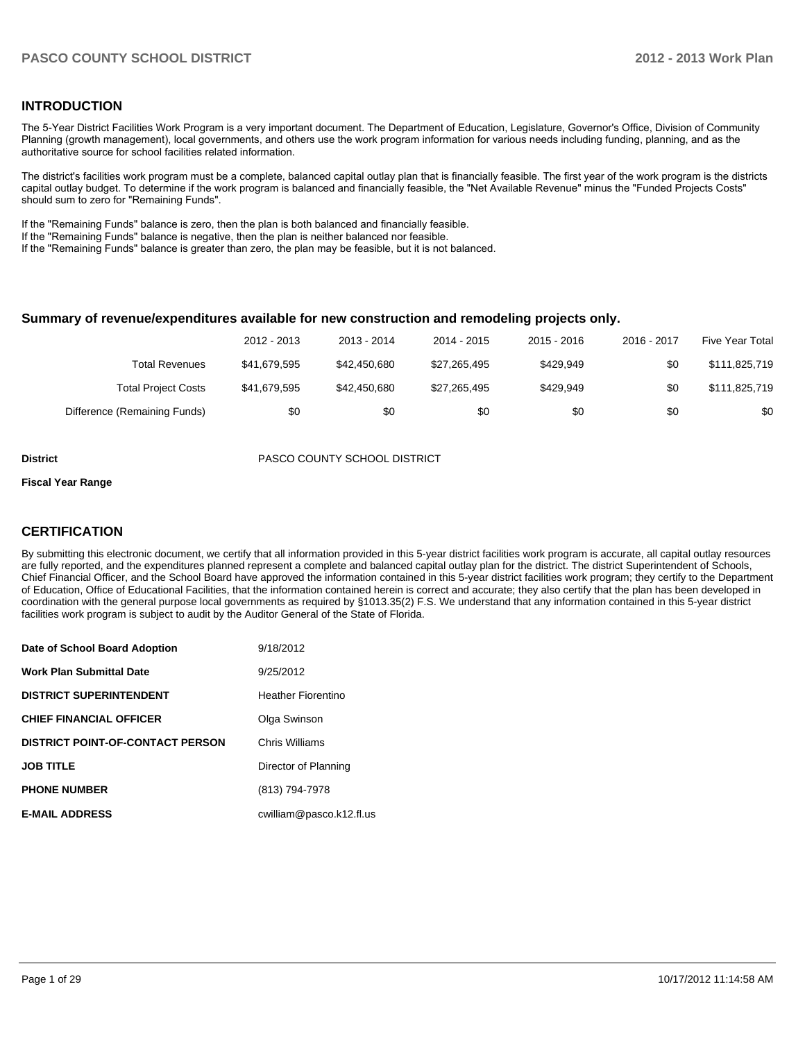#### **INTRODUCTION**

The 5-Year District Facilities Work Program is a very important document. The Department of Education, Legislature, Governor's Office, Division of Community Planning (growth management), local governments, and others use the work program information for various needs including funding, planning, and as the authoritative source for school facilities related information.

The district's facilities work program must be a complete, balanced capital outlay plan that is financially feasible. The first year of the work program is the districts capital outlay budget. To determine if the work program is balanced and financially feasible, the "Net Available Revenue" minus the "Funded Projects Costs" should sum to zero for "Remaining Funds".

If the "Remaining Funds" balance is zero, then the plan is both balanced and financially feasible.

If the "Remaining Funds" balance is negative, then the plan is neither balanced nor feasible.

If the "Remaining Funds" balance is greater than zero, the plan may be feasible, but it is not balanced.

#### **Summary of revenue/expenditures available for new construction and remodeling projects only.**

| Five Year Total | 2016 - 2017 | $2015 - 2016$ | 2014 - 2015  | 2013 - 2014  | 2012 - 2013  |                              |
|-----------------|-------------|---------------|--------------|--------------|--------------|------------------------------|
| \$111,825,719   | \$0         | \$429.949     | \$27,265,495 | \$42,450,680 | \$41.679.595 | <b>Total Revenues</b>        |
| \$111,825,719   | \$0         | \$429.949     | \$27,265,495 | \$42.450.680 | \$41.679.595 | <b>Total Project Costs</b>   |
| \$0             | \$0         | \$0           | \$0          | \$0          | \$0          | Difference (Remaining Funds) |

**District** PASCO COUNTY SCHOOL DISTRICT

#### **Fiscal Year Range**

#### **CERTIFICATION**

By submitting this electronic document, we certify that all information provided in this 5-year district facilities work program is accurate, all capital outlay resources are fully reported, and the expenditures planned represent a complete and balanced capital outlay plan for the district. The district Superintendent of Schools, Chief Financial Officer, and the School Board have approved the information contained in this 5-year district facilities work program; they certify to the Department of Education, Office of Educational Facilities, that the information contained herein is correct and accurate; they also certify that the plan has been developed in coordination with the general purpose local governments as required by §1013.35(2) F.S. We understand that any information contained in this 5-year district facilities work program is subject to audit by the Auditor General of the State of Florida.

| Date of School Board Adoption           | 9/18/2012                 |
|-----------------------------------------|---------------------------|
| <b>Work Plan Submittal Date</b>         | 9/25/2012                 |
| <b>DISTRICT SUPERINTENDENT</b>          | <b>Heather Fiorentino</b> |
| <b>CHIEF FINANCIAL OFFICER</b>          | Olga Swinson              |
| <b>DISTRICT POINT-OF-CONTACT PERSON</b> | Chris Williams            |
| <b>JOB TITLE</b>                        | Director of Planning      |
| <b>PHONE NUMBER</b>                     | (813) 794-7978            |
| <b>E-MAIL ADDRESS</b>                   | cwilliam@pasco.k12.fl.us  |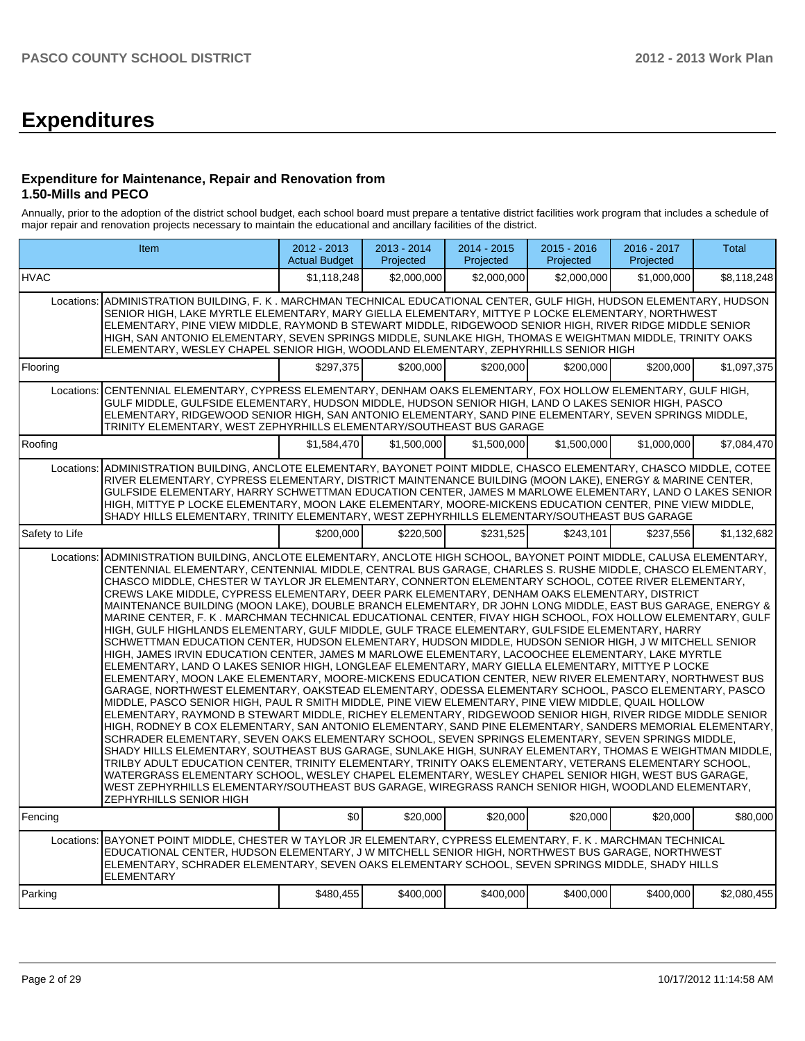# **Expenditures**

#### **Expenditure for Maintenance, Repair and Renovation from 1.50-Mills and PECO**

Annually, prior to the adoption of the district school budget, each school board must prepare a tentative district facilities work program that includes a schedule of major repair and renovation projects necessary to maintain the educational and ancillary facilities of the district.

|                | Item                                                                                                                                                                                                                                                                                                                                                                                                                                                                                                                                                                                                                                                                                                                                                                                                                                                                                                                                                                                                                                                                                                                                                                                                                                                                                                                                                                                                                                                                                                                                                                                                                                                                                                                                                                                                                                                                                                                                                                                                                                                                                                                                                                                                         | $2012 - 2013$<br><b>Actual Budget</b> | $2013 - 2014$<br>Projected | $2014 - 2015$<br>Projected | $2015 - 2016$<br>Projected | 2016 - 2017<br>Projected | <b>Total</b> |
|----------------|--------------------------------------------------------------------------------------------------------------------------------------------------------------------------------------------------------------------------------------------------------------------------------------------------------------------------------------------------------------------------------------------------------------------------------------------------------------------------------------------------------------------------------------------------------------------------------------------------------------------------------------------------------------------------------------------------------------------------------------------------------------------------------------------------------------------------------------------------------------------------------------------------------------------------------------------------------------------------------------------------------------------------------------------------------------------------------------------------------------------------------------------------------------------------------------------------------------------------------------------------------------------------------------------------------------------------------------------------------------------------------------------------------------------------------------------------------------------------------------------------------------------------------------------------------------------------------------------------------------------------------------------------------------------------------------------------------------------------------------------------------------------------------------------------------------------------------------------------------------------------------------------------------------------------------------------------------------------------------------------------------------------------------------------------------------------------------------------------------------------------------------------------------------------------------------------------------------|---------------------------------------|----------------------------|----------------------------|----------------------------|--------------------------|--------------|
| <b>HVAC</b>    |                                                                                                                                                                                                                                                                                                                                                                                                                                                                                                                                                                                                                                                                                                                                                                                                                                                                                                                                                                                                                                                                                                                                                                                                                                                                                                                                                                                                                                                                                                                                                                                                                                                                                                                                                                                                                                                                                                                                                                                                                                                                                                                                                                                                              | \$1,118,248                           | \$2,000,000                | \$2,000,000                | \$2,000,000                | \$1,000,000              | \$8,118,248  |
| Locations:     | ADMINISTRATION BUILDING, F. K . MARCHMAN TECHNICAL EDUCATIONAL CENTER, GULF HIGH, HUDSON ELEMENTARY, HUDSON<br>SENIOR HIGH, LAKE MYRTLE ELEMENTARY, MARY GIELLA ELEMENTARY, MITTYE P LOCKE ELEMENTARY, NORTHWEST<br>ELEMENTARY, PINE VIEW MIDDLE, RAYMOND B STEWART MIDDLE, RIDGEWOOD SENIOR HIGH, RIVER RIDGE MIDDLE SENIOR<br>HIGH, SAN ANTONIO ELEMENTARY, SEVEN SPRINGS MIDDLE, SUNLAKE HIGH, THOMAS E WEIGHTMAN MIDDLE, TRINITY OAKS<br>ELEMENTARY, WESLEY CHAPEL SENIOR HIGH, WOODLAND ELEMENTARY, ZEPHYRHILLS SENIOR HIGH                                                                                                                                                                                                                                                                                                                                                                                                                                                                                                                                                                                                                                                                                                                                                                                                                                                                                                                                                                                                                                                                                                                                                                                                                                                                                                                                                                                                                                                                                                                                                                                                                                                                             |                                       |                            |                            |                            |                          |              |
| Flooring       |                                                                                                                                                                                                                                                                                                                                                                                                                                                                                                                                                                                                                                                                                                                                                                                                                                                                                                                                                                                                                                                                                                                                                                                                                                                                                                                                                                                                                                                                                                                                                                                                                                                                                                                                                                                                                                                                                                                                                                                                                                                                                                                                                                                                              | \$297,375                             | \$200,000                  | \$200,000                  | \$200,000                  | \$200,000                | \$1,097,375  |
| Locations:     | CENTENNIAL ELEMENTARY, CYPRESS ELEMENTARY, DENHAM OAKS ELEMENTARY, FOX HOLLOW ELEMENTARY, GULF HIGH,<br>GULF MIDDLE, GULFSIDE ELEMENTARY, HUDSON MIDDLE, HUDSON SENIOR HIGH, LAND O LAKES SENIOR HIGH, PASCO<br>ELEMENTARY, RIDGEWOOD SENIOR HIGH, SAN ANTONIO ELEMENTARY, SAND PINE ELEMENTARY, SEVEN SPRINGS MIDDLE,<br>TRINITY ELEMENTARY, WEST ZEPHYRHILLS ELEMENTARY/SOUTHEAST BUS GARAGE                                                                                                                                                                                                                                                                                                                                                                                                                                                                                                                                                                                                                                                                                                                                                                                                                                                                                                                                                                                                                                                                                                                                                                                                                                                                                                                                                                                                                                                                                                                                                                                                                                                                                                                                                                                                               |                                       |                            |                            |                            |                          |              |
| Roofing        |                                                                                                                                                                                                                                                                                                                                                                                                                                                                                                                                                                                                                                                                                                                                                                                                                                                                                                                                                                                                                                                                                                                                                                                                                                                                                                                                                                                                                                                                                                                                                                                                                                                                                                                                                                                                                                                                                                                                                                                                                                                                                                                                                                                                              | \$1.584.470                           | \$1,500,000                | \$1.500,000                | \$1,500,000                | \$1,000,000              | \$7,084,470  |
|                | Locations: ADMINISTRATION BUILDING, ANCLOTE ELEMENTARY, BAYONET POINT MIDDLE, CHASCO ELEMENTARY, CHASCO MIDDLE, COTEE<br>RIVER ELEMENTARY, CYPRESS ELEMENTARY, DISTRICT MAINTENANCE BUILDING (MOON LAKE), ENERGY & MARINE CENTER,<br>GULFSIDE ELEMENTARY, HARRY SCHWETTMAN EDUCATION CENTER, JAMES M MARLOWE ELEMENTARY, LAND O LAKES SENIOR<br>HIGH, MITTYE P LOCKE ELEMENTARY, MOON LAKE ELEMENTARY, MOORE-MICKENS EDUCATION CENTER, PINE VIEW MIDDLE,<br>SHADY HILLS ELEMENTARY, TRINITY ELEMENTARY, WEST ZEPHYRHILLS ELEMENTARY/SOUTHEAST BUS GARAGE                                                                                                                                                                                                                                                                                                                                                                                                                                                                                                                                                                                                                                                                                                                                                                                                                                                                                                                                                                                                                                                                                                                                                                                                                                                                                                                                                                                                                                                                                                                                                                                                                                                     |                                       |                            |                            |                            |                          |              |
| Safety to Life |                                                                                                                                                                                                                                                                                                                                                                                                                                                                                                                                                                                                                                                                                                                                                                                                                                                                                                                                                                                                                                                                                                                                                                                                                                                                                                                                                                                                                                                                                                                                                                                                                                                                                                                                                                                                                                                                                                                                                                                                                                                                                                                                                                                                              | \$200,000                             | \$220,500                  | \$231.525                  | \$243.101                  | \$237.556                | \$1,132,682  |
| Locations:     | ADMINISTRATION BUILDING, ANCLOTE ELEMENTARY, ANCLOTE HIGH SCHOOL, BAYONET POINT MIDDLE, CALUSA ELEMENTARY,<br>CENTENNIAL ELEMENTARY, CENTENNIAL MIDDLE, CENTRAL BUS GARAGE, CHARLES S. RUSHE MIDDLE, CHASCO ELEMENTARY,<br>CHASCO MIDDLE, CHESTER W TAYLOR JR ELEMENTARY, CONNERTON ELEMENTARY SCHOOL, COTEE RIVER ELEMENTARY,<br>CREWS LAKE MIDDLE, CYPRESS ELEMENTARY, DEER PARK ELEMENTARY, DENHAM OAKS ELEMENTARY, DISTRICT<br>MAINTENANCE BUILDING (MOON LAKE). DOUBLE BRANCH ELEMENTARY, DR JOHN LONG MIDDLE, EAST BUS GARAGE, ENERGY &<br>MARINE CENTER, F. K. MARCHMAN TECHNICAL EDUCATIONAL CENTER, FIVAY HIGH SCHOOL, FOX HOLLOW ELEMENTARY, GULF<br>HIGH. GULF HIGHLANDS ELEMENTARY. GULF MIDDLE. GULF TRACE ELEMENTARY. GULFSIDE ELEMENTARY. HARRY<br>SCHWETTMAN EDUCATION CENTER, HUDSON ELEMENTARY, HUDSON MIDDLE, HUDSON SENIOR HIGH, J W MITCHELL SENIOR<br>HIGH, JAMES IRVIN EDUCATION CENTER, JAMES M MARLOWE ELEMENTARY, LACOOCHEE ELEMENTARY, LAKE MYRTLE<br>ELEMENTARY, LAND O LAKES SENIOR HIGH, LONGLEAF ELEMENTARY, MARY GIELLA ELEMENTARY, MITTYE P LOCKE<br>ELEMENTARY, MOON LAKE ELEMENTARY, MOORE-MICKENS EDUCATION CENTER, NEW RIVER ELEMENTARY, NORTHWEST BUS<br>GARAGE, NORTHWEST ELEMENTARY, OAKSTEAD ELEMENTARY, ODESSA ELEMENTARY SCHOOL, PASCO ELEMENTARY, PASCO<br>MIDDLE, PASCO SENIOR HIGH, PAUL R SMITH MIDDLE, PINE VIEW ELEMENTARY, PINE VIEW MIDDLE, QUAIL HOLLOW<br>ELEMENTARY, RAYMOND B STEWART MIDDLE, RICHEY ELEMENTARY, RIDGEWOOD SENIOR HIGH, RIVER RIDGE MIDDLE SENIOR<br>HIGH, RODNEY B COX ELEMENTARY, SAN ANTONIO ELEMENTARY, SAND PINE ELEMENTARY, SANDERS MEMORIAL ELEMENTARY,<br>SCHRADER ELEMENTARY, SEVEN OAKS ELEMENTARY SCHOOL, SEVEN SPRINGS ELEMENTARY, SEVEN SPRINGS MIDDLE,<br>SHADY HILLS ELEMENTARY, SOUTHEAST BUS GARAGE, SUNLAKE HIGH, SUNRAY ELEMENTARY, THOMAS E WEIGHTMAN MIDDLE,<br>TRILBY ADULT EDUCATION CENTER, TRINITY ELEMENTARY, TRINITY OAKS ELEMENTARY, VETERANS ELEMENTARY SCHOOL,<br>WATERGRASS ELEMENTARY SCHOOL, WESLEY CHAPEL ELEMENTARY, WESLEY CHAPEL SENIOR HIGH, WEST BUS GARAGE,<br>WEST ZEPHYRHILLS ELEMENTARY/SOUTHEAST BUS GARAGE, WIREGRASS RANCH SENIOR HIGH, WOODLAND ELEMENTARY,<br>ZEPHYRHILLS SENIOR HIGH |                                       |                            |                            |                            |                          |              |
| Fencing        |                                                                                                                                                                                                                                                                                                                                                                                                                                                                                                                                                                                                                                                                                                                                                                                                                                                                                                                                                                                                                                                                                                                                                                                                                                                                                                                                                                                                                                                                                                                                                                                                                                                                                                                                                                                                                                                                                                                                                                                                                                                                                                                                                                                                              | \$0                                   | \$20,000                   | \$20,000                   | \$20,000                   | \$20,000                 | \$80,000     |
| Locations:     | BAYONET POINT MIDDLE, CHESTER W TAYLOR JR ELEMENTARY, CYPRESS ELEMENTARY, F. K. MARCHMAN TECHNICAL<br>EDUCATIONAL CENTER, HUDSON ELEMENTARY, J W MITCHELL SENIOR HIGH, NORTHWEST BUS GARAGE, NORTHWEST<br>ELEMENTARY, SCHRADER ELEMENTARY, SEVEN OAKS ELEMENTARY SCHOOL, SEVEN SPRINGS MIDDLE, SHADY HILLS<br><b>ELEMENTARY</b>                                                                                                                                                                                                                                                                                                                                                                                                                                                                                                                                                                                                                                                                                                                                                                                                                                                                                                                                                                                                                                                                                                                                                                                                                                                                                                                                                                                                                                                                                                                                                                                                                                                                                                                                                                                                                                                                              |                                       |                            |                            |                            |                          |              |
| Parking        |                                                                                                                                                                                                                                                                                                                                                                                                                                                                                                                                                                                                                                                                                                                                                                                                                                                                                                                                                                                                                                                                                                                                                                                                                                                                                                                                                                                                                                                                                                                                                                                                                                                                                                                                                                                                                                                                                                                                                                                                                                                                                                                                                                                                              | \$480,455                             | \$400,000                  | \$400,000                  | \$400,000                  | \$400,000                | \$2,080,455  |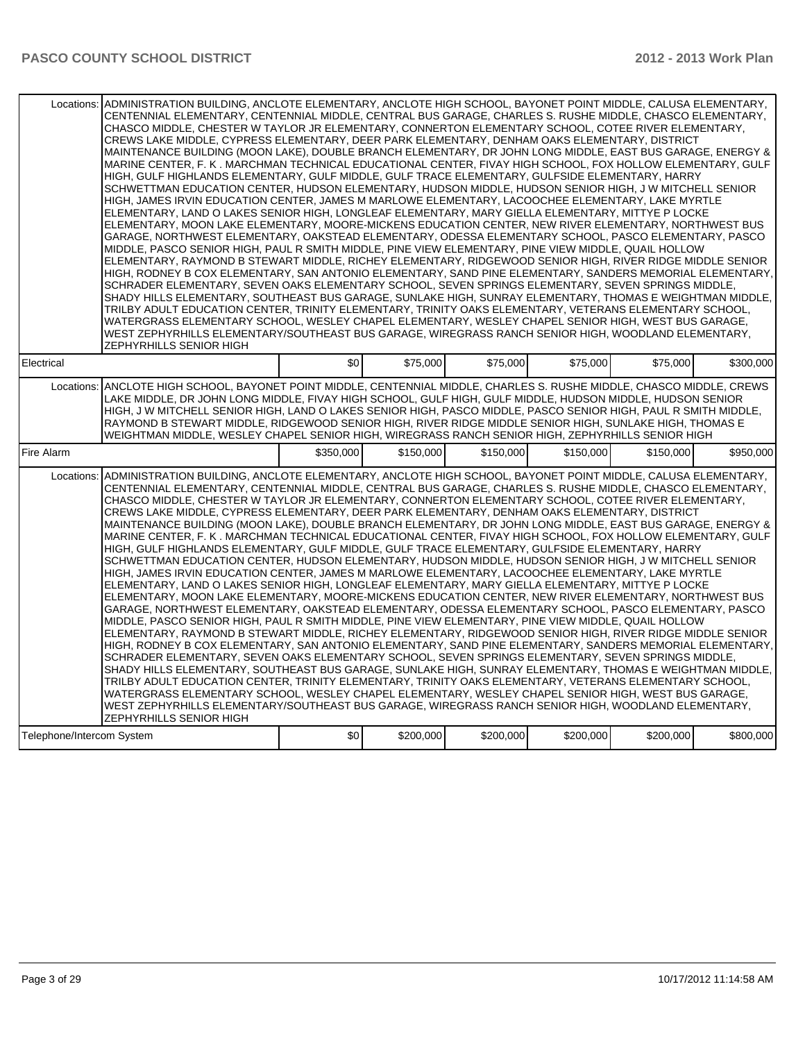|                           | Locations: ADMINISTRATION BUILDING, ANCLOTE ELEMENTARY, ANCLOTE HIGH SCHOOL, BAYONET POINT MIDDLE, CALUSA ELEMENTARY,<br>CENTENNIAL ELEMENTARY, CENTENNIAL MIDDLE, CENTRAL BUS GARAGE, CHARLES S. RUSHE MIDDLE, CHASCO ELEMENTARY,<br>CHASCO MIDDLE, CHESTER W TAYLOR JR ELEMENTARY, CONNERTON ELEMENTARY SCHOOL, COTEE RIVER ELEMENTARY,<br>CREWS LAKE MIDDLE, CYPRESS ELEMENTARY, DEER PARK ELEMENTARY, DENHAM OAKS ELEMENTARY, DISTRICT<br>MAINTENANCE BUILDING (MOON LAKE), DOUBLE BRANCH ELEMENTARY, DR JOHN LONG MIDDLE, EAST BUS GARAGE, ENERGY &<br>MARINE CENTER, F. K. MARCHMAN TECHNICAL EDUCATIONAL CENTER, FIVAY HIGH SCHOOL, FOX HOLLOW ELEMENTARY, GULF<br>HIGH, GULF HIGHLANDS ELEMENTARY, GULF MIDDLE, GULF TRACE ELEMENTARY, GULFSIDE ELEMENTARY, HARRY<br>SCHWETTMAN EDUCATION CENTER, HUDSON ELEMENTARY, HUDSON MIDDLE, HUDSON SENIOR HIGH, J W MITCHELL SENIOR<br>HIGH, JAMES IRVIN EDUCATION CENTER, JAMES M MARLOWE ELEMENTARY, LACOOCHEE ELEMENTARY, LAKE MYRTLE<br>ELEMENTARY, LAND O LAKES SENIOR HIGH, LONGLEAF ELEMENTARY, MARY GIELLA ELEMENTARY, MITTYE P LOCKE<br>ELEMENTARY, MOON LAKE ELEMENTARY, MOORE-MICKENS EDUCATION CENTER, NEW RIVER ELEMENTARY, NORTHWEST BUS<br>GARAGE, NORTHWEST ELEMENTARY, OAKSTEAD ELEMENTARY, ODESSA ELEMENTARY SCHOOL, PASCO ELEMENTARY, PASCO<br>MIDDLE, PASCO SENIOR HIGH, PAUL R SMITH MIDDLE, PINE VIEW ELEMENTARY, PINE VIEW MIDDLE, QUAIL HOLLOW<br>ELEMENTARY, RAYMOND B STEWART MIDDLE, RICHEY ELEMENTARY, RIDGEWOOD SENIOR HIGH, RIVER RIDGE MIDDLE SENIOR<br>HIGH, RODNEY B COX ELEMENTARY, SAN ANTONIO ELEMENTARY, SAND PINE ELEMENTARY, SANDERS MEMORIAL ELEMENTARY,<br>SCHRADER ELEMENTARY, SEVEN OAKS ELEMENTARY SCHOOL, SEVEN SPRINGS ELEMENTARY, SEVEN SPRINGS MIDDLE,<br>SHADY HILLS ELEMENTARY, SOUTHEAST BUS GARAGE, SUNLAKE HIGH, SUNRAY ELEMENTARY, THOMAS E WEIGHTMAN MIDDLE,<br>TRILBY ADULT EDUCATION CENTER, TRINITY ELEMENTARY, TRINITY OAKS ELEMENTARY, VETERANS ELEMENTARY SCHOOL,<br>WATERGRASS ELEMENTARY SCHOOL, WESLEY CHAPEL ELEMENTARY, WESLEY CHAPEL SENIOR HIGH, WEST BUS GARAGE,<br>WEST ZEPHYRHILLS ELEMENTARY/SOUTHEAST BUS GARAGE, WIREGRASS RANCH SENIOR HIGH, WOODLAND ELEMENTARY,<br>ZEPHYRHILLS SENIOR HIGH |           |           |           |           |           |           |
|---------------------------|-------------------------------------------------------------------------------------------------------------------------------------------------------------------------------------------------------------------------------------------------------------------------------------------------------------------------------------------------------------------------------------------------------------------------------------------------------------------------------------------------------------------------------------------------------------------------------------------------------------------------------------------------------------------------------------------------------------------------------------------------------------------------------------------------------------------------------------------------------------------------------------------------------------------------------------------------------------------------------------------------------------------------------------------------------------------------------------------------------------------------------------------------------------------------------------------------------------------------------------------------------------------------------------------------------------------------------------------------------------------------------------------------------------------------------------------------------------------------------------------------------------------------------------------------------------------------------------------------------------------------------------------------------------------------------------------------------------------------------------------------------------------------------------------------------------------------------------------------------------------------------------------------------------------------------------------------------------------------------------------------------------------------------------------------------------------------------------------------------------------------------------------------------------------------------------------------------------------------|-----------|-----------|-----------|-----------|-----------|-----------|
| Electrical                |                                                                                                                                                                                                                                                                                                                                                                                                                                                                                                                                                                                                                                                                                                                                                                                                                                                                                                                                                                                                                                                                                                                                                                                                                                                                                                                                                                                                                                                                                                                                                                                                                                                                                                                                                                                                                                                                                                                                                                                                                                                                                                                                                                                                                         | \$0       | \$75,000  | \$75,000  | \$75,000  | \$75,000  | \$300.000 |
|                           | Locations: ANCLOTE HIGH SCHOOL, BAYONET POINT MIDDLE, CENTENNIAL MIDDLE, CHARLES S. RUSHE MIDDLE, CHASCO MIDDLE, CREWS<br>LAKE MIDDLE, DR JOHN LONG MIDDLE, FIVAY HIGH SCHOOL, GULF HIGH, GULF MIDDLE, HUDSON MIDDLE, HUDSON SENIOR<br>HIGH, J W MITCHELL SENIOR HIGH, LAND O LAKES SENIOR HIGH, PASCO MIDDLE, PASCO SENIOR HIGH, PAUL R SMITH MIDDLE,<br>RAYMOND B STEWART MIDDLE, RIDGEWOOD SENIOR HIGH, RIVER RIDGE MIDDLE SENIOR HIGH, SUNLAKE HIGH, THOMAS E<br>WEIGHTMAN MIDDLE, WESLEY CHAPEL SENIOR HIGH, WIREGRASS RANCH SENIOR HIGH, ZEPHYRHILLS SENIOR HIGH                                                                                                                                                                                                                                                                                                                                                                                                                                                                                                                                                                                                                                                                                                                                                                                                                                                                                                                                                                                                                                                                                                                                                                                                                                                                                                                                                                                                                                                                                                                                                                                                                                                  |           |           |           |           |           |           |
| Fire Alarm                |                                                                                                                                                                                                                                                                                                                                                                                                                                                                                                                                                                                                                                                                                                                                                                                                                                                                                                                                                                                                                                                                                                                                                                                                                                                                                                                                                                                                                                                                                                                                                                                                                                                                                                                                                                                                                                                                                                                                                                                                                                                                                                                                                                                                                         | \$350,000 | \$150,000 | \$150,000 | \$150,000 | \$150,000 | \$950,000 |
| Locations:                | ADMINISTRATION BUILDING, ANCLOTE ELEMENTARY, ANCLOTE HIGH SCHOOL, BAYONET POINT MIDDLE, CALUSA ELEMENTARY,<br>CENTENNIAL ELEMENTARY, CENTENNIAL MIDDLE, CENTRAL BUS GARAGE, CHARLES S. RUSHE MIDDLE, CHASCO ELEMENTARY,<br>CHASCO MIDDLE, CHESTER W TAYLOR JR ELEMENTARY, CONNERTON ELEMENTARY SCHOOL, COTEE RIVER ELEMENTARY,<br>CREWS LAKE MIDDLE, CYPRESS ELEMENTARY, DEER PARK ELEMENTARY, DENHAM OAKS ELEMENTARY, DISTRICT<br>MAINTENANCE BUILDING (MOON LAKE), DOUBLE BRANCH ELEMENTARY, DR JOHN LONG MIDDLE, EAST BUS GARAGE, ENERGY &<br>MARINE CENTER, F. K. MARCHMAN TECHNICAL EDUCATIONAL CENTER, FIVAY HIGH SCHOOL, FOX HOLLOW ELEMENTARY, GULF<br>HIGH, GULF HIGHLANDS ELEMENTARY, GULF MIDDLE, GULF TRACE ELEMENTARY, GULFSIDE ELEMENTARY, HARRY<br>SCHWETTMAN EDUCATION CENTER, HUDSON ELEMENTARY, HUDSON MIDDLE, HUDSON SENIOR HIGH, J W MITCHELL SENIOR<br>HIGH. JAMES IRVIN EDUCATION CENTER. JAMES M MARLOWE ELEMENTARY. LACOOCHEE ELEMENTARY. LAKE MYRTLE<br>ELEMENTARY, LAND O LAKES SENIOR HIGH, LONGLEAF ELEMENTARY, MARY GIELLA ELEMENTARY, MITTYE P LOCKE<br>ELEMENTARY, MOON LAKE ELEMENTARY, MOORE-MICKENS EDUCATION CENTER, NEW RIVER ELEMENTARY, NORTHWEST BUS<br>GARAGE, NORTHWEST ELEMENTARY, OAKSTEAD ELEMENTARY, ODESSA ELEMENTARY SCHOOL, PASCO ELEMENTARY, PASCO<br>MIDDLE. PASCO SENIOR HIGH. PAUL R SMITH MIDDLE. PINE VIEW ELEMENTARY. PINE VIEW MIDDLE. QUAIL HOLLOW<br>ELEMENTARY, RAYMOND B STEWART MIDDLE, RICHEY ELEMENTARY, RIDGEWOOD SENIOR HIGH, RIVER RIDGE MIDDLE SENIOR<br>HIGH, RODNEY B COX ELEMENTARY, SAN ANTONIO ELEMENTARY, SAND PINE ELEMENTARY, SANDERS MEMORIAL ELEMENTARY,<br>SCHRADER ELEMENTARY, SEVEN OAKS ELEMENTARY SCHOOL, SEVEN SPRINGS ELEMENTARY, SEVEN SPRINGS MIDDLE,<br>SHADY HILLS ELEMENTARY, SOUTHEAST BUS GARAGE, SUNLAKE HIGH, SUNRAY ELEMENTARY, THOMAS E WEIGHTMAN MIDDLE,<br>TRILBY ADULT EDUCATION CENTER, TRINITY ELEMENTARY, TRINITY OAKS ELEMENTARY, VETERANS ELEMENTARY SCHOOL,<br>WATERGRASS ELEMENTARY SCHOOL, WESLEY CHAPEL ELEMENTARY, WESLEY CHAPEL SENIOR HIGH, WEST BUS GARAGE,<br>WEST ZEPHYRHILLS ELEMENTARY/SOUTHEAST BUS GARAGE, WIREGRASS RANCH SENIOR HIGH, WOODLAND ELEMENTARY,<br>ZEPHYRHILLS SENIOR HIGH            |           |           |           |           |           |           |
| Telephone/Intercom System |                                                                                                                                                                                                                                                                                                                                                                                                                                                                                                                                                                                                                                                                                                                                                                                                                                                                                                                                                                                                                                                                                                                                                                                                                                                                                                                                                                                                                                                                                                                                                                                                                                                                                                                                                                                                                                                                                                                                                                                                                                                                                                                                                                                                                         | \$0       | \$200,000 | \$200,000 | \$200,000 | \$200,000 | \$800,000 |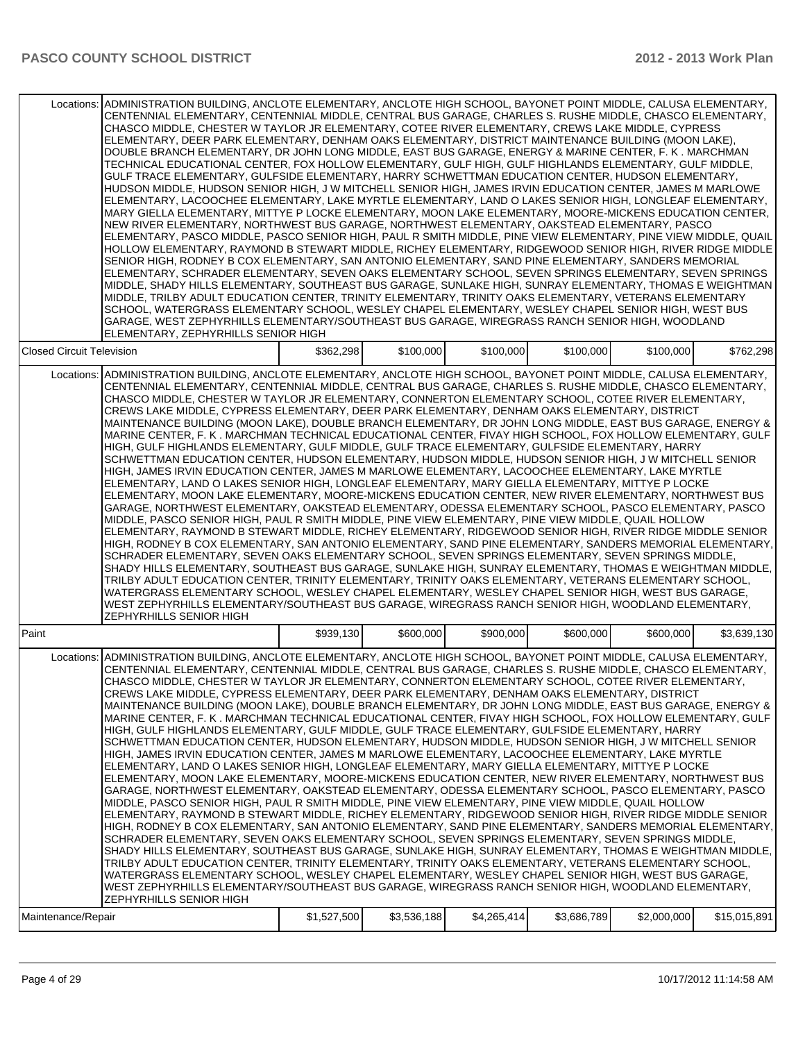| Locations:                       | ADMINISTRATION BUILDING, ANCLOTE ELEMENTARY, ANCLOTE HIGH SCHOOL, BAYONET POINT MIDDLE, CALUSA ELEMENTARY,<br>CENTENNIAL ELEMENTARY, CENTENNIAL MIDDLE, CENTRAL BUS GARAGE, CHARLES S. RUSHE MIDDLE, CHASCO ELEMENTARY,<br>CHASCO MIDDLE, CHESTER W TAYLOR JR ELEMENTARY, COTEE RIVER ELEMENTARY, CREWS LAKE MIDDLE, CYPRESS<br>ELEMENTARY, DEER PARK ELEMENTARY, DENHAM OAKS ELEMENTARY, DISTRICT MAINTENANCE BUILDING (MOON LAKE),<br>DOUBLE BRANCH ELEMENTARY, DR JOHN LONG MIDDLE, EAST BUS GARAGE, ENERGY & MARINE CENTER, F. K. MARCHMAN<br>TECHNICAL EDUCATIONAL CENTER, FOX HOLLOW ELEMENTARY, GULF HIGH, GULF HIGHLANDS ELEMENTARY, GULF MIDDLE,<br>GULF TRACE ELEMENTARY, GULFSIDE ELEMENTARY, HARRY SCHWETTMAN EDUCATION CENTER, HUDSON ELEMENTARY,<br>HUDSON MIDDLE, HUDSON SENIOR HIGH, J W MITCHELL SENIOR HIGH, JAMES IRVIN EDUCATION CENTER, JAMES M MARLOWE<br>ELEMENTARY, LACOOCHEE ELEMENTARY, LAKE MYRTLE ELEMENTARY, LAND O LAKES SENIOR HIGH, LONGLEAF ELEMENTARY,<br>MARY GIELLA ELEMENTARY, MITTYE P LOCKE ELEMENTARY, MOON LAKE ELEMENTARY, MOORE-MICKENS EDUCATION CENTER,<br>NEW RIVER ELEMENTARY, NORTHWEST BUS GARAGE, NORTHWEST ELEMENTARY, OAKSTEAD ELEMENTARY, PASCO<br>ELEMENTARY, PASCO MIDDLE, PASCO SENIOR HIGH, PAUL R SMITH MIDDLE, PINE VIEW ELEMENTARY, PINE VIEW MIDDLE, QUAIL<br>HOLLOW ELEMENTARY, RAYMOND B STEWART MIDDLE, RICHEY ELEMENTARY, RIDGEWOOD SENIOR HIGH, RIVER RIDGE MIDDLE<br>SENIOR HIGH. RODNEY B COX ELEMENTARY. SAN ANTONIO ELEMENTARY. SAND PINE ELEMENTARY. SANDERS MEMORIAL<br>ELEMENTARY, SCHRADER ELEMENTARY, SEVEN OAKS ELEMENTARY SCHOOL, SEVEN SPRINGS ELEMENTARY, SEVEN SPRINGS<br>MIDDLE, SHADY HILLS ELEMENTARY, SOUTHEAST BUS GARAGE, SUNLAKE HIGH, SUNRAY ELEMENTARY, THOMAS E WEIGHTMAN<br>MIDDLE, TRILBY ADULT EDUCATION CENTER, TRINITY ELEMENTARY, TRINITY OAKS ELEMENTARY, VETERANS ELEMENTARY<br>SCHOOL, WATERGRASS ELEMENTARY SCHOOL, WESLEY CHAPEL ELEMENTARY, WESLEY CHAPEL SENIOR HIGH, WEST BUS<br>GARAGE, WEST ZEPHYRHILLS ELEMENTARY/SOUTHEAST BUS GARAGE, WIREGRASS RANCH SENIOR HIGH, WOODLAND<br>ELEMENTARY, ZEPHYRHILLS SENIOR HIGH                                                                                         |             |             |             |             |             |              |
|----------------------------------|-------------------------------------------------------------------------------------------------------------------------------------------------------------------------------------------------------------------------------------------------------------------------------------------------------------------------------------------------------------------------------------------------------------------------------------------------------------------------------------------------------------------------------------------------------------------------------------------------------------------------------------------------------------------------------------------------------------------------------------------------------------------------------------------------------------------------------------------------------------------------------------------------------------------------------------------------------------------------------------------------------------------------------------------------------------------------------------------------------------------------------------------------------------------------------------------------------------------------------------------------------------------------------------------------------------------------------------------------------------------------------------------------------------------------------------------------------------------------------------------------------------------------------------------------------------------------------------------------------------------------------------------------------------------------------------------------------------------------------------------------------------------------------------------------------------------------------------------------------------------------------------------------------------------------------------------------------------------------------------------------------------------------------------------------------------------------------------------------------------------------------------------------------------------------------------------------------------------------|-------------|-------------|-------------|-------------|-------------|--------------|
| <b>Closed Circuit Television</b> |                                                                                                                                                                                                                                                                                                                                                                                                                                                                                                                                                                                                                                                                                                                                                                                                                                                                                                                                                                                                                                                                                                                                                                                                                                                                                                                                                                                                                                                                                                                                                                                                                                                                                                                                                                                                                                                                                                                                                                                                                                                                                                                                                                                                                         | \$362,298   | \$100,000   | \$100,000   | \$100,000   | \$100,000   | \$762,298    |
|                                  | Locations: ADMINISTRATION BUILDING, ANCLOTE ELEMENTARY, ANCLOTE HIGH SCHOOL, BAYONET POINT MIDDLE, CALUSA ELEMENTARY,<br>CENTENNIAL ELEMENTARY, CENTENNIAL MIDDLE, CENTRAL BUS GARAGE, CHARLES S. RUSHE MIDDLE, CHASCO ELEMENTARY,<br>CHASCO MIDDLE, CHESTER W TAYLOR JR ELEMENTARY, CONNERTON ELEMENTARY SCHOOL, COTEE RIVER ELEMENTARY,<br>CREWS LAKE MIDDLE, CYPRESS ELEMENTARY, DEER PARK ELEMENTARY, DENHAM OAKS ELEMENTARY, DISTRICT<br>MAINTENANCE BUILDING (MOON LAKE), DOUBLE BRANCH ELEMENTARY, DR JOHN LONG MIDDLE, EAST BUS GARAGE, ENERGY &<br>MARINE CENTER, F. K. MARCHMAN TECHNICAL EDUCATIONAL CENTER, FIVAY HIGH SCHOOL, FOX HOLLOW ELEMENTARY, GULF<br>HIGH, GULF HIGHLANDS ELEMENTARY, GULF MIDDLE, GULF TRACE ELEMENTARY, GULFSIDE ELEMENTARY, HARRY<br>SCHWETTMAN EDUCATION CENTER, HUDSON ELEMENTARY, HUDSON MIDDLE, HUDSON SENIOR HIGH, J W MITCHELL SENIOR<br>HIGH, JAMES IRVIN EDUCATION CENTER, JAMES M MARLOWE ELEMENTARY, LACOOCHEE ELEMENTARY, LAKE MYRTLE<br>ELEMENTARY, LAND O LAKES SENIOR HIGH, LONGLEAF ELEMENTARY, MARY GIELLA ELEMENTARY, MITTYE P LOCKE<br>ELEMENTARY, MOON LAKE ELEMENTARY, MOORE-MICKENS EDUCATION CENTER, NEW RIVER ELEMENTARY, NORTHWEST BUS<br>GARAGE, NORTHWEST ELEMENTARY, OAKSTEAD ELEMENTARY, ODESSA ELEMENTARY SCHOOL, PASCO ELEMENTARY, PASCO<br>MIDDLE, PASCO SENIOR HIGH, PAUL R SMITH MIDDLE, PINE VIEW ELEMENTARY, PINE VIEW MIDDLE, QUAIL HOLLOW<br>ELEMENTARY, RAYMOND B STEWART MIDDLE, RICHEY ELEMENTARY, RIDGEWOOD SENIOR HIGH, RIVER RIDGE MIDDLE SENIOR<br>HIGH, RODNEY B COX ELEMENTARY, SAN ANTONIO ELEMENTARY, SAND PINE ELEMENTARY, SANDERS MEMORIAL ELEMENTARY,<br>SCHRADER ELEMENTARY, SEVEN OAKS ELEMENTARY SCHOOL, SEVEN SPRINGS ELEMENTARY, SEVEN SPRINGS MIDDLE,<br>SHADY HILLS ELEMENTARY, SOUTHEAST BUS GARAGE, SUNLAKE HIGH, SUNRAY ELEMENTARY, THOMAS E WEIGHTMAN MIDDLE,<br>TRILBY ADULT EDUCATION CENTER, TRINITY ELEMENTARY, TRINITY OAKS ELEMENTARY, VETERANS ELEMENTARY SCHOOL,<br>WATERGRASS ELEMENTARY SCHOOL, WESLEY CHAPEL ELEMENTARY, WESLEY CHAPEL SENIOR HIGH, WEST BUS GARAGE,<br>WEST ZEPHYRHILLS ELEMENTARY/SOUTHEAST BUS GARAGE, WIREGRASS RANCH SENIOR HIGH, WOODLAND ELEMENTARY,<br>ZEPHYRHILLS SENIOR HIGH |             |             |             |             |             |              |
| <b>Paint</b>                     |                                                                                                                                                                                                                                                                                                                                                                                                                                                                                                                                                                                                                                                                                                                                                                                                                                                                                                                                                                                                                                                                                                                                                                                                                                                                                                                                                                                                                                                                                                                                                                                                                                                                                                                                                                                                                                                                                                                                                                                                                                                                                                                                                                                                                         | \$939,130   | \$600,000   | \$900,000   | \$600,000   | \$600,000   | \$3,639,130  |
|                                  | Locations: ADMINISTRATION BUILDING, ANCLOTE ELEMENTARY, ANCLOTE HIGH SCHOOL, BAYONET POINT MIDDLE, CALUSA ELEMENTARY,<br>CENTENNIAL ELEMENTARY, CENTENNIAL MIDDLE, CENTRAL BUS GARAGE, CHARLES S. RUSHE MIDDLE, CHASCO ELEMENTARY,<br>CHASCO MIDDLE, CHESTER W TAYLOR JR ELEMENTARY, CONNERTON ELEMENTARY SCHOOL, COTEE RIVER ELEMENTARY,<br>CREWS LAKE MIDDLE, CYPRESS ELEMENTARY, DEER PARK ELEMENTARY, DENHAM OAKS ELEMENTARY, DISTRICT<br>MAINTENANCE BUILDING (MOON LAKE), DOUBLE BRANCH ELEMENTARY, DR JOHN LONG MIDDLE, EAST BUS GARAGE, ENERGY &<br>MARINE CENTER, F. K. MARCHMAN TECHNICAL EDUCATIONAL CENTER, FIVAY HIGH SCHOOL, FOX HOLLOW ELEMENTARY, GULF<br>HIGH. GULF HIGHLANDS ELEMENTARY. GULF MIDDLE. GULF TRACE ELEMENTARY. GULFSIDE ELEMENTARY. HARRY<br>SCHWETTMAN EDUCATION CENTER, HUDSON ELEMENTARY, HUDSON MIDDLE, HUDSON SENIOR HIGH, J W MITCHELL SENIOR<br>HIGH, JAMES IRVIN EDUCATION CENTER, JAMES M MARLOWE ELEMENTARY, LACOOCHEE ELEMENTARY, LAKE MYRTLE<br>ELEMENTARY, LAND O LAKES SENIOR HIGH, LONGLEAF ELEMENTARY, MARY GIELLA ELEMENTARY, MITTYE P LOCKE<br>ELEMENTARY, MOON LAKE ELEMENTARY, MOORE-MICKENS EDUCATION CENTER, NEW RIVER ELEMENTARY, NORTHWEST BUS<br>GARAGE, NORTHWEST ELEMENTARY, OAKSTEAD ELEMENTARY, ODESSA ELEMENTARY SCHOOL, PASCO ELEMENTARY, PASCO<br>MIDDLE, PASCO SENIOR HIGH, PAUL R SMITH MIDDLE, PINE VIEW ELEMENTARY, PINE VIEW MIDDLE, QUAIL HOLLOW<br>ELEMENTARY, RAYMOND B STEWART MIDDLE, RICHEY ELEMENTARY, RIDGEWOOD SENIOR HIGH, RIVER RIDGE MIDDLE SENIOR<br>HIGH. RODNEY B COX ELEMENTARY. SAN ANTONIO ELEMENTARY. SAND PINE ELEMENTARY. SANDERS MEMORIAL ELEMENTARY.<br>SCHRADER ELEMENTARY, SEVEN OAKS ELEMENTARY SCHOOL, SEVEN SPRINGS ELEMENTARY, SEVEN SPRINGS MIDDLE,<br>SHADY HILLS ELEMENTARY, SOUTHEAST BUS GARAGE, SUNLAKE HIGH, SUNRAY ELEMENTARY, THOMAS E WEIGHTMAN MIDDLE,<br>TRILBY ADULT EDUCATION CENTER, TRINITY ELEMENTARY, TRINITY OAKS ELEMENTARY, VETERANS ELEMENTARY SCHOOL,<br>WATERGRASS ELEMENTARY SCHOOL, WESLEY CHAPEL ELEMENTARY, WESLEY CHAPEL SENIOR HIGH, WEST BUS GARAGE,<br>WEST ZEPHYRHILLS ELEMENTARY/SOUTHEAST BUS GARAGE, WIREGRASS RANCH SENIOR HIGH, WOODLAND ELEMENTARY,<br>ZEPHYRHILLS SENIOR HIGH |             |             |             |             |             |              |
| Maintenance/Repair               |                                                                                                                                                                                                                                                                                                                                                                                                                                                                                                                                                                                                                                                                                                                                                                                                                                                                                                                                                                                                                                                                                                                                                                                                                                                                                                                                                                                                                                                                                                                                                                                                                                                                                                                                                                                                                                                                                                                                                                                                                                                                                                                                                                                                                         | \$1,527,500 | \$3,536,188 | \$4,265,414 | \$3,686,789 | \$2,000,000 | \$15,015,891 |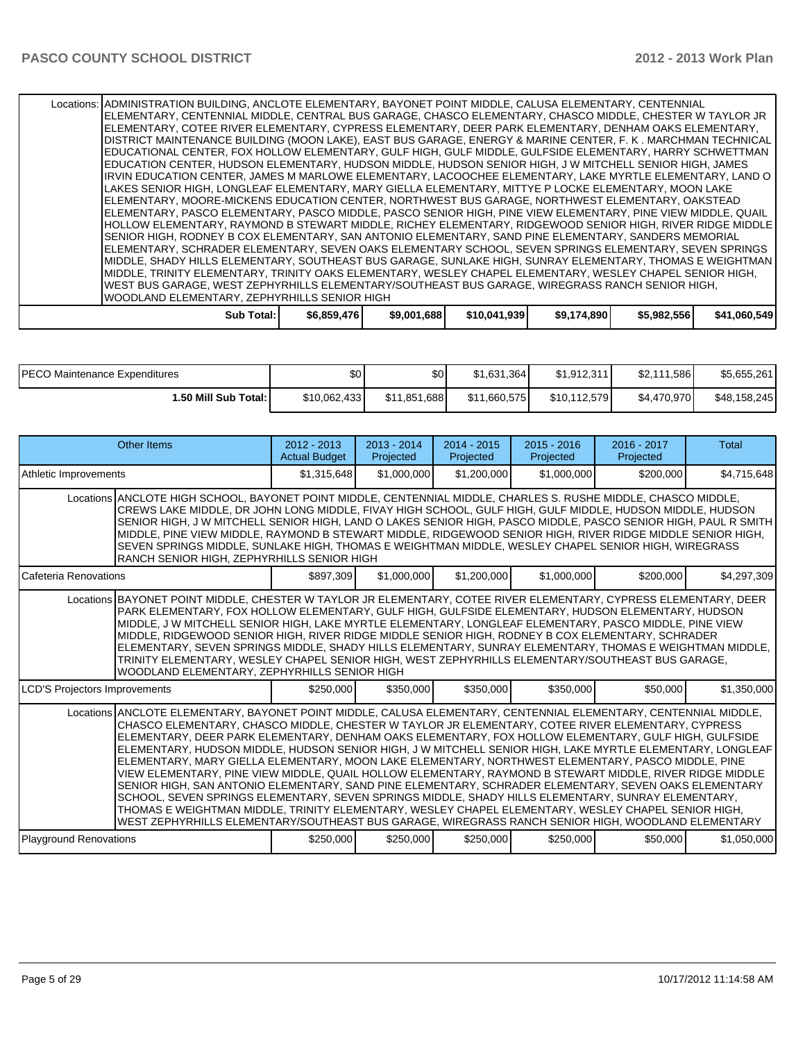Locations: ADMINISTRATION BUILDING, ANCLOTE ELEMENTARY, BAYONET POINT MIDDLE, CALUSA ELEMENTARY, CENTENNIAL ELEMENTARY, CENTENNIAL MIDDLE, CENTRAL BUS GARAGE, CHASCO ELEMENTARY, CHASCO MIDDLE, CHESTER W TAYLOR JR ELEMENTARY, COTEE RIVER ELEMENTARY, CYPRESS ELEMENTARY, DEER PARK ELEMENTARY, DENHAM OAKS ELEMENTARY, DISTRICT MAINTENANCE BUILDING (MOON LAKE), EAST BUS GARAGE, ENERGY & MARINE CENTER, F. K . MARCHMAN TECHNICAL EDUCATIONAL CENTER, FOX HOLLOW ELEMENTARY, GULF HIGH, GULF MIDDLE, GULFSIDE ELEMENTARY, HARRY SCHWETTMAN EDUCATION CENTER, HUDSON ELEMENTARY, HUDSON MIDDLE, HUDSON SENIOR HIGH, J W MITCHELL SENIOR HIGH, JAMES IRVIN EDUCATION CENTER, JAMES M MARLOWE ELEMENTARY, LACOOCHEE ELEMENTARY, LAKE MYRTLE ELEMENTARY, LAND O LAKES SENIOR HIGH, LONGLEAF ELEMENTARY, MARY GIELLA ELEMENTARY, MITTYE P LOCKE ELEMENTARY, MOON LAKE ELEMENTARY, MOORE-MICKENS EDUCATION CENTER, NORTHWEST BUS GARAGE, NORTHWEST ELEMENTARY, OAKSTEAD ELEMENTARY, PASCO ELEMENTARY, PASCO MIDDLE, PASCO SENIOR HIGH, PINE VIEW ELEMENTARY, PINE VIEW MIDDLE, QUAIL HOLLOW ELEMENTARY, RAYMOND B STEWART MIDDLE, RICHEY ELEMENTARY, RIDGEWOOD SENIOR HIGH, RIVER RIDGE MIDDLE SENIOR HIGH, RODNEY B COX ELEMENTARY, SAN ANTONIO ELEMENTARY, SAND PINE ELEMENTARY, SANDERS MEMORIAL ELEMENTARY, SCHRADER ELEMENTARY, SEVEN OAKS ELEMENTARY SCHOOL, SEVEN SPRINGS ELEMENTARY, SEVEN SPRINGS MIDDLE, SHADY HILLS ELEMENTARY, SOUTHEAST BUS GARAGE, SUNLAKE HIGH, SUNRAY ELEMENTARY, THOMAS E WEIGHTMAN MIDDLE, TRINITY ELEMENTARY, TRINITY OAKS ELEMENTARY, WESLEY CHAPEL ELEMENTARY, WESLEY CHAPEL SENIOR HIGH, WEST BUS GARAGE, WEST ZEPHYRHILLS ELEMENTARY/SOUTHEAST BUS GARAGE, WIREGRASS RANCH SENIOR HIGH, WOODLAND ELEMENTARY, ZEPHYRHILLS SENIOR HIGH

|  | Total:<br>Sub | \$6,859,476 | 1.6881<br>\$9,001 | \$10.041.939 | \$9,174,890 | \$5,982,556 | \$41,060,549 |
|--|---------------|-------------|-------------------|--------------|-------------|-------------|--------------|
|--|---------------|-------------|-------------------|--------------|-------------|-------------|--------------|

| <b>IPECO Maintenance Expenditures</b> | \$0 <sub>1</sub> | \$0          | \$1,631,364  | \$1.912.311  | \$2,111,586 | \$5,655,261  |
|---------------------------------------|------------------|--------------|--------------|--------------|-------------|--------------|
| 1.50 Mill Sub Total: I                | \$10,062,433     | \$11,851,688 | \$11,660,575 | \$10,112,579 | \$4,470,970 | \$48,158,245 |

| <b>Other Items</b>                                                                                                                                                                                                                                                                                                                                                                                                                                                                                                                                                                                                                                                                                                                                                                                                                                                                                                                                                                                                                                                                       | $2012 - 2013$<br><b>Actual Budget</b> | $2013 - 2014$<br>Projected | $2014 - 2015$<br>Projected | $2015 - 2016$<br>Projected | $2016 - 2017$<br>Projected | Total       |
|------------------------------------------------------------------------------------------------------------------------------------------------------------------------------------------------------------------------------------------------------------------------------------------------------------------------------------------------------------------------------------------------------------------------------------------------------------------------------------------------------------------------------------------------------------------------------------------------------------------------------------------------------------------------------------------------------------------------------------------------------------------------------------------------------------------------------------------------------------------------------------------------------------------------------------------------------------------------------------------------------------------------------------------------------------------------------------------|---------------------------------------|----------------------------|----------------------------|----------------------------|----------------------------|-------------|
| Athletic Improvements                                                                                                                                                                                                                                                                                                                                                                                                                                                                                                                                                                                                                                                                                                                                                                                                                                                                                                                                                                                                                                                                    | \$1,315,648                           | \$1,000,000                | \$1,200,000                | \$1,000,000                | \$200,000                  | \$4,715,648 |
| Locations ANCLOTE HIGH SCHOOL, BAYONET POINT MIDDLE, CENTENNIAL MIDDLE, CHARLES S. RUSHE MIDDLE, CHASCO MIDDLE,<br>CREWS LAKE MIDDLE, DR JOHN LONG MIDDLE, FIVAY HIGH SCHOOL, GULF HIGH, GULF MIDDLE, HUDSON MIDDLE, HUDSON<br>SENIOR HIGH, J W MITCHELL SENIOR HIGH, LAND O LAKES SENIOR HIGH, PASCO MIDDLE, PASCO SENIOR HIGH, PAUL R SMITH<br>MIDDLE, PINE VIEW MIDDLE, RAYMOND B STEWART MIDDLE, RIDGEWOOD SENIOR HIGH, RIVER RIDGE MIDDLE SENIOR HIGH,<br>SEVEN SPRINGS MIDDLE, SUNLAKE HIGH, THOMAS E WEIGHTMAN MIDDLE, WESLEY CHAPEL SENIOR HIGH, WIREGRASS<br>RANCH SENIOR HIGH, ZEPHYRHILLS SENIOR HIGH                                                                                                                                                                                                                                                                                                                                                                                                                                                                         |                                       |                            |                            |                            |                            |             |
| l Cafeteria Renovations                                                                                                                                                                                                                                                                                                                                                                                                                                                                                                                                                                                                                                                                                                                                                                                                                                                                                                                                                                                                                                                                  | \$897,309                             | \$1,000,000                | \$1,200,000                | \$1,000,000                | \$200,000                  | \$4,297,309 |
| Locations BAYONET POINT MIDDLE, CHESTER W TAYLOR JR ELEMENTARY, COTEE RIVER ELEMENTARY, CYPRESS ELEMENTARY, DEER<br>PARK ELEMENTARY, FOX HOLLOW ELEMENTARY, GULF HIGH, GULFSIDE ELEMENTARY, HUDSON ELEMENTARY, HUDSON<br>MIDDLE, J W MITCHELL SENIOR HIGH, LAKE MYRTLE ELEMENTARY, LONGLEAF ELEMENTARY, PASCO MIDDLE, PINE VIEW<br>MIDDLE, RIDGEWOOD SENIOR HIGH, RIVER RIDGE MIDDLE SENIOR HIGH, RODNEY B COX ELEMENTARY, SCHRADER<br>ELEMENTARY, SEVEN SPRINGS MIDDLE, SHADY HILLS ELEMENTARY, SUNRAY ELEMENTARY, THOMAS E WEIGHTMAN MIDDLE,<br>TRINITY ELEMENTARY, WESLEY CHAPEL SENIOR HIGH, WEST ZEPHYRHILLS ELEMENTARY/SOUTHEAST BUS GARAGE,<br>WOODLAND ELEMENTARY, ZEPHYRHILLS SENIOR HIGH                                                                                                                                                                                                                                                                                                                                                                                       |                                       |                            |                            |                            |                            |             |
| <b>LCD'S Projectors Improvements</b>                                                                                                                                                                                                                                                                                                                                                                                                                                                                                                                                                                                                                                                                                                                                                                                                                                                                                                                                                                                                                                                     | \$250,000                             | \$350,000                  | \$350,000                  | \$350,000                  | \$50,000                   | \$1,350,000 |
| Locations ANCLOTE ELEMENTARY, BAYONET POINT MIDDLE, CALUSA ELEMENTARY, CENTENNIAL ELEMENTARY, CENTENNIAL MIDDLE,<br>CHASCO ELEMENTARY. CHASCO MIDDLE. CHESTER W TAYLOR JR ELEMENTARY. COTEE RIVER ELEMENTARY. CYPRESS<br>ELEMENTARY, DEER PARK ELEMENTARY, DENHAM OAKS ELEMENTARY, FOX HOLLOW ELEMENTARY, GULF HIGH, GULFSIDE<br>ELEMENTARY, HUDSON MIDDLE, HUDSON SENIOR HIGH, J W MITCHELL SENIOR HIGH, LAKE MYRTLE ELEMENTARY, LONGLEAF<br>ELEMENTARY, MARY GIELLA ELEMENTARY, MOON LAKE ELEMENTARY, NORTHWEST ELEMENTARY, PASCO MIDDLE, PINE<br>VIEW ELEMENTARY. PINE VIEW MIDDLE, QUAIL HOLLOW ELEMENTARY. RAYMOND B STEWART MIDDLE, RIVER RIDGE MIDDLE<br>SENIOR HIGH, SAN ANTONIO ELEMENTARY, SAND PINE ELEMENTARY, SCHRADER ELEMENTARY, SEVEN OAKS ELEMENTARY<br>SCHOOL, SEVEN SPRINGS ELEMENTARY, SEVEN SPRINGS MIDDLE, SHADY HILLS ELEMENTARY, SUNRAY ELEMENTARY,<br>THOMAS E WEIGHTMAN MIDDLE, TRINITY ELEMENTARY, WESLEY CHAPEL ELEMENTARY, WESLEY CHAPEL SENIOR HIGH,<br>WEST ZEPHYRHILLS ELEMENTARY/SOUTHEAST BUS GARAGE. WIREGRASS RANCH SENIOR HIGH. WOODLAND ELEMENTARY |                                       |                            |                            |                            |                            |             |
| Playground Renovations                                                                                                                                                                                                                                                                                                                                                                                                                                                                                                                                                                                                                                                                                                                                                                                                                                                                                                                                                                                                                                                                   | \$250,000                             | \$250,000                  | \$250,000                  | \$250,000                  | \$50,000                   | \$1,050,000 |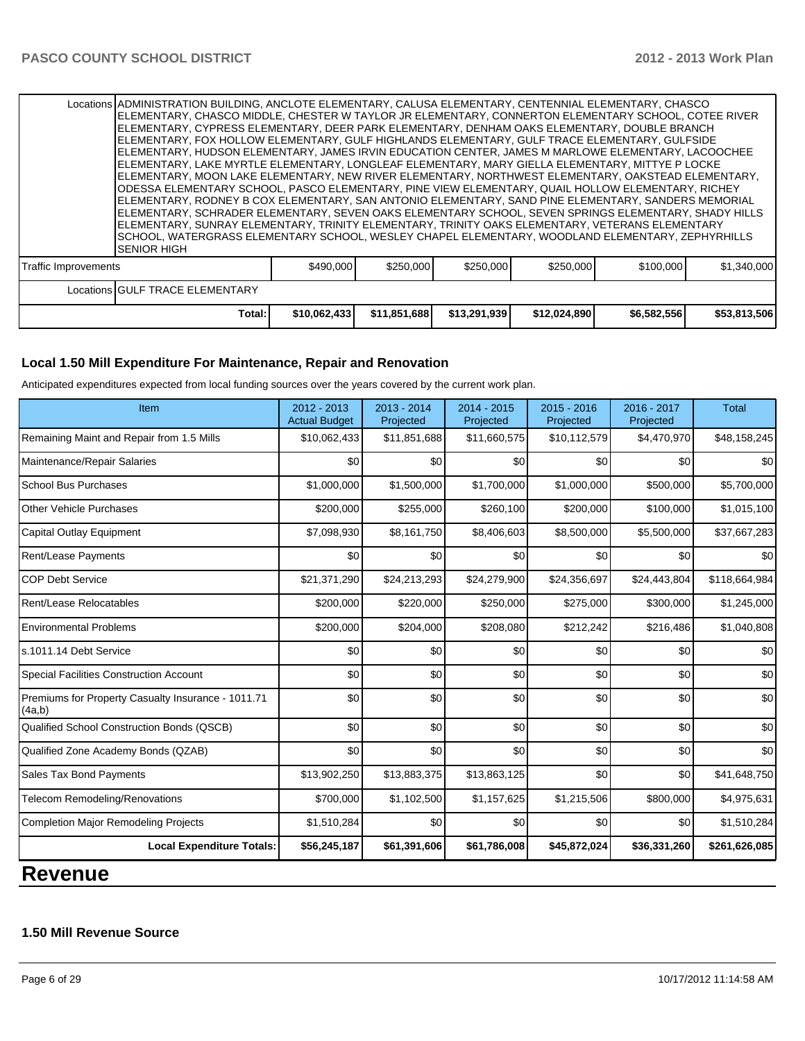| Locations GULF TRACE ELEMENTARY | \$490,000<br>\$250,000<br>\$250,000<br>\$250,000<br>\$1,340,000<br>\$100,000<br><b>Traffic Improvements</b> |
|---------------------------------|-------------------------------------------------------------------------------------------------------------|
|                                 |                                                                                                             |

#### **Local 1.50 Mill Expenditure For Maintenance, Repair and Renovation**

Anticipated expenditures expected from local funding sources over the years covered by the current work plan.

| Item                                                         | 2012 - 2013<br><b>Actual Budget</b> | $2013 - 2014$<br>Projected | 2014 - 2015<br>Projected | 2015 - 2016<br>Projected | 2016 - 2017<br>Projected | <b>Total</b>  |
|--------------------------------------------------------------|-------------------------------------|----------------------------|--------------------------|--------------------------|--------------------------|---------------|
| Remaining Maint and Repair from 1.5 Mills                    | \$10,062,433                        | \$11,851,688               | \$11,660,575             | \$10,112,579             | \$4,470,970              | \$48,158,245  |
| Maintenance/Repair Salaries                                  | \$0                                 | \$0                        | \$0                      | \$0                      | \$0                      | \$0           |
| <b>School Bus Purchases</b>                                  | \$1,000,000                         | \$1,500,000                | \$1,700,000              | \$1,000,000              | \$500,000                | \$5,700,000   |
| <b>Other Vehicle Purchases</b>                               | \$200,000                           | \$255,000                  | \$260,100                | \$200,000                | \$100,000                | \$1,015,100   |
| Capital Outlay Equipment                                     | \$7,098,930                         | \$8,161,750                | \$8,406,603              | \$8,500,000              | \$5,500,000              | \$37,667,283  |
| Rent/Lease Payments                                          | \$0                                 | \$0                        | \$0                      | \$0                      | \$0                      | \$0           |
| <b>COP Debt Service</b>                                      | \$21,371,290                        | \$24,213,293               | \$24,279,900             | \$24,356,697             | \$24,443,804             | \$118,664,984 |
| Rent/Lease Relocatables                                      | \$200,000                           | \$220,000                  | \$250,000                | \$275,000                | \$300,000                | \$1,245,000   |
| <b>Environmental Problems</b>                                | \$200,000                           | \$204,000                  | \$208,080                | \$212,242                | \$216,486                | \$1,040,808   |
| ls.1011.14 Debt Service                                      | \$0                                 | \$0                        | \$0                      | \$0                      | \$0                      | \$0           |
| <b>Special Facilities Construction Account</b>               | \$0                                 | \$0                        | \$0                      | \$0                      | \$0                      | \$0           |
| Premiums for Property Casualty Insurance - 1011.71<br>(4a,b) | \$0                                 | \$0                        | \$0                      | \$0                      | \$0                      | \$0           |
| Qualified School Construction Bonds (QSCB)                   | \$0                                 | \$0                        | \$0                      | \$0                      | \$0                      | \$0           |
| Qualified Zone Academy Bonds (QZAB)                          | \$0                                 | $\mathcal{S}$              | \$0                      | \$0                      | \$0                      | \$0           |
| Sales Tax Bond Payments                                      | \$13,902,250                        | \$13,883,375               | \$13,863,125             | \$0                      | \$0                      | \$41,648,750  |
| Telecom Remodeling/Renovations                               | \$700,000                           | \$1,102,500                | \$1,157,625              | \$1,215,506              | \$800,000                | \$4,975,631   |
| <b>Completion Major Remodeling Projects</b>                  | \$1,510,284                         | \$0                        | \$0                      | \$0                      | \$0                      | \$1,510,284   |
| <b>Local Expenditure Totals:</b>                             | \$56,245,187                        | \$61,391,606               | \$61,786,008             | \$45,872,024             | \$36,331,260             | \$261,626,085 |

## **Revenue**

## **1.50 Mill Revenue Source**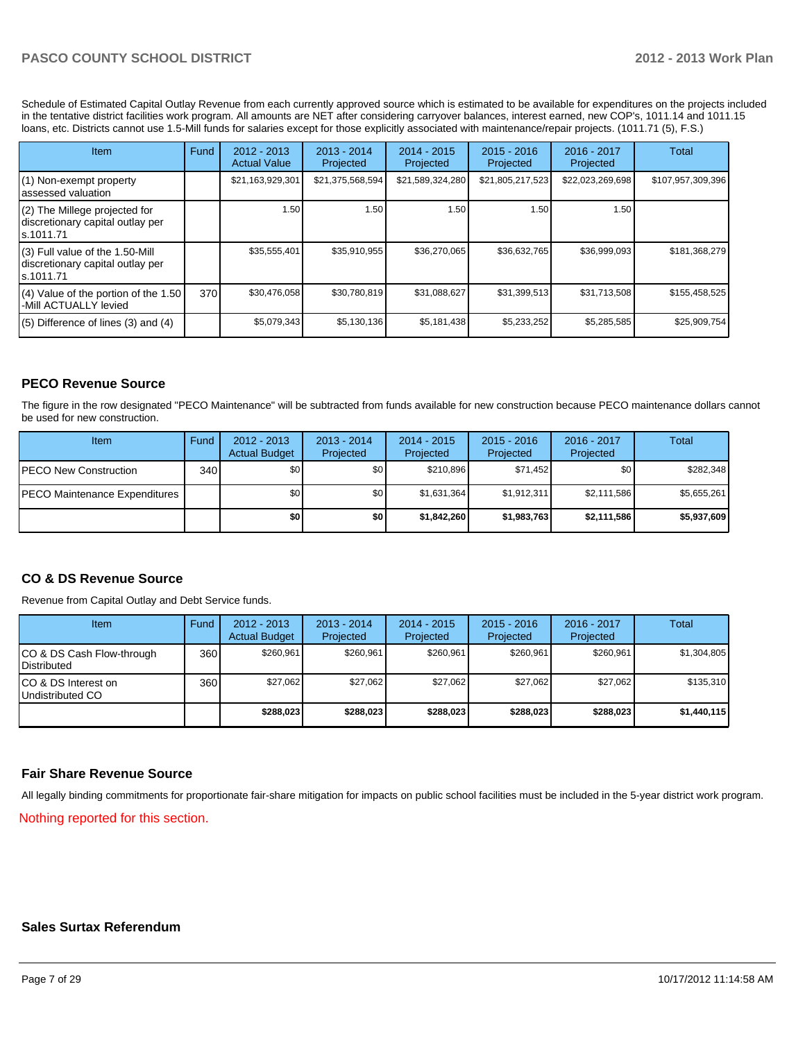Schedule of Estimated Capital Outlay Revenue from each currently approved source which is estimated to be available for expenditures on the projects included in the tentative district facilities work program. All amounts are NET after considering carryover balances, interest earned, new COP's, 1011.14 and 1011.15 loans, etc. Districts cannot use 1.5-Mill funds for salaries except for those explicitly associated with maintenance/repair projects. (1011.71 (5), F.S.)

| <b>Item</b>                                                                         | Fund | $2012 - 2013$<br><b>Actual Value</b> | $2013 - 2014$<br>Projected | $2014 - 2015$<br>Projected | $2015 - 2016$<br>Projected | 2016 - 2017<br>Projected | Total             |
|-------------------------------------------------------------------------------------|------|--------------------------------------|----------------------------|----------------------------|----------------------------|--------------------------|-------------------|
| (1) Non-exempt property<br>lassessed valuation                                      |      | \$21,163,929,301                     | \$21,375,568,594           | \$21,589,324,280           | \$21,805,217,523           | \$22,023,269,698         | \$107,957,309,396 |
| (2) The Millege projected for<br>discretionary capital outlay per<br>ls.1011.71     |      | 1.50                                 | 1.50 I                     | 1.50                       | 1.50                       | 1.50                     |                   |
| $(3)$ Full value of the 1.50-Mill<br>discretionary capital outlay per<br>ls.1011.71 |      | \$35,555,401                         | \$35.910.955               | \$36,270,065               | \$36,632,765               | \$36.999.093             | \$181,368,279     |
| $(4)$ Value of the portion of the 1.50<br>I-Mill ACTUALLY levied                    | 370  | \$30,476,058                         | \$30.780.819               | \$31,088,627               | \$31,399,513               | \$31,713,508             | \$155,458,525     |
| $(5)$ Difference of lines (3) and (4)                                               |      | \$5,079,343                          | \$5,130,136                | \$5,181,438                | \$5,233,252                | \$5,285,585              | \$25,909,754      |

## **PECO Revenue Source**

The figure in the row designated "PECO Maintenance" will be subtracted from funds available for new construction because PECO maintenance dollars cannot be used for new construction.

| Item                                 | Fund | $2012 - 2013$<br><b>Actual Budget</b> | $2013 - 2014$<br>Projected | $2014 - 2015$<br>Projected | $2015 - 2016$<br>Projected | $2016 - 2017$<br>Projected | Total       |
|--------------------------------------|------|---------------------------------------|----------------------------|----------------------------|----------------------------|----------------------------|-------------|
| <b>PECO New Construction</b>         | 340  | \$0                                   | \$0 I                      | \$210.896                  | \$71,452                   | \$0 <sub>1</sub>           | \$282,348   |
| <b>PECO Maintenance Expenditures</b> |      | \$0                                   | \$0                        | \$1,631,364                | \$1,912,311                | \$2,111,586                | \$5,655,261 |
|                                      |      | \$0                                   | \$0 I                      | \$1,842,260                | \$1,983,763                | \$2,111,586                | \$5,937,609 |

## **CO & DS Revenue Source**

Revenue from Capital Outlay and Debt Service funds.

| Item                                              | Fund | 2012 - 2013<br><b>Actual Budget</b> | $2013 - 2014$<br>Projected | $2014 - 2015$<br>Projected | $2015 - 2016$<br>Projected | $2016 - 2017$<br>Projected | Total       |
|---------------------------------------------------|------|-------------------------------------|----------------------------|----------------------------|----------------------------|----------------------------|-------------|
| CO & DS Cash Flow-through<br><b>I</b> Distributed | 360  | \$260.961                           | \$260.961                  | \$260,961                  | \$260,961                  | \$260.961                  | \$1,304,805 |
| ICO & DS Interest on<br>Undistributed CO          | 360  | \$27,062                            | \$27,062                   | \$27.062                   | \$27,062                   | \$27,062                   | \$135,310   |
|                                                   |      | \$288,023                           | \$288,023                  | \$288.023                  | \$288.023                  | \$288,023                  | \$1,440,115 |

#### **Fair Share Revenue Source**

All legally binding commitments for proportionate fair-share mitigation for impacts on public school facilities must be included in the 5-year district work program.

Nothing reported for this section.

#### **Sales Surtax Referendum**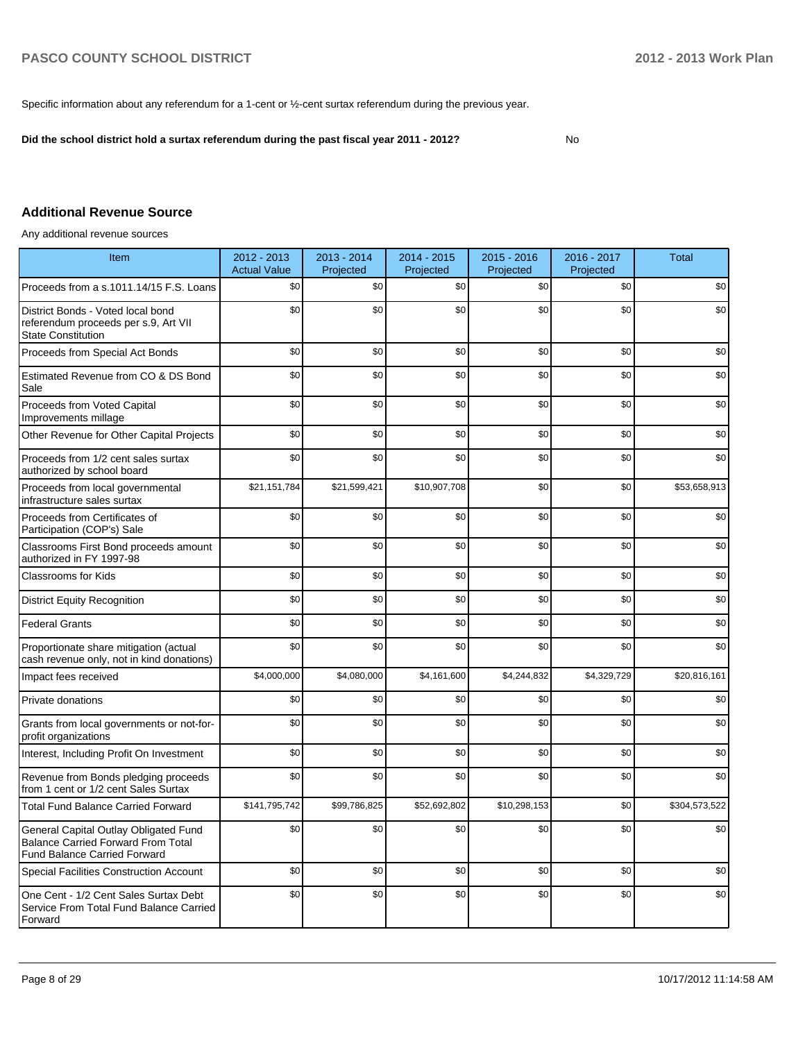Specific information about any referendum for a 1-cent or ½-cent surtax referendum during the previous year.

**Did the school district hold a surtax referendum during the past fiscal year 2011 - 2012?**

No

#### **Additional Revenue Source**

Any additional revenue sources

| Item                                                                                                                      | 2012 - 2013<br><b>Actual Value</b> | 2013 - 2014<br>Projected | 2014 - 2015<br>Projected | $2015 - 2016$<br>Projected | 2016 - 2017<br>Projected | <b>Total</b>  |
|---------------------------------------------------------------------------------------------------------------------------|------------------------------------|--------------------------|--------------------------|----------------------------|--------------------------|---------------|
| Proceeds from a s.1011.14/15 F.S. Loans                                                                                   | \$0                                | \$0                      | \$0                      | \$0                        | \$0                      | \$0           |
| District Bonds - Voted local bond<br>referendum proceeds per s.9, Art VII<br><b>State Constitution</b>                    | \$0                                | \$0                      | \$0                      | \$0                        | \$0                      | \$0           |
| Proceeds from Special Act Bonds                                                                                           | \$0                                | \$0                      | \$0                      | \$0                        | \$0                      | \$0           |
| Estimated Revenue from CO & DS Bond<br>Sale                                                                               | \$0                                | \$0                      | \$0                      | \$0                        | \$0                      | \$0           |
| Proceeds from Voted Capital<br>Improvements millage                                                                       | \$0                                | \$0                      | \$0                      | \$0                        | \$0                      | \$0           |
| Other Revenue for Other Capital Projects                                                                                  | \$0                                | \$0                      | \$0                      | \$0                        | \$0                      | \$0           |
| Proceeds from 1/2 cent sales surtax<br>authorized by school board                                                         | \$0                                | \$0                      | \$0                      | \$0                        | \$0                      | \$0           |
| Proceeds from local governmental<br>infrastructure sales surtax                                                           | \$21,151,784                       | \$21,599,421             | \$10,907,708             | \$0                        | \$0                      | \$53,658,913  |
| Proceeds from Certificates of<br>Participation (COP's) Sale                                                               | \$0                                | \$0                      | \$0                      | \$0                        | \$0                      | \$0           |
| Classrooms First Bond proceeds amount<br>authorized in FY 1997-98                                                         | \$0                                | \$0                      | \$0                      | \$0                        | \$0                      | \$0           |
| Classrooms for Kids                                                                                                       | \$0                                | \$0                      | \$0                      | \$0                        | \$0                      | \$0           |
| <b>District Equity Recognition</b>                                                                                        | \$0                                | \$0                      | \$0                      | \$0                        | \$0                      | \$0           |
| <b>Federal Grants</b>                                                                                                     | \$0                                | \$0                      | \$0                      | \$0                        | \$0                      | \$0           |
| Proportionate share mitigation (actual<br>cash revenue only, not in kind donations)                                       | \$0                                | \$0                      | \$0                      | \$0                        | \$0                      | \$0           |
| Impact fees received                                                                                                      | \$4,000,000                        | \$4,080,000              | \$4,161,600              | \$4,244,832                | \$4,329,729              | \$20,816,161  |
| Private donations                                                                                                         | \$0                                | \$0                      | \$0                      | \$0                        | \$0                      | \$0           |
| Grants from local governments or not-for-<br>profit organizations                                                         | \$0                                | \$0                      | \$0                      | \$0                        | \$0                      | \$0           |
| Interest, Including Profit On Investment                                                                                  | \$0                                | \$0                      | \$0                      | \$0                        | \$0                      | \$0           |
| Revenue from Bonds pledging proceeds<br>from 1 cent or 1/2 cent Sales Surtax                                              | \$0                                | \$0                      | \$0                      | \$0                        | \$0                      | \$0           |
| <b>Total Fund Balance Carried Forward</b>                                                                                 | \$141,795,742                      | \$99,786,825             | \$52,692,802             | \$10,298,153               | \$0                      | \$304,573,522 |
| General Capital Outlay Obligated Fund<br><b>Balance Carried Forward From Total</b><br><b>Fund Balance Carried Forward</b> | \$0                                | \$0                      | \$0                      | \$0                        | \$0                      | \$0           |
| <b>Special Facilities Construction Account</b>                                                                            | \$0                                | \$0                      | \$0                      | \$0                        | \$0                      | \$0           |
| One Cent - 1/2 Cent Sales Surtax Debt<br>Service From Total Fund Balance Carried<br>Forward                               | \$0                                | \$0                      | \$0                      | \$0                        | \$0                      | \$0           |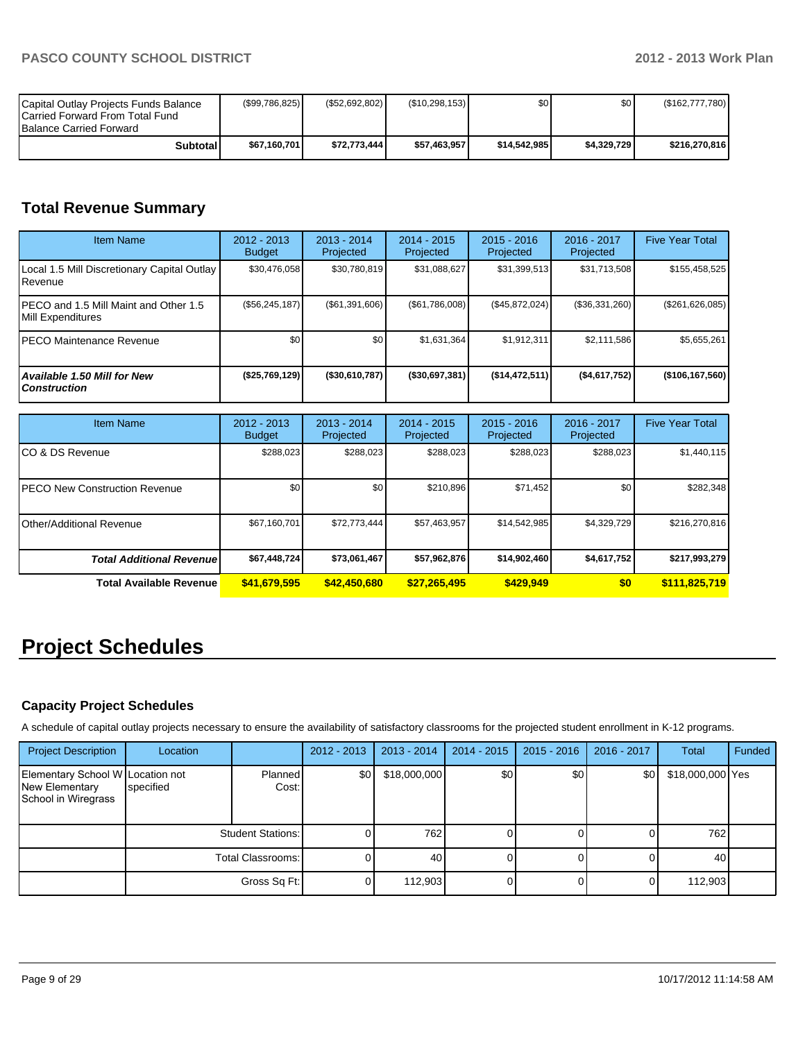| Capital Outlay Projects Funds Balance<br>Carried Forward From Total Fund<br><b>Balance Carried Forward</b> | (\$99,786,825) | (\$52,692,802) | (\$10,298,153) | ا 30         | \$0         | (\$162,777,780) |
|------------------------------------------------------------------------------------------------------------|----------------|----------------|----------------|--------------|-------------|-----------------|
| Subtotal                                                                                                   | \$67,160,701   | \$72.773.444   | \$57.463.957   | \$14.542.985 | \$4.329.729 | \$216,270,816   |

# **Total Revenue Summary**

| <b>Item Name</b>                                           | $2012 - 2013$<br><b>Budget</b> | $2013 - 2014$<br>Projected | $2014 - 2015$<br>Projected | $2015 - 2016$<br>Projected | 2016 - 2017<br>Projected | <b>Five Year Total</b> |
|------------------------------------------------------------|--------------------------------|----------------------------|----------------------------|----------------------------|--------------------------|------------------------|
| Local 1.5 Mill Discretionary Capital Outlay<br>Revenue     | \$30,476,058                   | \$30,780,819               | \$31,088,627               | \$31,399,513               | \$31,713,508             | \$155,458,525          |
| PECO and 1.5 Mill Maint and Other 1.5<br>Mill Expenditures | (S56, 245, 187)                | (S61, 391, 606)            | (S61,786,008)              | (\$45,872,024)             | (\$36,331,260)           | (\$261,626,085)        |
| IPECO Maintenance Revenue                                  | \$0                            | \$0 <sub>1</sub>           | \$1,631,364                | \$1.912.311                | \$2,111,586              | \$5,655,261            |
| Available 1.50 Mill for New<br><b>Construction</b>         | (\$25,769,129)                 | (\$30,610,787)             | ( \$30,697,381)            | (\$14,472,511)             | (\$4,617,752)            | ( \$106, 167, 560)     |

| <b>Item Name</b>                      | 2012 - 2013<br><b>Budget</b> | $2013 - 2014$<br>Projected | $2014 - 2015$<br>Projected | $2015 - 2016$<br>Projected | 2016 - 2017<br>Projected | <b>Five Year Total</b> |
|---------------------------------------|------------------------------|----------------------------|----------------------------|----------------------------|--------------------------|------------------------|
| ICO & DS Revenue                      | \$288,023                    | \$288,023                  | \$288,023                  | \$288,023                  | \$288,023                | \$1,440,115            |
| <b>IPECO New Construction Revenue</b> | \$0 <sub>1</sub>             | \$0                        | \$210.896                  | \$71,452                   | \$0                      | \$282,348              |
| IOther/Additional Revenue             | \$67.160.701                 | \$72.773.444               | \$57,463,957               | \$14,542,985               | \$4,329,729              | \$216,270,816          |
| <b>Total Additional Revenuel</b>      | \$67,448,724                 | \$73,061,467               | \$57,962,876               | \$14,902,460               | \$4,617,752              | \$217,993,279          |
| <b>Total Available Revenue</b>        | \$41,679,595                 | \$42,450,680               | \$27,265,495               | \$429,949                  | \$0                      | \$111,825,719          |

# **Project Schedules**

## **Capacity Project Schedules**

A schedule of capital outlay projects necessary to ensure the availability of satisfactory classrooms for the projected student enrollment in K-12 programs.

| <b>Project Description</b>                                                | Location  |                          | 2012 - 2013 | $2013 - 2014$ | $2014 - 2015$ | $2015 - 2016$ | 2016 - 2017 | Total            | Funded |
|---------------------------------------------------------------------------|-----------|--------------------------|-------------|---------------|---------------|---------------|-------------|------------------|--------|
| Elementary School W Location not<br>New Elementary<br>School in Wiregrass | specified | Planned<br>Cost:         | \$0         | \$18,000,000  | \$0           | \$0           | \$0         | \$18,000,000 Yes |        |
|                                                                           |           | <b>Student Stations:</b> |             | 762           |               |               |             | 762              |        |
|                                                                           |           | Total Classrooms:        |             | 40            |               |               |             | 40               |        |
|                                                                           |           | Gross Sq Ft:             |             | 112,903       |               |               |             | 112,903          |        |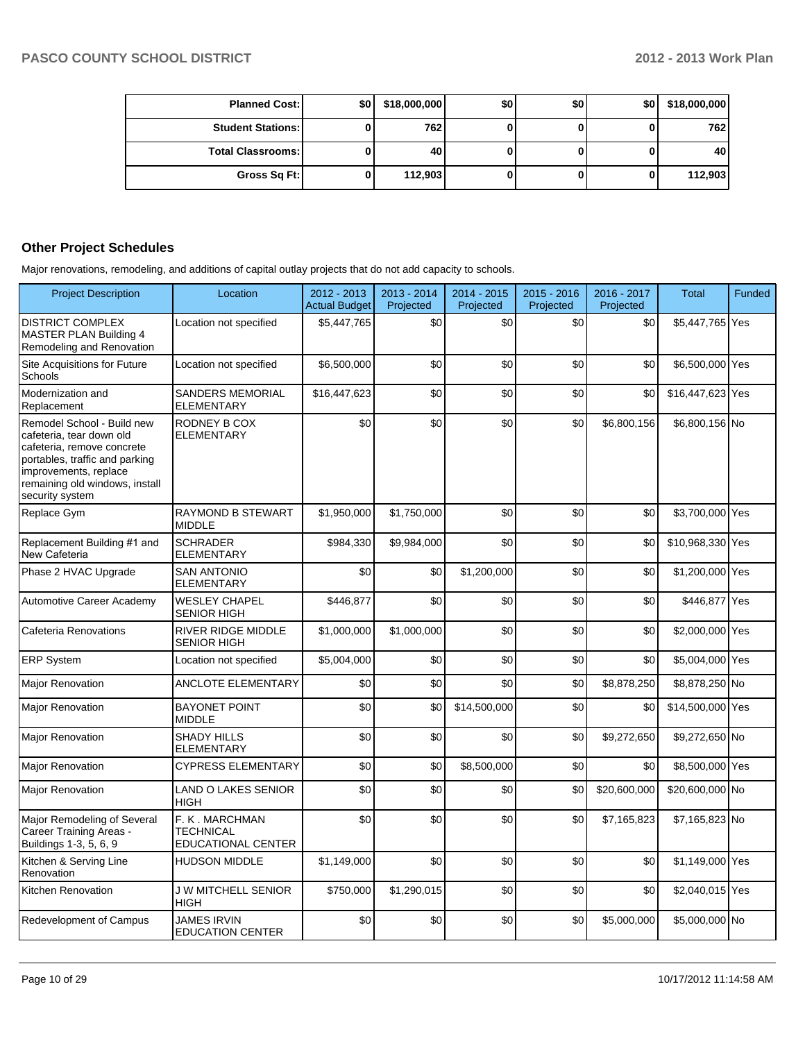| <b>Planned Cost:</b>     | \$O | \$18,000,000 | \$0 | \$0 | \$0 | \$18,000,000 |
|--------------------------|-----|--------------|-----|-----|-----|--------------|
| <b>Student Stations:</b> |     | 762          |     |     |     | 762          |
| <b>Total Classrooms:</b> |     | 40           |     |     |     | 40           |
| Gross Sq Ft:             |     | 112,903      |     |     |     | 112,903      |

## **Other Project Schedules**

Major renovations, remodeling, and additions of capital outlay projects that do not add capacity to schools.

| <b>Project Description</b>                                                                                                                                                                           | Location                                                        | $2012 - 2013$<br><b>Actual Budget</b> | 2013 - 2014<br>Projected | 2014 - 2015<br>Projected | 2015 - 2016<br>Projected | 2016 - 2017<br>Projected | <b>Total</b>     | Funded |
|------------------------------------------------------------------------------------------------------------------------------------------------------------------------------------------------------|-----------------------------------------------------------------|---------------------------------------|--------------------------|--------------------------|--------------------------|--------------------------|------------------|--------|
| <b>DISTRICT COMPLEX</b><br>MASTER PLAN Building 4<br>Remodeling and Renovation                                                                                                                       | Location not specified                                          | \$5,447,765                           | \$0                      | \$0                      | \$0                      | \$0                      | \$5,447,765 Yes  |        |
| Site Acquisitions for Future<br>Schools                                                                                                                                                              | Location not specified                                          | \$6,500,000                           | \$0                      | \$0                      | \$0                      | \$0                      | \$6,500,000 Yes  |        |
| Modernization and<br>Replacement                                                                                                                                                                     | <b>SANDERS MEMORIAL</b><br><b>ELEMENTARY</b>                    | \$16,447,623                          | \$0                      | \$0                      | \$0                      | \$0                      | \$16,447,623 Yes |        |
| Remodel School - Build new<br>cafeteria, tear down old<br>cafeteria, remove concrete<br>portables, traffic and parking<br>improvements, replace<br>remaining old windows, install<br>security system | RODNEY B COX<br><b>ELEMENTARY</b>                               | \$0                                   | \$0                      | \$0                      | \$0                      | \$6,800,156              | \$6,800,156 No   |        |
| Replace Gym                                                                                                                                                                                          | RAYMOND B STEWART<br><b>MIDDLE</b>                              | \$1,950,000                           | \$1,750,000              | \$0                      | \$0                      | \$0                      | \$3,700,000 Yes  |        |
| Replacement Building #1 and<br>New Cafeteria                                                                                                                                                         | <b>SCHRADER</b><br><b>ELEMENTARY</b>                            | \$984,330                             | \$9,984,000              | \$0                      | \$0                      | \$0                      | \$10,968,330 Yes |        |
| Phase 2 HVAC Upgrade                                                                                                                                                                                 | <b>SAN ANTONIO</b><br><b>ELEMENTARY</b>                         | \$0                                   | \$0                      | \$1,200,000              | \$0                      | \$0                      | \$1,200,000 Yes  |        |
| Automotive Career Academy                                                                                                                                                                            | <b>WESLEY CHAPEL</b><br><b>SENIOR HIGH</b>                      | \$446,877                             | \$0                      | \$0                      | \$0                      | \$0                      | \$446,877 Yes    |        |
| Cafeteria Renovations                                                                                                                                                                                | RIVER RIDGE MIDDLE<br><b>SENIOR HIGH</b>                        | \$1,000,000                           | \$1,000,000              | \$0                      | \$0                      | \$0                      | \$2,000,000 Yes  |        |
| <b>ERP System</b>                                                                                                                                                                                    | Location not specified                                          | \$5,004,000                           | \$0                      | \$0                      | \$0                      | \$0                      | \$5,004,000 Yes  |        |
| <b>Major Renovation</b>                                                                                                                                                                              | <b>ANCLOTE ELEMENTARY</b>                                       | \$0                                   | \$0                      | \$0                      | \$0                      | \$8,878,250              | \$8,878,250 No   |        |
| <b>Major Renovation</b>                                                                                                                                                                              | <b>BAYONET POINT</b><br><b>MIDDLE</b>                           | \$0                                   | \$0                      | \$14,500,000             | \$0                      | \$0                      | \$14,500,000 Yes |        |
| <b>Major Renovation</b>                                                                                                                                                                              | <b>SHADY HILLS</b><br><b>ELEMENTARY</b>                         | \$0                                   | \$0                      | \$0                      | \$0                      | \$9,272,650              | \$9,272,650 No   |        |
| <b>Major Renovation</b>                                                                                                                                                                              | <b>CYPRESS ELEMENTARY</b>                                       | \$0                                   | \$0                      | \$8,500,000              | \$0                      | \$0                      | \$8,500,000 Yes  |        |
| <b>Major Renovation</b>                                                                                                                                                                              | <b>LAND O LAKES SENIOR</b><br><b>HIGH</b>                       | \$0                                   | \$0                      | \$0                      | \$0                      | \$20,600,000             | \$20,600,000 No  |        |
| Major Remodeling of Several<br>Career Training Areas -<br>Buildings 1-3, 5, 6, 9                                                                                                                     | F. K. MARCHMAN<br><b>TECHNICAL</b><br><b>EDUCATIONAL CENTER</b> | \$0                                   | \$0                      | \$0                      | \$0                      | \$7,165,823              | \$7,165,823 No   |        |
| Kitchen & Serving Line<br>Renovation                                                                                                                                                                 | <b>HUDSON MIDDLE</b>                                            | \$1,149,000                           | \$0                      | \$0                      | \$0                      | \$0                      | \$1,149,000 Yes  |        |
| Kitchen Renovation                                                                                                                                                                                   | <b>J W MITCHELL SENIOR</b><br><b>HIGH</b>                       | \$750,000                             | \$1,290,015              | \$0                      | \$0                      | \$0                      | \$2,040,015 Yes  |        |
| Redevelopment of Campus                                                                                                                                                                              | <b>JAMES IRVIN</b><br><b>EDUCATION CENTER</b>                   | \$0                                   | \$0                      | \$0                      | \$0                      | \$5,000,000              | \$5,000,000 No   |        |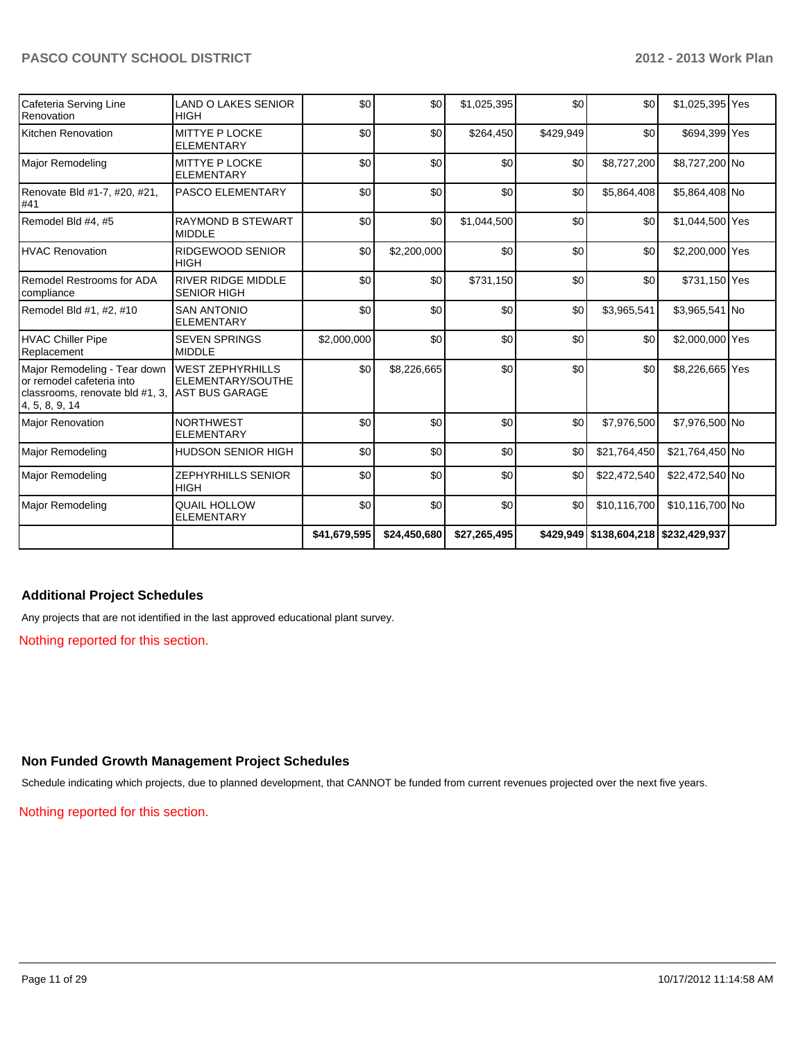| Cafeteria Serving Line<br>Renovation                                                                                         | <b>LAND O LAKES SENIOR</b><br><b>HIGH</b>                             | \$0          | \$0          | \$1,025,395  | \$0       | \$0                                   | \$1,025,395 Yes |  |
|------------------------------------------------------------------------------------------------------------------------------|-----------------------------------------------------------------------|--------------|--------------|--------------|-----------|---------------------------------------|-----------------|--|
| Kitchen Renovation                                                                                                           | MITTYE P LOCKE<br><b>ELEMENTARY</b>                                   | \$0          | \$0          | \$264,450    | \$429,949 | \$0                                   | \$694,399 Yes   |  |
| Major Remodeling                                                                                                             | MITTYE P LOCKE<br><b>ELEMENTARY</b>                                   | \$0          | \$0          | \$0          | \$0       | \$8,727,200                           | \$8,727,200 No  |  |
| Renovate Bld #1-7, #20, #21,<br>#41                                                                                          | <b>PASCO ELEMENTARY</b>                                               | \$0          | \$0          | \$0          | \$0       | \$5,864,408                           | \$5,864,408 No  |  |
| Remodel Bld #4, #5                                                                                                           | <b>RAYMOND B STEWART</b><br><b>MIDDLE</b>                             | \$0          | \$0          | \$1,044,500  | \$0       | \$0                                   | \$1,044,500 Yes |  |
| <b>HVAC Renovation</b>                                                                                                       | <b>RIDGEWOOD SENIOR</b><br><b>HIGH</b>                                | \$0          | \$2,200,000  | \$0          | \$0       | \$0                                   | \$2,200,000 Yes |  |
| Remodel Restrooms for ADA<br>compliance                                                                                      | <b>RIVER RIDGE MIDDLE</b><br><b>SENIOR HIGH</b>                       | \$0          | \$0          | \$731,150    | \$0       | \$0                                   | \$731,150 Yes   |  |
| Remodel Bld #1, #2, #10                                                                                                      | <b>SAN ANTONIO</b><br><b>ELEMENTARY</b>                               | \$0          | \$0          | \$0          | \$0       | \$3,965,541                           | \$3,965,541 No  |  |
| HVAC Chiller Pipe<br>Replacement                                                                                             | <b>SEVEN SPRINGS</b><br><b>MIDDLE</b>                                 | \$2,000,000  | \$0          | \$0          | \$0       | \$0                                   | \$2,000,000 Yes |  |
| Major Remodeling - Tear down<br>or remodel cafeteria into<br>classrooms, renovate bld #1, 3,<br>$\vert 4, 5, 8, 9, 14 \vert$ | <b>WEST ZEPHYRHILLS</b><br>ELEMENTARY/SOUTHE<br><b>AST BUS GARAGE</b> | \$0          | \$8,226,665  | \$0          | \$0       | \$0                                   | \$8,226,665 Yes |  |
| <b>Major Renovation</b>                                                                                                      | <b>NORTHWEST</b><br><b>ELEMENTARY</b>                                 | \$0          | \$0          | \$0          | \$0       | \$7,976,500                           | \$7,976,500 No  |  |
| Major Remodeling                                                                                                             | <b>HUDSON SENIOR HIGH</b>                                             | \$0          | \$0          | \$0          | \$0       | \$21,764,450                          | \$21,764,450 No |  |
| Major Remodeling                                                                                                             | ZEPHYRHILLS SENIOR<br><b>HIGH</b>                                     | \$0          | \$0          | \$0          | \$0       | \$22,472,540                          | \$22,472,540 No |  |
| Major Remodeling                                                                                                             | <b>QUAIL HOLLOW</b><br><b>ELEMENTARY</b>                              | \$0          | \$0          | \$0          | \$0       | \$10,116,700                          | \$10,116,700 No |  |
|                                                                                                                              |                                                                       | \$41,679,595 | \$24,450,680 | \$27,265,495 |           | \$429,949 \$138,604,218 \$232,429,937 |                 |  |

## **Additional Project Schedules**

Any projects that are not identified in the last approved educational plant survey.

Nothing reported for this section.

## **Non Funded Growth Management Project Schedules**

Schedule indicating which projects, due to planned development, that CANNOT be funded from current revenues projected over the next five years.

Nothing reported for this section.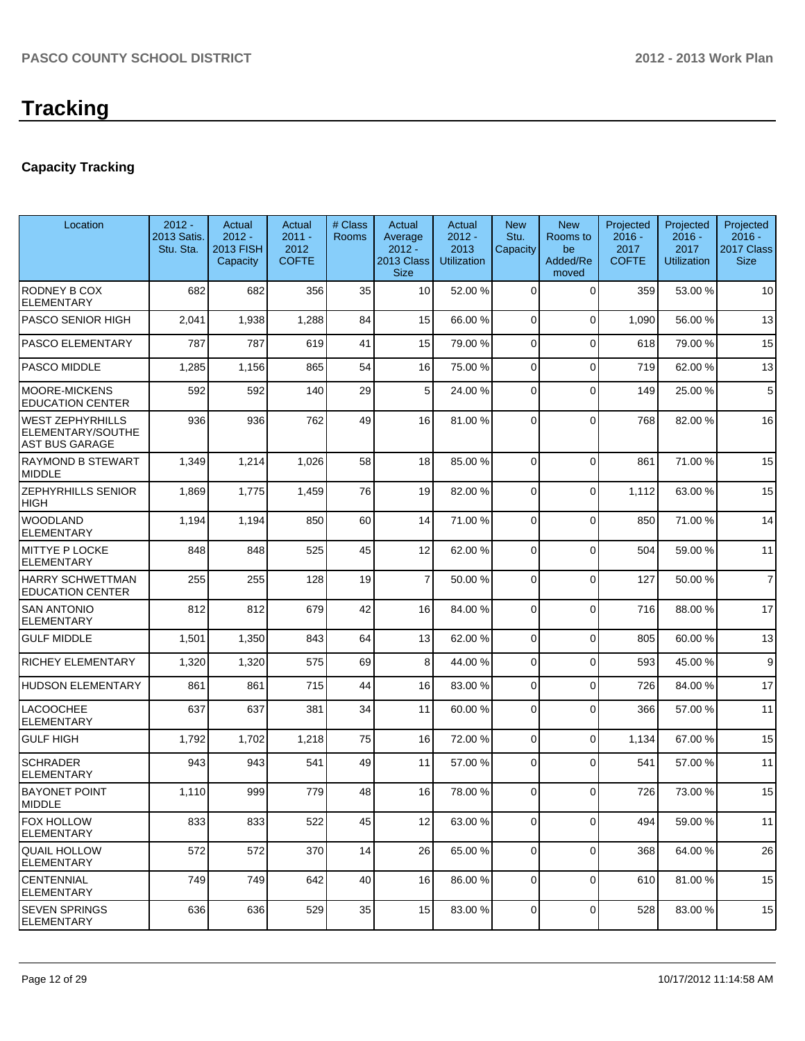## **Capacity Tracking**

| Location                                                              | $2012 -$<br>2013 Satis.<br>Stu. Sta. | Actual<br>$2012 -$<br><b>2013 FISH</b><br>Capacity | Actual<br>$2011 -$<br>2012<br><b>COFTE</b> | # Class<br>Rooms | Actual<br>Average<br>$2012 -$<br>2013 Class<br><b>Size</b> | Actual<br>$2012 -$<br>2013<br><b>Utilization</b> | <b>New</b><br>Stu.<br>Capacity | <b>New</b><br>Rooms to<br>be<br>Added/Re<br>moved | Projected<br>$2016 -$<br>2017<br><b>COFTE</b> | Projected<br>$2016 -$<br>2017<br><b>Utilization</b> | Projected<br>$2016 -$<br>2017 Class<br><b>Size</b> |
|-----------------------------------------------------------------------|--------------------------------------|----------------------------------------------------|--------------------------------------------|------------------|------------------------------------------------------------|--------------------------------------------------|--------------------------------|---------------------------------------------------|-----------------------------------------------|-----------------------------------------------------|----------------------------------------------------|
| RODNEY B COX<br><b>ELEMENTARY</b>                                     | 682                                  | 682                                                | 356                                        | 35               | 10 <sup>1</sup>                                            | 52.00 %                                          | 0                              | $\Omega$                                          | 359                                           | 53.00 %                                             | 10                                                 |
| PASCO SENIOR HIGH                                                     | 2,041                                | 1,938                                              | 1,288                                      | 84               | 15                                                         | 66.00 %                                          | 0                              | $\Omega$                                          | 1,090                                         | 56.00 %                                             | 13                                                 |
| <b>PASCO ELEMENTARY</b>                                               | 787                                  | 787                                                | 619                                        | 41               | 15                                                         | 79.00 %                                          | 0                              | $\Omega$                                          | 618                                           | 79.00 %                                             | 15                                                 |
| <b>PASCO MIDDLE</b>                                                   | 1,285                                | 1,156                                              | 865                                        | 54               | 16                                                         | 75.00 %                                          | 0                              | $\Omega$                                          | 719                                           | 62.00%                                              | 13                                                 |
| <b>MOORE-MICKENS</b><br><b>EDUCATION CENTER</b>                       | 592                                  | 592                                                | 140                                        | 29               | 5 <sup>1</sup>                                             | 24.00 %                                          | 0                              | $\Omega$                                          | 149                                           | 25.00 %                                             | 5                                                  |
| <b>WEST ZEPHYRHILLS</b><br>ELEMENTARY/SOUTHE<br><b>AST BUS GARAGE</b> | 936                                  | 936                                                | 762                                        | 49               | 16                                                         | 81.00 %                                          | $\Omega$                       | $\Omega$                                          | 768                                           | 82.00 %                                             | 16                                                 |
| <b>RAYMOND B STEWART</b><br><b>MIDDLE</b>                             | 1,349                                | 1,214                                              | 1,026                                      | 58               | 18                                                         | 85.00 %                                          | 0                              | $\Omega$                                          | 861                                           | 71.00 %                                             | 15                                                 |
| <b>ZEPHYRHILLS SENIOR</b><br><b>HIGH</b>                              | 1,869                                | 1,775                                              | 1,459                                      | 76               | 19                                                         | 82.00 %                                          | 0                              | $\Omega$                                          | 1,112                                         | 63.00 %                                             | 15                                                 |
| <b>WOODLAND</b><br><b>ELEMENTARY</b>                                  | 1,194                                | 1,194                                              | 850                                        | 60               | 14                                                         | 71.00 %                                          | $\overline{0}$                 | $\Omega$                                          | 850                                           | 71.00%                                              | 14                                                 |
| <b>MITTYE P LOCKE</b><br><b>ELEMENTARY</b>                            | 848                                  | 848                                                | 525                                        | 45               | 12                                                         | 62.00%                                           | 0                              | $\Omega$                                          | 504                                           | 59.00 %                                             | 11                                                 |
| <b>HARRY SCHWETTMAN</b><br><b>EDUCATION CENTER</b>                    | 255                                  | 255                                                | 128                                        | 19               | $\overline{7}$                                             | 50.00 %                                          | 0                              | $\Omega$                                          | 127                                           | 50.00 %                                             | $\overline{7}$                                     |
| <b>SAN ANTONIO</b><br><b>ELEMENTARY</b>                               | 812                                  | 812                                                | 679                                        | 42               | 16                                                         | 84.00 %                                          | 0                              | $\Omega$                                          | 716                                           | 88.00 %                                             | 17                                                 |
| <b>GULF MIDDLE</b>                                                    | 1,501                                | 1,350                                              | 843                                        | 64               | 13                                                         | 62.00 %                                          | 0                              | $\Omega$                                          | 805                                           | 60.00%                                              | 13                                                 |
| <b>RICHEY ELEMENTARY</b>                                              | 1,320                                | 1,320                                              | 575                                        | 69               | 8 <sup>1</sup>                                             | 44.00 %                                          | 0                              | $\Omega$                                          | 593                                           | 45.00 %                                             | 9                                                  |
| <b>HUDSON ELEMENTARY</b>                                              | 861                                  | 861                                                | 715                                        | 44               | 16                                                         | 83.00 %                                          | $\overline{0}$                 | $\Omega$                                          | 726                                           | 84.00 %                                             | 17                                                 |
| <b>LACOOCHEE</b><br><b>ELEMENTARY</b>                                 | 637                                  | 637                                                | 381                                        | 34               | 11                                                         | 60.00 %                                          | $\overline{0}$                 | $\Omega$                                          | 366                                           | 57.00 %                                             | 11                                                 |
| <b>GULF HIGH</b>                                                      | 1,792                                | 1,702                                              | 1,218                                      | 75               | 16                                                         | 72.00 %                                          | 0                              | $\Omega$                                          | 1,134                                         | 67.00 %                                             | 15                                                 |
| <b>SCHRADER</b><br><b>ELEMENTARY</b>                                  | 943                                  | 943                                                | 541                                        | 49               | 11                                                         | 57.00 %                                          | 0                              | $\Omega$                                          | 541                                           | 57.00 %                                             | 11                                                 |
| <b>BAYONET POINT</b><br><b>MIDDLE</b>                                 | 1,110                                | 999                                                | 779                                        | 48               | 16                                                         | 78.00 %                                          | $\Omega$                       | $\Omega$                                          | 726                                           | 73.00 %                                             | 15                                                 |
| <b>FOX HOLLOW</b><br><b>ELEMENTARY</b>                                | 833                                  | 833                                                | 522                                        | 45               | 12                                                         | 63.00 %                                          | 0                              | $\overline{0}$                                    | 494                                           | 59.00 %                                             | 11                                                 |
| QUAIL HOLLOW<br> ELEMENTARY                                           | 572                                  | 572                                                | 370                                        | 14               | 26                                                         | 65.00 %                                          | $\overline{0}$                 | $\Omega$                                          | 368                                           | 64.00%                                              | 26                                                 |
| <b>CENTENNIAL</b><br><b>ELEMENTARY</b>                                | 749                                  | 749                                                | 642                                        | 40               | 16                                                         | 86.00 %                                          | 0                              | $\mathbf 0$                                       | 610                                           | 81.00%                                              | 15                                                 |
| <b>SEVEN SPRINGS</b><br><b>ELEMENTARY</b>                             | 636                                  | 636                                                | 529                                        | 35               | 15                                                         | 83.00 %                                          | 0                              | $\mathbf 0$                                       | 528                                           | 83.00 %                                             | 15                                                 |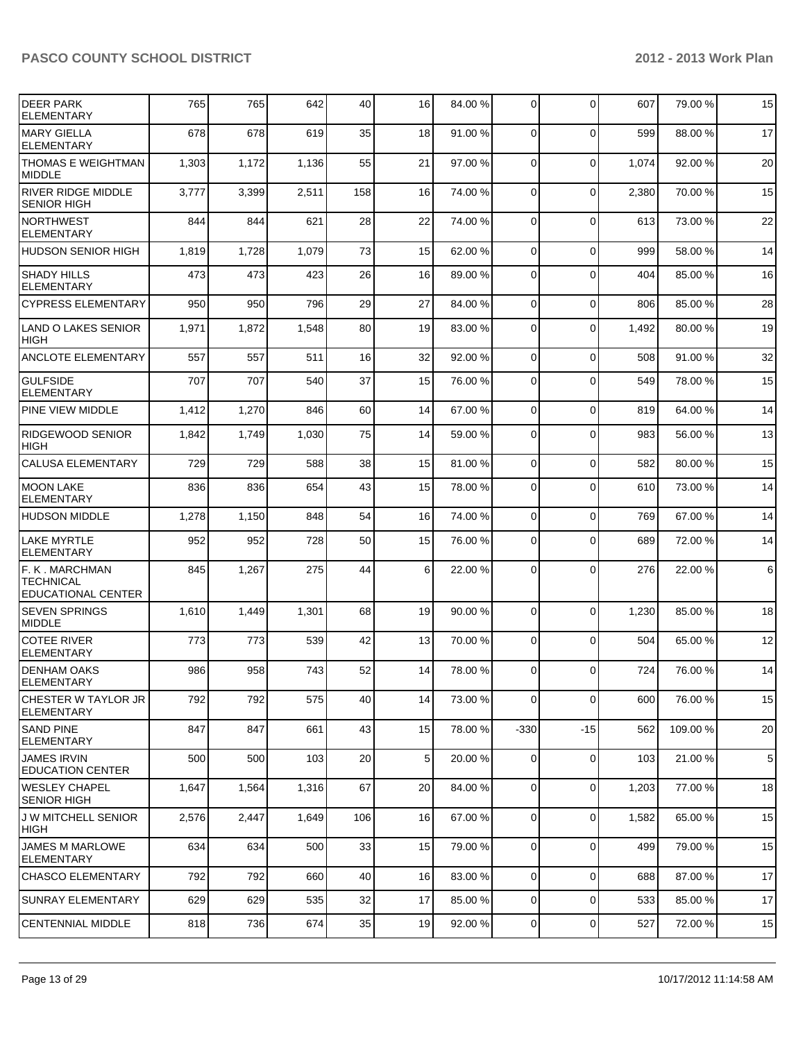| <b>DEER PARK</b><br><b>ELEMENTARY</b>                     | 765   | 765   | 642   | 40  | 16              | 84.00 % | $\Omega$       | $\mathbf{0}$ | 607   | 79.00 % | 15              |
|-----------------------------------------------------------|-------|-------|-------|-----|-----------------|---------|----------------|--------------|-------|---------|-----------------|
| <b>MARY GIELLA</b><br><b>ELEMENTARY</b>                   | 678   | 678   | 619   | 35  | 18              | 91.00 % | $\Omega$       | $\mathbf 0$  | 599   | 88.00 % | 17              |
| THOMAS E WEIGHTMAN<br>MIDDLE                              | 1,303 | 1,172 | 1,136 | 55  | 21              | 97.00 % | $\Omega$       | $\mathbf 0$  | 1.074 | 92.00 % | 20              |
| <b>RIVER RIDGE MIDDLE</b><br><b>SENIOR HIGH</b>           | 3,777 | 3,399 | 2,511 | 158 | 16              | 74.00 % | $\Omega$       | $\mathbf{0}$ | 2,380 | 70.00%  | 15              |
| INORTHWEST<br><b>ELEMENTARY</b>                           | 844   | 844   | 621   | 28  | 22              | 74.00 % | $\Omega$       | $\mathbf{0}$ | 613   | 73.00 % | 22              |
| <b>HUDSON SENIOR HIGH</b>                                 | 1,819 | 1,728 | 1,079 | 73  | 15              | 62.00 % | $\Omega$       | $\Omega$     | 999   | 58.00 % | 14              |
| <b>SHADY HILLS</b><br><b>ELEMENTARY</b>                   | 473   | 473   | 423   | 26  | 16              | 89.00 % | $\Omega$       | $\Omega$     | 404   | 85.00 % | 16              |
| <b>CYPRESS ELEMENTARY</b>                                 | 950   | 950   | 796   | 29  | 27              | 84.00 % | $\Omega$       | $\mathbf 0$  | 806   | 85.00 % | 28              |
| <b>LAND O LAKES SENIOR</b><br><b>HIGH</b>                 | 1,971 | 1,872 | 1,548 | 80  | 19              | 83.00 % | $\Omega$       | $\mathbf{0}$ | 1,492 | 80.00%  | 19              |
| <b>ANCLOTE ELEMENTARY</b>                                 | 557   | 557   | 511   | 16  | 32              | 92.00 % | $\overline{0}$ | $\Omega$     | 508   | 91.00%  | 32              |
| <b>GULFSIDE</b><br><b>ELEMENTARY</b>                      | 707   | 707   | 540   | 37  | 15              | 76.00 % | $\Omega$       | $\mathbf{0}$ | 549   | 78.00 % | 15              |
| PINE VIEW MIDDLE                                          | 1,412 | 1,270 | 846   | 60  | 14              | 67.00 % | $\Omega$       | $\mathbf{0}$ | 819   | 64.00%  | 14              |
| <b>RIDGEWOOD SENIOR</b><br><b>HIGH</b>                    | 1,842 | 1,749 | 1,030 | 75  | 14              | 59.00 % | $\Omega$       | $\Omega$     | 983   | 56.00 % | 13              |
| <b>CALUSA ELEMENTARY</b>                                  | 729   | 729   | 588   | 38  | 15              | 81.00 % | $\Omega$       | $\mathbf 0$  | 582   | 80.00 % | 15              |
| <b>MOON LAKE</b><br><b>ELEMENTARY</b>                     | 836   | 836   | 654   | 43  | 15              | 78.00 % | $\Omega$       | $\Omega$     | 610   | 73.00 % | 14              |
| <b>HUDSON MIDDLE</b>                                      | 1,278 | 1,150 | 848   | 54  | 16              | 74.00 % | $\overline{0}$ | $\mathbf 0$  | 769   | 67.00 % | 14              |
| LAKE MYRTLE<br><b>ELEMENTARY</b>                          | 952   | 952   | 728   | 50  | 15              | 76.00 % | $\Omega$       | $\Omega$     | 689   | 72.00 % | 14              |
| F. K . MARCHMAN<br><b>TECHNICAL</b><br>EDUCATIONAL CENTER | 845   | 1,267 | 275   | 44  | 6 <sup>1</sup>  | 22.00 % | $\Omega$       | $\mathbf{0}$ | 276   | 22.00 % | 6               |
| <b>SEVEN SPRINGS</b><br><b>MIDDLE</b>                     | 1,610 | 1,449 | 1,301 | 68  | 19              | 90.00 % | $\Omega$       | $\Omega$     | 1,230 | 85.00 % | 18              |
| COTEE RIVER<br><b>ELEMENTARY</b>                          | 773   | 773   | 539   | 42  | 13              | 70.00 % | $\Omega$       | $\mathbf{0}$ | 504   | 65.00 % | 12              |
| <b>DENHAM OAKS</b><br><b>ELEMENTARY</b>                   | 986   | 958   | 743   | 52  | 14              | 78.00 % | $\overline{0}$ | $\mathbf 0$  | 724   | 76.00 % | 14              |
| CHESTER W TAYLOR JR<br><b>ELEMENTARY</b>                  | 792   | 792   | 575   | 40  | 14              | 73.00 % | 0              | $\mathbf 0$  | 600   | 76.00 % | 15              |
| ISAND PINE<br> ELEMENTARY                                 | 847   | 847   | 661   | 43  | 15              | 78.00 % | $-330$         | $-15$        | 562   | 109.00% | 20              |
| <b>JAMES IRVIN</b><br><b>EDUCATION CENTER</b>             | 500   | 500   | 103   | 20  | 5 <sup>1</sup>  | 20.00 % | $\Omega$       | $\mathbf 0$  | 103   | 21.00%  | $5\phantom{.0}$ |
| IWESLEY CHAPEL<br><b>SENIOR HIGH</b>                      | 1,647 | 1,564 | 1,316 | 67  | 20              | 84.00 % | $\overline{0}$ | 0            | 1,203 | 77.00 % | 18              |
| <b>J W MITCHELL SENIOR</b><br> HIGH                       | 2,576 | 2,447 | 1,649 | 106 | 16              | 67.00 % | $\Omega$       | $\mathbf 0$  | 1,582 | 65.00 % | 15              |
| <b>JAMES M MARLOWE</b><br><b>ELEMENTARY</b>               | 634   | 634   | 500   | 33  | 15              | 79.00 % | $\overline{0}$ | 0            | 499   | 79.00 % | 15              |
| <b>ICHASCO ELEMENTARY</b>                                 | 792   | 792   | 660   | 40  | 16 <sup>1</sup> | 83.00 % | $\Omega$       | 0            | 688   | 87.00 % | 17              |
| <b>SUNRAY ELEMENTARY</b>                                  | 629   | 629   | 535   | 32  | 17              | 85.00 % | $\overline{0}$ | 0            | 533   | 85.00 % | 17              |
| <b>CENTENNIAL MIDDLE</b>                                  | 818   | 736   | 674   | 35  | 19              | 92.00 % | $\overline{0}$ | 0            | 527   | 72.00 % | 15              |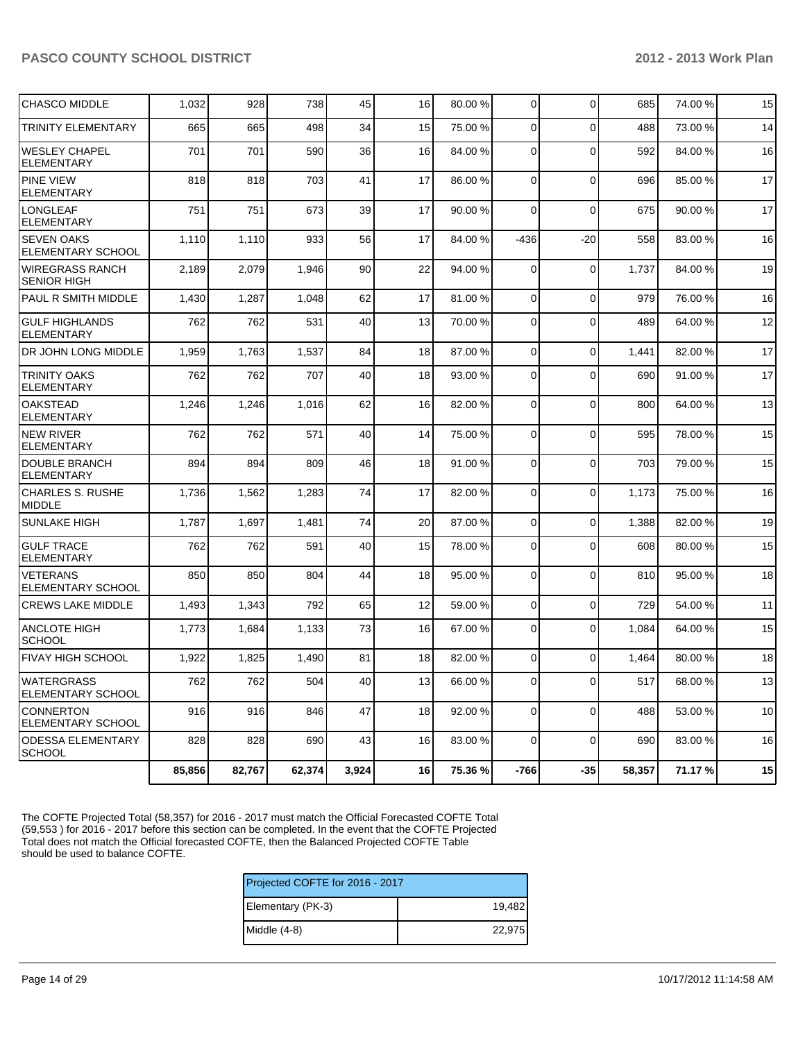| <b>CHASCO MIDDLE</b>                         | 1,032  | 928    | 738    | 45    | 16 | 80.00 % | $\overline{0}$ | $\mathbf 0$    | 685    | 74.00%  | 15 |
|----------------------------------------------|--------|--------|--------|-------|----|---------|----------------|----------------|--------|---------|----|
| <b>TRINITY ELEMENTARY</b>                    | 665    | 665    | 498    | 34    | 15 | 75.00 % | $\Omega$       | $\Omega$       | 488    | 73.00 % | 14 |
| <b>WESLEY CHAPEL</b><br><b>ELEMENTARY</b>    | 701    | 701    | 590    | 36    | 16 | 84.00 % | $\Omega$       | $\overline{0}$ | 592    | 84.00%  | 16 |
| <b>PINE VIEW</b><br><b>ELEMENTARY</b>        | 818    | 818    | 703    | 41    | 17 | 86.00 % | $\Omega$       | $\Omega$       | 696    | 85.00 % | 17 |
| <b>LONGLEAF</b><br><b>ELEMENTARY</b>         | 751    | 751    | 673    | 39    | 17 | 90.00 % | $\overline{0}$ | $\mathbf 0$    | 675    | 90.00%  | 17 |
| <b>SEVEN OAKS</b><br>ELEMENTARY SCHOOL       | 1,110  | 1,110  | 933    | 56    | 17 | 84.00 % | $-436$         | $-20$          | 558    | 83.00 % | 16 |
| <b>WIREGRASS RANCH</b><br><b>SENIOR HIGH</b> | 2,189  | 2,079  | 1,946  | 90    | 22 | 94.00 % | $\Omega$       | $\Omega$       | 1,737  | 84.00%  | 19 |
| PAUL R SMITH MIDDLE                          | 1,430  | 1,287  | 1,048  | 62    | 17 | 81.00 % | $\mathbf 0$    | $\mathbf 0$    | 979    | 76.00 % | 16 |
| <b>GULF HIGHLANDS</b><br><b>ELEMENTARY</b>   | 762    | 762    | 531    | 40    | 13 | 70.00 % | $\Omega$       | $\Omega$       | 489    | 64.00%  | 12 |
| DR JOHN LONG MIDDLE                          | 1,959  | 1,763  | 1,537  | 84    | 18 | 87.00 % | $\overline{0}$ | $\mathbf 0$    | 1,441  | 82.00%  | 17 |
| <b>TRINITY OAKS</b><br><b>ELEMENTARY</b>     | 762    | 762    | 707    | 40    | 18 | 93.00 % | $\Omega$       | $\Omega$       | 690    | 91.00%  | 17 |
| <b>OAKSTEAD</b><br>ELEMENTARY                | 1,246  | 1,246  | 1,016  | 62    | 16 | 82.00 % | $\mathbf 0$    | $\overline{0}$ | 800    | 64.00%  | 13 |
| <b>NEW RIVER</b><br><b>ELEMENTARY</b>        | 762    | 762    | 571    | 40    | 14 | 75.00 % | $\overline{0}$ | $\Omega$       | 595    | 78.00 % | 15 |
| <b>DOUBLE BRANCH</b><br><b>ELEMENTARY</b>    | 894    | 894    | 809    | 46    | 18 | 91.00 % | 0              | $\overline{0}$ | 703    | 79.00 % | 15 |
| <b>CHARLES S. RUSHE</b><br><b>MIDDLE</b>     | 1,736  | 1,562  | 1,283  | 74    | 17 | 82.00%  | $\overline{0}$ | $\overline{0}$ | 1,173  | 75.00 % | 16 |
| <b>SUNLAKE HIGH</b>                          | 1,787  | 1,697  | 1,481  | 74    | 20 | 87.00 % | $\Omega$       | $\Omega$       | 1,388  | 82.00%  | 19 |
| <b>GULF TRACE</b><br><b>ELEMENTARY</b>       | 762    | 762    | 591    | 40    | 15 | 78.00 % | 0              | $\Omega$       | 608    | 80.00%  | 15 |
| <b>VETERANS</b><br>ELEMENTARY SCHOOL         | 850    | 850    | 804    | 44    | 18 | 95.00 % | $\Omega$       | $\Omega$       | 810    | 95.00%  | 18 |
| <b>CREWS LAKE MIDDLE</b>                     | 1,493  | 1,343  | 792    | 65    | 12 | 59.00 % | $\overline{0}$ | $\overline{0}$ | 729    | 54.00 % | 11 |
| ANCLOTE HIGH<br><b>SCHOOL</b>                | 1,773  | 1,684  | 1,133  | 73    | 16 | 67.00 % | $\Omega$       | $\Omega$       | 1,084  | 64.00%  | 15 |
| <b>FIVAY HIGH SCHOOL</b>                     | 1,922  | 1,825  | 1,490  | 81    | 18 | 82.00%  | $\overline{0}$ | $\mathbf 0$    | 1,464  | 80.00%  | 18 |
| <b>WATERGRASS</b><br>ELEMENTARY SCHOOL       | 762    | 762    | 504    | 40    | 13 | 66.00 % | $\overline{0}$ | $\mathbf 0$    | 517    | 68.00 % | 13 |
| <b>CONNERTON</b><br><b>ELEMENTARY SCHOOL</b> | 916    | 916    | 846    | 47    | 18 | 92.00 % | 0              | $\overline{0}$ | 488    | 53.00 % | 10 |
| <b>ODESSA ELEMENTARY</b><br><b>SCHOOL</b>    | 828    | 828    | 690    | 43    | 16 | 83.00 % | $\Omega$       | $\Omega$       | 690    | 83.00 % | 16 |
|                                              | 85,856 | 82,767 | 62,374 | 3,924 | 16 | 75.36 % | -766           | $-35$          | 58,357 | 71.17%  | 15 |

The COFTE Projected Total (58,357) for 2016 - 2017 must match the Official Forecasted COFTE Total (59,553 ) for 2016 - 2017 before this section can be completed. In the event that the COFTE Projected Total does not match the Official forecasted COFTE, then the Balanced Projected COFTE Table should be used to balance COFTE.

| Projected COFTE for 2016 - 2017 |        |  |  |  |
|---------------------------------|--------|--|--|--|
| Elementary (PK-3)               | 19,482 |  |  |  |
| Middle (4-8)                    | 22,975 |  |  |  |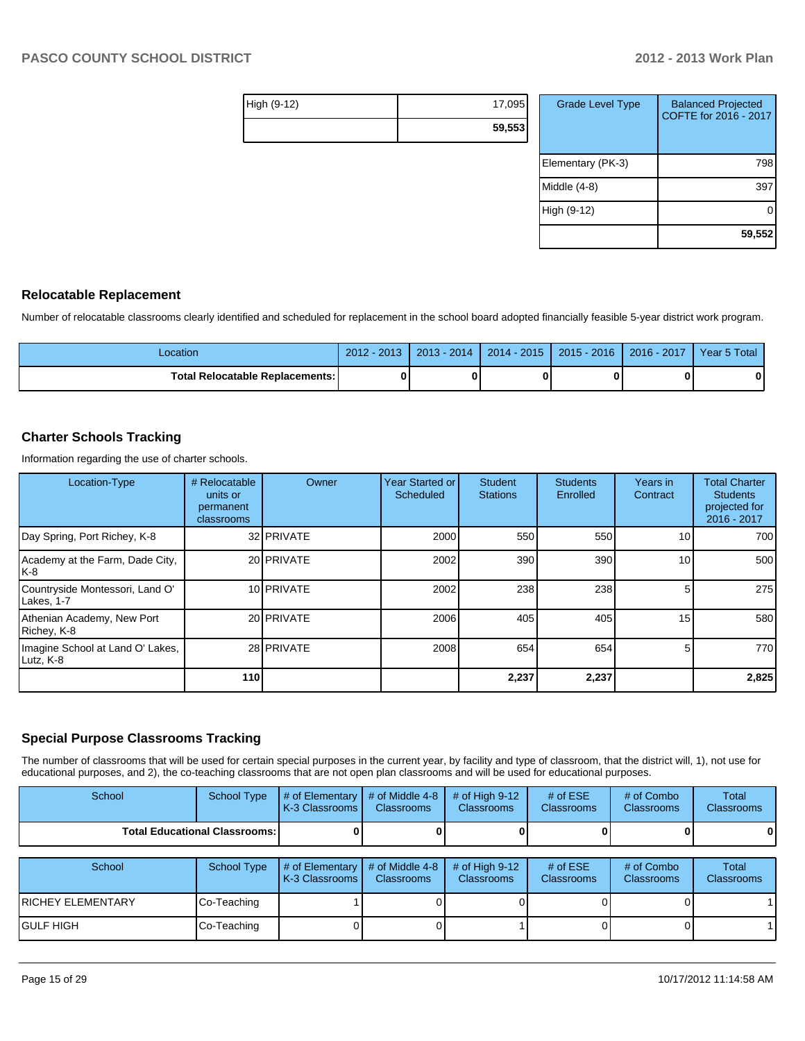| High (9-12) | 17,095 |
|-------------|--------|
|             | 59,553 |

| <b>Grade Level Type</b> | <b>Balanced Projected</b><br>COFTE for 2016 - 2017 |
|-------------------------|----------------------------------------------------|
| Elementary (PK-3)       | 798                                                |
| Middle (4-8)            | 39                                                 |
| High (9-12)             |                                                    |
|                         | 59,552                                             |

#### **Relocatable Replacement**

Number of relocatable classrooms clearly identified and scheduled for replacement in the school board adopted financially feasible 5-year district work program.

| Location                        | 2013<br>2012 | 2014<br>2013 | $-2015$<br>$2014 -$ | $2015 - 2016$ | $-2017$<br>$2016 -$ | 5 Total<br>Year 5 |
|---------------------------------|--------------|--------------|---------------------|---------------|---------------------|-------------------|
| Total Relocatable Replacements: |              |              |                     |               |                     | 0                 |

#### **Charter Schools Tracking**

Information regarding the use of charter schools.

| Location-Type                                 | # Relocatable<br>units or<br>permanent<br>classrooms | Owner             | Year Started or<br><b>Scheduled</b> | <b>Student</b><br><b>Stations</b> | <b>Students</b><br>Enrolled | Years in<br>Contract | <b>Total Charter</b><br><b>Students</b><br>projected for<br>2016 - 2017 |
|-----------------------------------------------|------------------------------------------------------|-------------------|-------------------------------------|-----------------------------------|-----------------------------|----------------------|-------------------------------------------------------------------------|
| Day Spring, Port Richey, K-8                  |                                                      | 32 <b>PRIVATE</b> | 2000                                | 550                               | 550                         | 10                   | 700 l                                                                   |
| Academy at the Farm, Dade City,<br>IK-8       |                                                      | 20 <b>PRIVATE</b> | 2002                                | 390                               | 390                         | 10 <sup>1</sup>      | 500                                                                     |
| Countryside Montessori, Land O'<br>Lakes, 1-7 |                                                      | 10 PRIVATE        | 2002                                | 238                               | 238                         |                      | 275                                                                     |
| Athenian Academy, New Port<br>Richey, K-8     |                                                      | 20 PRIVATE        | 2006                                | 405                               | 405                         | 15                   | 580                                                                     |
| Imagine School at Land O' Lakes,<br>Lutz, K-8 |                                                      | 28 <b>PRIVATE</b> | 2008                                | 654                               | 654                         |                      | 770 <b>1</b>                                                            |
|                                               | <b>110</b>                                           |                   |                                     | 2,237                             | 2,237                       |                      | 2,825                                                                   |

## **Special Purpose Classrooms Tracking**

The number of classrooms that will be used for certain special purposes in the current year, by facility and type of classroom, that the district will, 1), not use for educational purposes, and 2), the co-teaching classrooms that are not open plan classrooms and will be used for educational purposes.

| School | School Type                            | $\parallel$ # of Elementary $\parallel$ # of Middle 4-8 $\parallel$ # of High 9-12<br>K-3 Classrooms I | <b>Classrooms</b> | <b>Classrooms</b> | # of $ESE$<br><b>Classrooms</b> | # of Combo<br><b>Classrooms</b> | Total<br><b>Classrooms</b> |
|--------|----------------------------------------|--------------------------------------------------------------------------------------------------------|-------------------|-------------------|---------------------------------|---------------------------------|----------------------------|
|        | <b>Total Educational Classrooms: I</b> |                                                                                                        |                   |                   |                                 |                                 | 0                          |

| School             | School Type | $\parallel$ # of Elementary $\parallel$ # of Middle 4-8 $\parallel$<br><b>IK-3 Classrooms I</b> | <b>Classrooms</b> | $\#$ of High 9-12<br><b>Classrooms</b> | # of $ESE$<br>Classrooms | # of Combo<br><b>Classrooms</b> | Total<br><b>Classrooms</b> |
|--------------------|-------------|-------------------------------------------------------------------------------------------------|-------------------|----------------------------------------|--------------------------|---------------------------------|----------------------------|
| IRICHEY ELEMENTARY | Co-Teaching |                                                                                                 |                   |                                        |                          |                                 |                            |
| IGULF HIGH         | Co-Teaching |                                                                                                 |                   |                                        |                          |                                 |                            |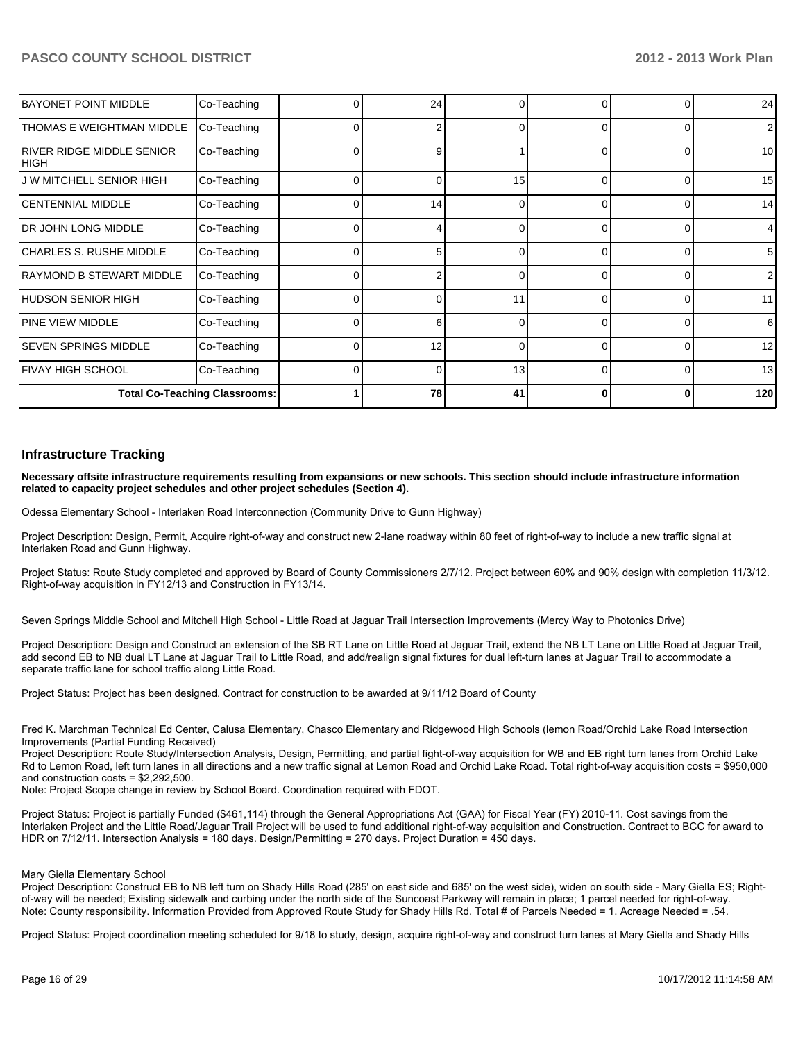| <b>BAYONET POINT MIDDLE</b>         | Co-Teaching                          |    | 24 | O  |              | $\Omega$       | 24              |
|-------------------------------------|--------------------------------------|----|----|----|--------------|----------------|-----------------|
| THOMAS E WEIGHTMAN MIDDLE           | Co-Teaching                          |    | 2  | 0  | 0            | $\Omega$       | $\overline{2}$  |
| IRIVER RIDGE MIDDLE SENIOR<br> HIGH | Co-Teaching                          |    | 9  |    |              | $\Omega$       | 10              |
| J W MITCHELL SENIOR HIGH            | Co-Teaching                          |    | ∩  | 15 | <sup>0</sup> | 0              | 15              |
| ICENTENNIAL MIDDLE                  | Co-Teaching                          |    | 14 | 0  | 0            | $\overline{0}$ | 14              |
| IDR JOHN LONG MIDDLE                | Co-Teaching                          |    |    | 0  | 0            | $\overline{0}$ | $\overline{4}$  |
| ICHARLES S. RUSHE MIDDLE            | Co-Teaching                          | ΩI | 5  | 0  | 0            | $\overline{0}$ | $5\phantom{.0}$ |
| RAYMOND B STEWART MIDDLE            | Co-Teaching                          |    |    |    |              | 0              | $\overline{2}$  |
| HUDSON SENIOR HIGH                  | Co-Teaching                          |    |    | 11 | ∩            | 0              | 11              |
| IPINE VIEW MIDDLE                   | Co-Teaching                          |    | 6  | 0  | $\Omega$     | $\overline{0}$ | 6               |
| ISEVEN SPRINGS MIDDLE               | Co-Teaching                          |    | 12 | 0  | $\Omega$     | $\Omega$       | 12              |
| IFIVAY HIGH SCHOOL                  | Co-Teaching                          |    | 0  | 13 | $\Omega$     | $\overline{0}$ | 13              |
|                                     | <b>Total Co-Teaching Classrooms:</b> |    | 78 | 41 | 0            | $\bf{0}$       | 120             |

#### **Infrastructure Tracking**

**Necessary offsite infrastructure requirements resulting from expansions or new schools. This section should include infrastructure information related to capacity project schedules and other project schedules (Section 4).**

Odessa Elementary School - Interlaken Road Interconnection (Community Drive to Gunn Highway)

Project Description: Design, Permit, Acquire right-of-way and construct new 2-lane roadway within 80 feet of right-of-way to include a new traffic signal at Interlaken Road and Gunn Highway.

Project Status: Route Study completed and approved by Board of County Commissioners 2/7/12. Project between 60% and 90% design with completion 11/3/12. Right-of-way acquisition in FY12/13 and Construction in FY13/14.

Seven Springs Middle School and Mitchell High School - Little Road at Jaquar Trail Intersection Improvements (Mercy Way to Photonics Drive)

Project Description: Design and Construct an extension of the SB RT Lane on Little Road at Jaguar Trail, extend the NB LT Lane on Little Road at Jaguar Trail, add second EB to NB dual LT Lane at Jaguar Trail to Little Road, and add/realign signal fixtures for dual left-turn lanes at Jaguar Trail to accommodate a separate traffic lane for school traffic along Little Road.

Project Status: Project has been designed. Contract for construction to be awarded at 9/11/12 Board of County

Fred K. Marchman Technical Ed Center, Calusa Elementary, Chasco Elementary and Ridgewood High Schools (lemon Road/Orchid Lake Road Intersection Improvements (Partial Funding Received)

Project Description: Route Study/Intersection Analysis, Design, Permitting, and partial fight-of-way acquisition for WB and EB right turn lanes from Orchid Lake Rd to Lemon Road, left turn lanes in all directions and a new traffic signal at Lemon Road and Orchid Lake Road. Total right-of-way acquisition costs = \$950,000 and construction costs =  $$2.292.500$ .

Note: Project Scope change in review by School Board. Coordination required with FDOT.

Project Status: Project is partially Funded (\$461,114) through the General Appropriations Act (GAA) for Fiscal Year (FY) 2010-11. Cost savings from the Interlaken Project and the Little Road/Jaquar Trail Project will be used to fund additional right-of-way acquisition and Construction. Contract to BCC for award to HDR on 7/12/11. Intersection Analysis = 180 days. Design/Permitting = 270 days. Project Duration = 450 days.

#### Mary Giella Elementary School

Project Description: Construct EB to NB left turn on Shady Hills Road (285' on east side and 685' on the west side), widen on south side - Mary Giella ES; Rightof-way will be needed; Existing sidewalk and curbing under the north side of the Suncoast Parkway will remain in place; 1 parcel needed for right-of-way. Note: County responsibility. Information Provided from Approved Route Study for Shady Hills Rd. Total # of Parcels Needed = 1. Acreage Needed = .54.

Project Status: Project coordination meeting scheduled for 9/18 to study, design, acquire right-of-way and construct turn lanes at Mary Giella and Shady Hills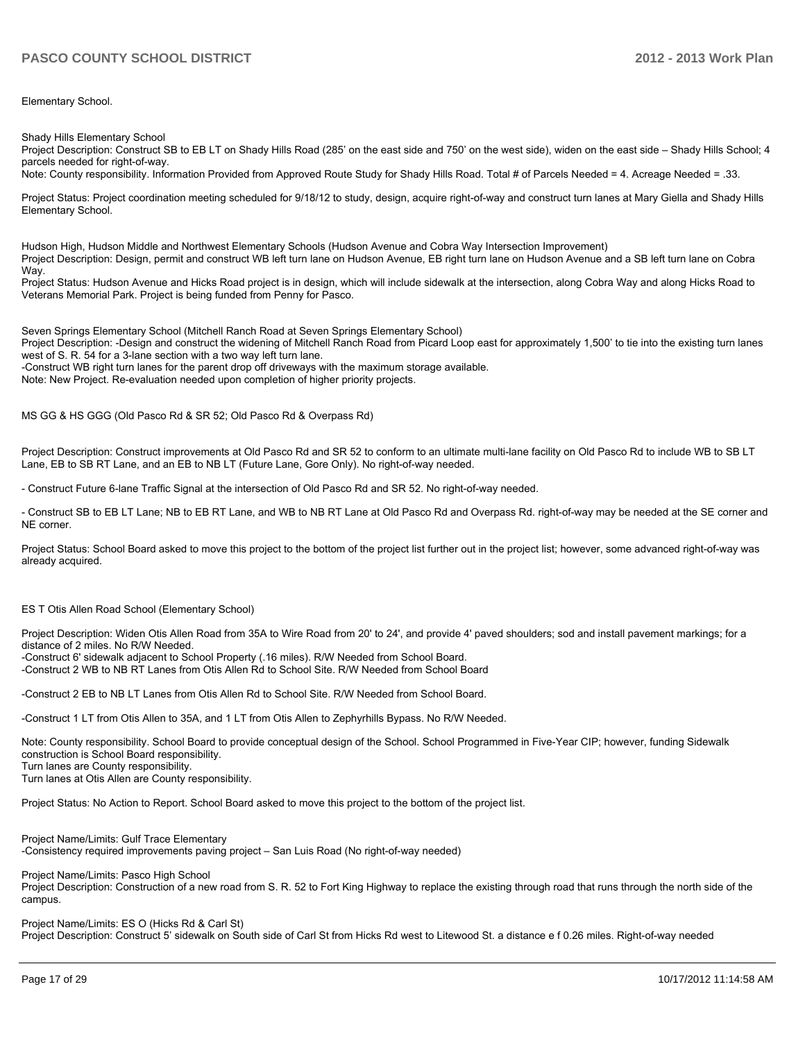Elementary School.

Shady Hills Elementary School

Project Description: Construct SB to EB LT on Shady Hills Road (285' on the east side and 750' on the west side), widen on the east side - Shady Hills School; 4 parcels needed for right-of-way.

Note: County responsibility. Information Provided from Approved Route Study for Shady Hills Road. Total # of Parcels Needed = 4. Acreage Needed = .33.

Project Status: Project coordination meeting scheduled for 9/18/12 to study, design, acquire right-of-way and construct turn lanes at Mary Giella and Shady Hills Elementary School.

Hudson High, Hudson Middle and Northwest Elementary Schools (Hudson Avenue and Cobra Way Intersection Improvement) Project Description: Design, permit and construct WB left turn lane on Hudson Avenue, EB right turn lane on Hudson Avenue and a SB left turn lane on Cobra Way

Project Status: Hudson Avenue and Hicks Road project is in design, which will include sidewalk at the intersection, along Cobra Way and along Hicks Road to Veterans Memorial Park. Project is being funded from Penny for Pasco.

Seven Springs Elementary School (Mitchell Ranch Road at Seven Springs Elementary School)

Project Description: -Design and construct the widening of Mitchell Ranch Road from Picard Loop east for approximately 1,500' to tie into the existing turn lanes west of S. R. 54 for a 3-lane section with a two way left turn lane.

-Construct WB right turn lanes for the parent drop off driveways with the maximum storage available.

Note: New Project. Re-evaluation needed upon completion of higher priority projects.

MS GG & HS GGG (Old Pasco Rd & SR 52; Old Pasco Rd & Overpass Rd)

Project Description: Construct improvements at Old Pasco Rd and SR 52 to conform to an ultimate multi-lane facility on Old Pasco Rd to include WB to SB LT Lane, EB to SB RT Lane, and an EB to NB LT (Future Lane, Gore Only). No right-of-way needed.

- Construct Future 6-lane Traffic Signal at the intersection of Old Pasco Rd and SR 52. No right-of-way needed.

- Construct SB to EB LT Lane; NB to EB RT Lane, and WB to NB RT Lane at Old Pasco Rd and Overpass Rd. right-of-way may be needed at the SE corner and NE corner

Project Status: School Board asked to move this project to the bottom of the project list further out in the project list: however, some advanced right-of-way was already acquired.

#### ES T Otis Allen Road School (Elementary School)

Project Description: Widen Otis Allen Road from 35A to Wire Road from 20' to 24', and provide 4' paved shoulders; sod and install pavement markings; for a distance of 2 miles. No R/W Needed.

-Construct 6' sidewalk adjacent to School Property (.16 miles). R/W Needed from School Board.

-Construct 2 WB to NB RT Lanes from Otis Allen Rd to School Site. R/W Needed from School Board

-Construct 2 EB to NB LT Lanes from Otis Allen Rd to School Site. R/W Needed from School Board.

-Construct 1 LT from Otis Allen to 35A, and 1 LT from Otis Allen to Zephyrhills Bypass. No R/W Needed.

Note: County responsibility. School Board to provide conceptual design of the School. School Programmed in Five-Year CIP; however, funding Sidewalk construction is School Board responsibility

Turn lanes are County responsibility.

Turn lanes at Otis Allen are County responsibility.

Project Status: No Action to Report. School Board asked to move this project to the bottom of the project list.

Project Name/Limits: Gulf Trace Elementary -Consistency required improvements paving project - San Luis Road (No right-of-way needed)

Project Name/Limits: Pasco High School

Project Description: Construction of a new road from S. R. 52 to Fort King Highway to replace the existing through road that runs through the north side of the campus.

Project Name/Limits: ES O (Hicks Rd & Carl St)

Project Description: Construct 5' sidewalk on South side of Carl St from Hicks Rd west to Litewood St. a distance e f 0.26 miles. Right-of-way needed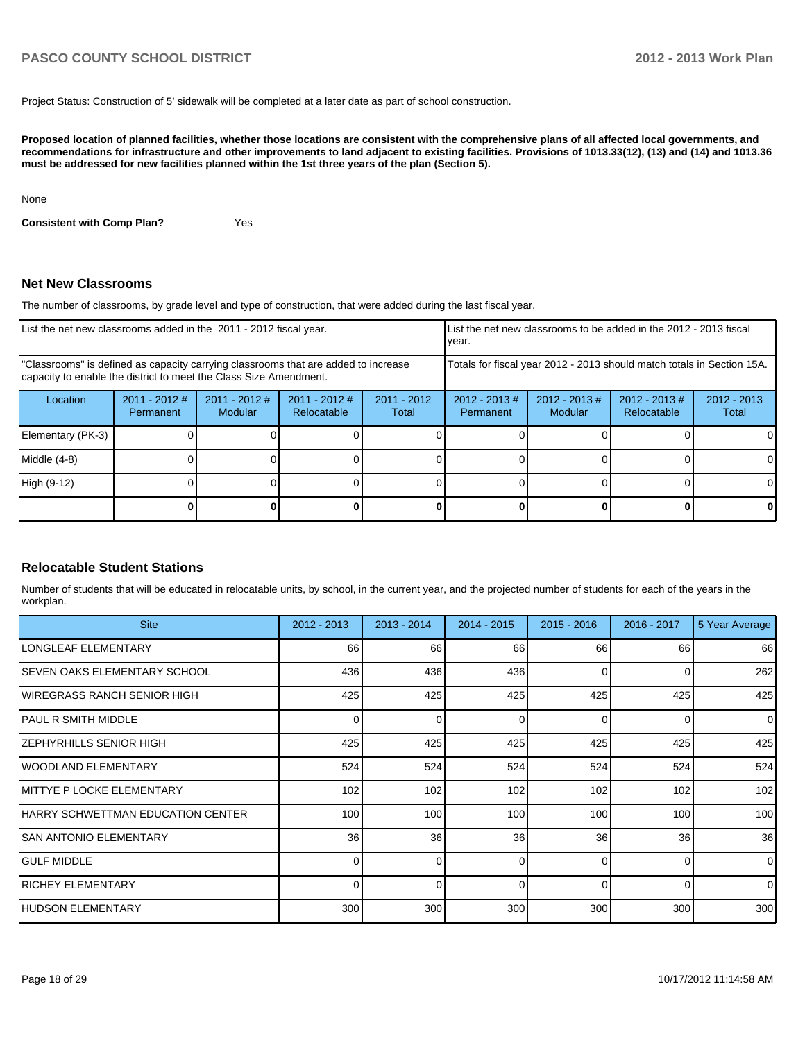Project Status: Construction of 5' sidewalk will be completed at a later date as part of school construction.

**Proposed location of planned facilities, whether those locations are consistent with the comprehensive plans of all affected local governments, and recommendations for infrastructure and other improvements to land adjacent to existing facilities. Provisions of 1013.33(12), (13) and (14) and 1013.36 must be addressed for new facilities planned within the 1st three years of the plan (Section 5).**

None

**Consistent with Comp Plan?** Yes

#### **Net New Classrooms**

The number of classrooms, by grade level and type of construction, that were added during the last fiscal year.

| List the net new classrooms added in the 2011 - 2012 fiscal year.                                                                                       |                              |                            |                                | Ivear.                 | List the net new classrooms to be added in the 2012 - 2013 fiscal      |                            |                                 |                        |
|---------------------------------------------------------------------------------------------------------------------------------------------------------|------------------------------|----------------------------|--------------------------------|------------------------|------------------------------------------------------------------------|----------------------------|---------------------------------|------------------------|
| "Classrooms" is defined as capacity carrying classrooms that are added to increase<br>capacity to enable the district to meet the Class Size Amendment. |                              |                            |                                |                        | Totals for fiscal year 2012 - 2013 should match totals in Section 15A. |                            |                                 |                        |
| Location                                                                                                                                                | $2011 - 2012$ #<br>Permanent | $2011 - 2012$ #<br>Modular | $2011 - 2012$ #<br>Relocatable | $2011 - 2012$<br>Total | $2012 - 2013$ #<br>Permanent                                           | $2012 - 2013$ #<br>Modular | $2012 - 2013 \#$<br>Relocatable | $2012 - 2013$<br>Total |
| Elementary (PK-3)                                                                                                                                       |                              |                            |                                |                        |                                                                        |                            |                                 | 0                      |
| Middle (4-8)                                                                                                                                            |                              |                            |                                |                        |                                                                        |                            |                                 | 0                      |
| High (9-12)                                                                                                                                             |                              |                            |                                |                        |                                                                        |                            |                                 | $\Omega$               |
|                                                                                                                                                         |                              |                            |                                |                        |                                                                        |                            |                                 | 0                      |

#### **Relocatable Student Stations**

Number of students that will be educated in relocatable units, by school, in the current year, and the projected number of students for each of the years in the workplan.

| <b>Site</b>                        | 2012 - 2013      | $2013 - 2014$ | $2014 - 2015$    | $2015 - 2016$ | 2016 - 2017 | 5 Year Average |
|------------------------------------|------------------|---------------|------------------|---------------|-------------|----------------|
| <b>LONGLEAF ELEMENTARY</b>         | 66               | 66            | 66               | 66            | 66          | 66             |
| ISEVEN OAKS ELEMENTARY SCHOOL      | 436              | 436           | 436              | $\Omega$      | 0           | 262            |
| IWIREGRASS RANCH SENIOR HIGH       | 425              | 425           | 425              | 425           | 425         | 425            |
| IPAUL R SMITH MIDDLE               | 0                | <sup>0</sup>  | $\Omega$         | $\Omega$      | $\Omega$    | $\overline{0}$ |
| IZEPHYRHILLS SENIOR HIGH           | 425              | 425           | 425              | 425           | 425         | 425            |
| IWOODLAND ELEMENTARY               | 524              | 524           | 524              | 524           | 524         | 524            |
| <b>IMITTYE P LOCKE ELEMENTARY</b>  | 102              | 102           | 102              | 102           | 102         | 102            |
| IHARRY SCHWETTMAN EDUCATION CENTER | 100 <sup>1</sup> | 100           | 100 <sub>l</sub> | 100           | 100         | 100            |
| ISAN ANTONIO ELEMENTARY            | 36               | 36            | 36               | 36            | 36          | 36             |
| <b>I</b> GULF MIDDLE               |                  | U             | $\Omega$         | $\Omega$      | $\Omega$    | $\Omega$       |
| <b>IRICHEY ELEMENTARY</b>          | $\Omega$         | 0             | $\Omega$         | $\Omega$      | $\Omega$    | $\Omega$       |
| <b>IHUDSON ELEMENTARY</b>          | 300              | 300           | 300              | 300           | 300         | 300            |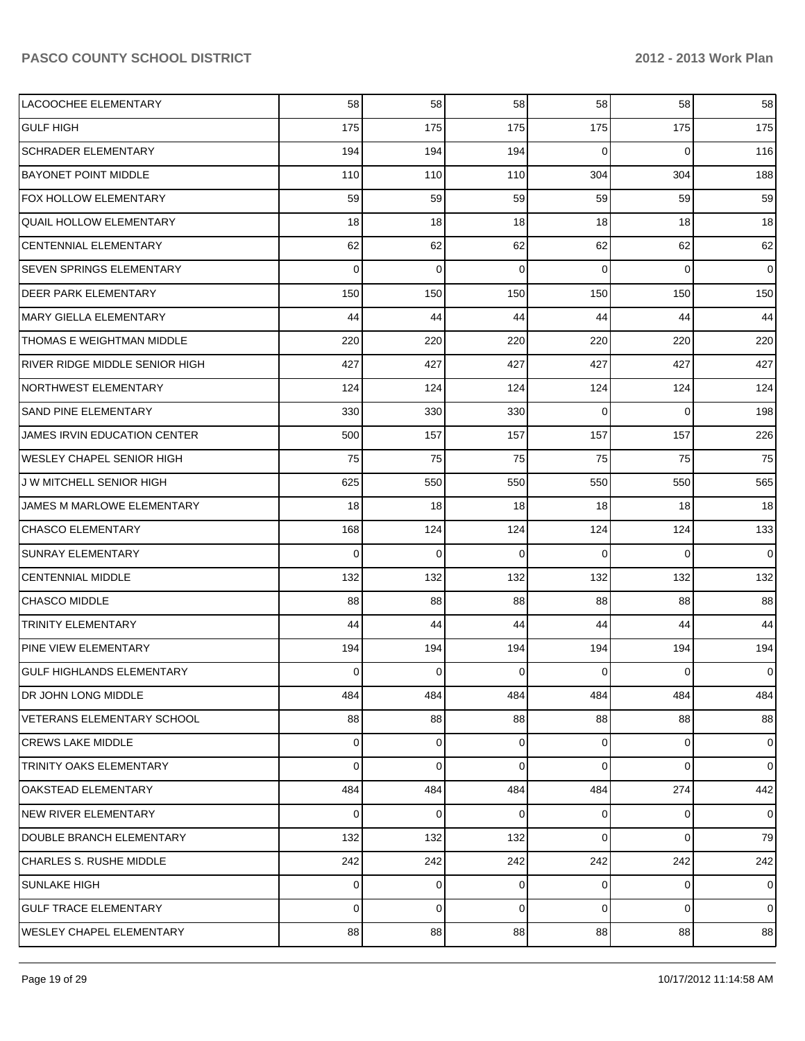| LACOOCHEE ELEMENTARY              | 58              | 58          | 58          | 58             | 58             | 58             |
|-----------------------------------|-----------------|-------------|-------------|----------------|----------------|----------------|
| <b>GULF HIGH</b>                  | 175             | 175         | 175         | 175            | 175            | 175            |
| <b>SCHRADER ELEMENTARY</b>        | 194             | 194         | 194         | 0              | 0              | 116            |
| <b>BAYONET POINT MIDDLE</b>       | 110             | 110         | 110         | 304            | 304            | 188            |
| <b>FOX HOLLOW ELEMENTARY</b>      | 59              | 59          | 59          | 59             | 59             | 59             |
| <b>QUAIL HOLLOW ELEMENTARY</b>    | 18              | 18          | 18          | 18             | 18             | 18             |
| CENTENNIAL ELEMENTARY             | 62              | 62          | 62          | 62             | 62             | 62             |
| <b>SEVEN SPRINGS ELEMENTARY</b>   | 0               | $\mathbf 0$ | $\mathbf 0$ | $\Omega$       | $\overline{0}$ | $\overline{0}$ |
| <b>DEER PARK ELEMENTARY</b>       | 150             | 150         | 150         | 150            | 150            | 150            |
| MARY GIELLA ELEMENTARY            | 44 <sup>°</sup> | 44          | 44          | 44             | 44             | 44             |
| THOMAS E WEIGHTMAN MIDDLE         | 220             | 220         | 220         | 220            | 220            | 220            |
| RIVER RIDGE MIDDLE SENIOR HIGH    | 427             | 427         | 427         | 427            | 427            | 427            |
| NORTHWEST ELEMENTARY              | 124             | 124         | 124         | 124            | 124            | 124            |
| SAND PINE ELEMENTARY              | 330             | 330         | 330         | $\Omega$       | $\overline{0}$ | 198            |
| JAMES IRVIN EDUCATION CENTER      | 500             | 157         | 157         | 157            | 157            | 226            |
| WESLEY CHAPEL SENIOR HIGH         | 75              | 75          | 75          | 75             | 75             | 75             |
| J W MITCHELL SENIOR HIGH          | 625             | 550         | 550         | 550            | 550            | 565            |
| JAMES M MARLOWE ELEMENTARY        | 18              | 18          | 18          | 18             | 18             | 18             |
| <b>CHASCO ELEMENTARY</b>          | 168             | 124         | 124         | 124            | 124            | 133            |
| SUNRAY ELEMENTARY                 | 0               | 0           | $\Omega$    | $\Omega$       | 0              | $\overline{0}$ |
| <b>CENTENNIAL MIDDLE</b>          | 132             | 132         | 132         | 132            | 132            | 132            |
| <b>CHASCO MIDDLE</b>              | 88              | 88          | 88          | 88             | 88             | 88             |
| <b>TRINITY ELEMENTARY</b>         | 44              | 44          | 44          | 44             | 44             | 44             |
| PINE VIEW ELEMENTARY              | 194             | 194         | 194         | 194            | 194            | 194            |
| GULF HIGHLANDS ELEMENTARY         | 0               | 0           | $\Omega$    | 0              | 0              | $\overline{0}$ |
| DR JOHN LONG MIDDLE               | 484             | 484         | 484         | 484            | 484            | 484            |
| <b>VETERANS ELEMENTARY SCHOOL</b> | 88              | 88          | 88          | 88             | 88             | 88             |
| <b>CREWS LAKE MIDDLE</b>          | 0               | 0           | $\Omega$    | 0              | 0              | $\mathbf 0$    |
| <b>TRINITY OAKS ELEMENTARY</b>    | 0               | 0           | 0           | 0              | 0              | $\overline{0}$ |
| OAKSTEAD ELEMENTARY               | 484             | 484         | 484         | 484            | 274            | 442            |
| <b>NEW RIVER ELEMENTARY</b>       | 0               | 0           | 0           | $\overline{0}$ | $\mathbf{0}$   | $\overline{0}$ |
| DOUBLE BRANCH ELEMENTARY          | 132             | 132         | 132         | 0              | 0              | 79             |
| <b>CHARLES S. RUSHE MIDDLE</b>    | 242             | 242         | 242         | 242            | 242            | 242            |
| <b>SUNLAKE HIGH</b>               | 0               | 0           | $\Omega$    | 0              | 0              | $\overline{0}$ |
| <b>GULF TRACE ELEMENTARY</b>      | 0               | 0           | 0           | 0              | 0              | $\overline{0}$ |
| WESLEY CHAPEL ELEMENTARY          | 88              | 88          | 88          | 88             | 88             | 88             |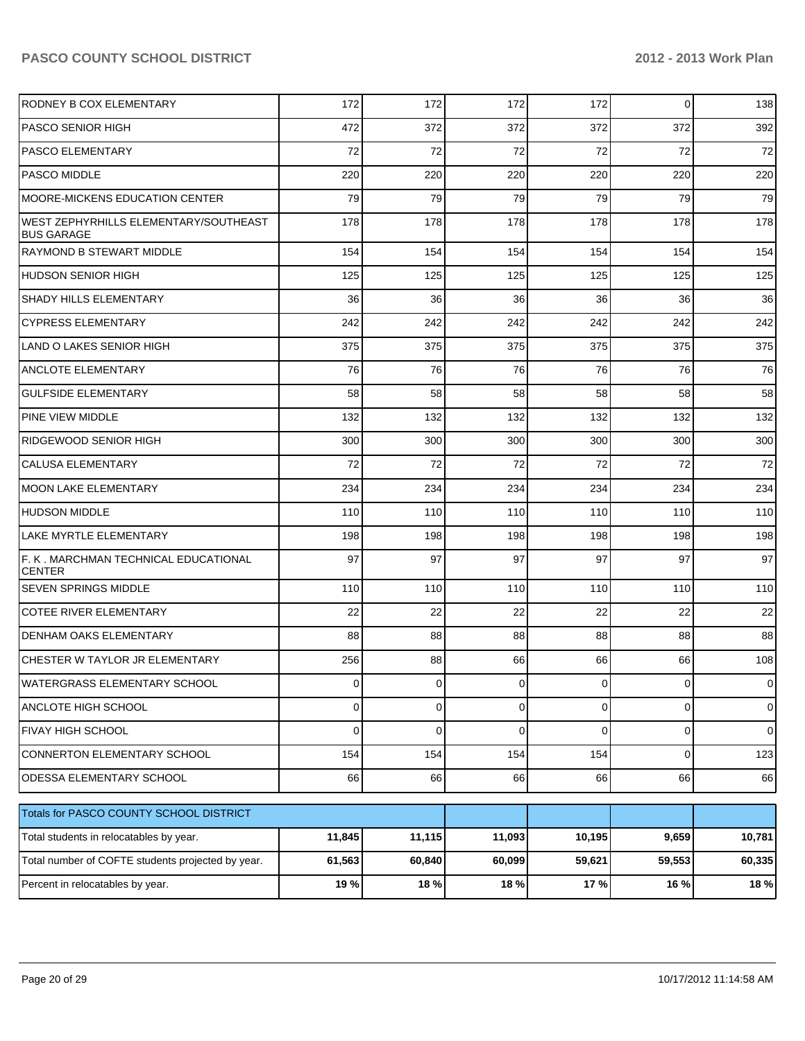| RODNEY B COX ELEMENTARY                                    | 172    | 172    | 172            | 172            | $\overline{0}$ | 138         |
|------------------------------------------------------------|--------|--------|----------------|----------------|----------------|-------------|
| <b>PASCO SENIOR HIGH</b>                                   | 472    | 372    | 372            | 372            | 372            | 392         |
| <b>PASCO ELEMENTARY</b>                                    | 72     | 72     | 72             | 72             | 72             | 72          |
| <b>PASCO MIDDLE</b>                                        | 220    | 220    | 220            | 220            | 220            | 220         |
| MOORE-MICKENS EDUCATION CENTER                             | 79     | 79     | 79             | 79             | 79             | 79          |
| WEST ZEPHYRHILLS ELEMENTARY/SOUTHEAST<br><b>BUS GARAGE</b> | 178    | 178    | 178            | 178            | 178            | 178         |
| <b>RAYMOND B STEWART MIDDLE</b>                            | 154    | 154    | 154            | 154            | 154            | 154         |
| HUDSON SENIOR HIGH                                         | 125    | 125    | 125            | 125            | 125            | 125         |
| SHADY HILLS ELEMENTARY                                     | 36     | 36     | 36             | 36             | 36             | 36          |
| <b>CYPRESS ELEMENTARY</b>                                  | 242    | 242    | 242            | 242            | 242            | 242         |
| LAND O LAKES SENIOR HIGH                                   | 375    | 375    | 375            | 375            | 375            | 375         |
| ANCLOTE ELEMENTARY                                         | 76     | 76     | 76             | 76             | 76             | 76          |
| <b>GULFSIDE ELEMENTARY</b>                                 | 58     | 58     | 58             | 58             | 58             | 58          |
| PINE VIEW MIDDLE                                           | 132    | 132    | 132            | 132            | 132            | 132         |
| RIDGEWOOD SENIOR HIGH                                      | 300    | 300    | 300            | 300            | 300            | 300         |
| <b>CALUSA ELEMENTARY</b>                                   | 72     | 72     | 72             | 72             | 72             | 72          |
| <b>MOON LAKE ELEMENTARY</b>                                | 234    | 234    | 234            | 234            | 234            | 234         |
| <b>HUDSON MIDDLE</b>                                       | 110    | 110    | 110            | 110            | 110            | 110         |
| LAKE MYRTLE ELEMENTARY                                     | 198    | 198    | 198            | 198            | 198            | 198         |
| F. K. MARCHMAN TECHNICAL EDUCATIONAL<br><b>CENTER</b>      | 97     | 97     | 97             | 97             | 97             | 97          |
| <b>SEVEN SPRINGS MIDDLE</b>                                | 110    | 110    | 110            | 110            | 110            | 110         |
| <b>COTEE RIVER ELEMENTARY</b>                              | 22     | 22     | 22             | 22             | 22             | 22          |
| DENHAM OAKS ELEMENTARY                                     | 88     | 88     | 88             | 88             | 88             | 88          |
| CHESTER W TAYLOR JR ELEMENTARY                             | 256    | 88     | 66             | 66             | 66             | 108         |
| WATERGRASS ELEMENTARY SCHOOL                               | 0      | 0      | $\overline{0}$ | 0              | $\overline{0}$ | $\pmb{0}$   |
| ANCLOTE HIGH SCHOOL                                        | 0      | 0      | $\mathbf 0$    | $\overline{0}$ | $\overline{0}$ | $\mathbf 0$ |
| <b>FIVAY HIGH SCHOOL</b>                                   | 0      | 0      | $\mathbf 0$    | $\overline{0}$ | $\overline{0}$ | $\mathbf 0$ |
| CONNERTON ELEMENTARY SCHOOL                                | 154    | 154    | 154            | 154            | $\overline{0}$ | 123         |
| ODESSA ELEMENTARY SCHOOL                                   | 66     | 66     | 66             | 66             | 66             | 66          |
| Totals for PASCO COUNTY SCHOOL DISTRICT                    |        |        |                |                |                |             |
| Total students in relocatables by year.                    | 11,845 | 11,115 | 11,093         | 10,195         | 9,659          | 10,781      |
| Total number of COFTE students projected by year.          | 61,563 | 60,840 | 60,099         | 59,621         | 59,553         | 60,335      |
| Percent in relocatables by year.                           | 19 %   | 18%    | 18%            | 17%            | 16 %           | 18 %        |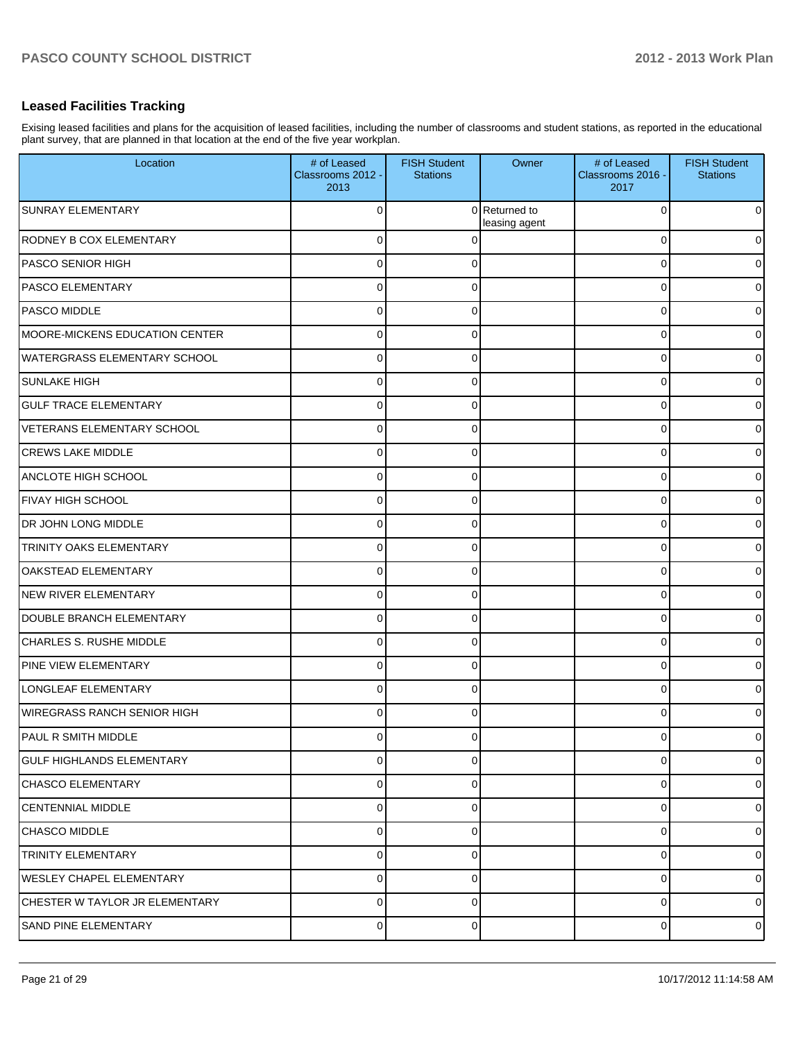## **Leased Facilities Tracking**

Exising leased facilities and plans for the acquisition of leased facilities, including the number of classrooms and student stations, as reported in the educational plant survey, that are planned in that location at the end of the five year workplan.

| Location                            | # of Leased<br>Classrooms 2012 -<br>2013 | <b>FISH Student</b><br><b>Stations</b> | Owner                          | # of Leased<br>Classrooms 2016 -<br>2017 | <b>FISH Student</b><br><b>Stations</b> |
|-------------------------------------|------------------------------------------|----------------------------------------|--------------------------------|------------------------------------------|----------------------------------------|
| <b>SUNRAY ELEMENTARY</b>            | 0                                        |                                        | 0 Returned to<br>leasing agent | $\Omega$                                 | $\mathbf 0$                            |
| RODNEY B COX ELEMENTARY             | 0                                        |                                        |                                | $\Omega$                                 | $\mathbf 0$                            |
| PASCO SENIOR HIGH                   | 0                                        | 0                                      |                                | 0                                        | $\overline{0}$                         |
| <b>IPASCO ELEMENTARY</b>            | 0                                        | 0                                      |                                | 0                                        | $\overline{0}$                         |
| <b>PASCO MIDDLE</b>                 | 0                                        | 0                                      |                                | 0                                        | $\overline{0}$                         |
| MOORE-MICKENS EDUCATION CENTER      | 0                                        | 0                                      |                                | 0                                        | $\mathbf 0$                            |
| <b>WATERGRASS ELEMENTARY SCHOOL</b> | 0                                        | 0                                      |                                | 0                                        | $\overline{0}$                         |
| <b>SUNLAKE HIGH</b>                 | 0                                        | 0                                      |                                | 0                                        | $\mathbf 0$                            |
| <b>GULF TRACE ELEMENTARY</b>        | 0                                        | 0                                      |                                | 0                                        | $\overline{0}$                         |
| VETERANS ELEMENTARY SCHOOL          | 0                                        | 0                                      |                                | 0                                        | $\mathbf 0$                            |
| <b>CREWS LAKE MIDDLE</b>            | 0                                        | 0                                      |                                | 0                                        | $\overline{0}$                         |
| ANCLOTE HIGH SCHOOL                 | 0                                        | 0                                      |                                | 0                                        | $\overline{0}$                         |
| FIVAY HIGH SCHOOL                   | 0                                        | $\Omega$                               |                                | $\Omega$                                 | $\overline{0}$                         |
| DR JOHN LONG MIDDLE                 | 0                                        | 0                                      |                                | $\Omega$                                 | $\overline{0}$                         |
| TRINITY OAKS ELEMENTARY             | 0                                        | 0                                      |                                | $\Omega$                                 | $\overline{0}$                         |
| OAKSTEAD ELEMENTARY                 | 0                                        | 0                                      |                                | $\Omega$                                 | $\mathbf 0$                            |
| NEW RIVER ELEMENTARY                | 0                                        | 0                                      |                                | $\Omega$                                 | $\overline{0}$                         |
| DOUBLE BRANCH ELEMENTARY            | 0                                        | 0                                      |                                | $\Omega$                                 | $\overline{0}$                         |
| <b>CHARLES S. RUSHE MIDDLE</b>      | 0                                        | 0                                      |                                | $\Omega$                                 | $\overline{0}$                         |
| <b>PINE VIEW ELEMENTARY</b>         | $\Omega$                                 | 0                                      |                                | $\Omega$                                 | $\overline{0}$                         |
| LONGLEAF ELEMENTARY                 | 0                                        | $\Omega$                               |                                | $\Omega$                                 | $\overline{0}$                         |
| <b>WIREGRASS RANCH SENIOR HIGH</b>  | 0                                        | 0                                      |                                | $\Omega$                                 | $\overline{0}$                         |
| <b>PAUL R SMITH MIDDLE</b>          | Ωl                                       | <sup>0</sup>                           |                                | O                                        | $\overline{0}$                         |
| <b>GULF HIGHLANDS ELEMENTARY</b>    | 0                                        | 0                                      |                                | 0                                        | $\overline{0}$                         |
| <b>CHASCO ELEMENTARY</b>            | $\Omega$                                 | 0                                      |                                | $\mathbf 0$                              | $\overline{0}$                         |
| <b>CENTENNIAL MIDDLE</b>            | $\Omega$                                 | 0                                      |                                | $\mathbf 0$                              | $\overline{0}$                         |
| <b>CHASCO MIDDLE</b>                | $\Omega$                                 | 0                                      |                                | $\mathbf 0$                              | $\overline{0}$                         |
| TRINITY ELEMENTARY                  | $\Omega$                                 | 0                                      |                                | 0                                        | $\overline{0}$                         |
| <b>WESLEY CHAPEL ELEMENTARY</b>     | $\Omega$                                 | $\Omega$                               |                                | 0                                        | $\overline{0}$                         |
| CHESTER W TAYLOR JR ELEMENTARY      | $\Omega$                                 | 0                                      |                                | $\mathbf 0$                              | $\overline{0}$                         |
| <b>SAND PINE ELEMENTARY</b>         | $\overline{0}$                           | 0                                      |                                | 0                                        | $\mathbf 0$                            |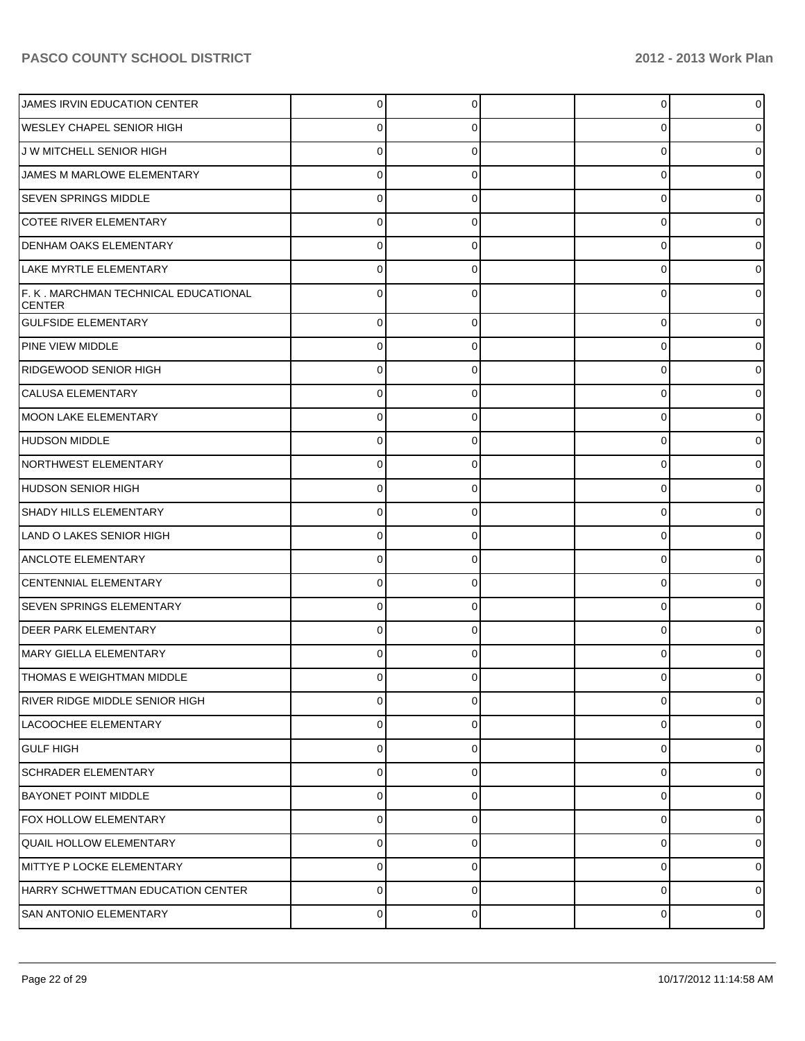| JAMES IRVIN EDUCATION CENTER                          | 0        | 0        | $\overline{0}$ |   |
|-------------------------------------------------------|----------|----------|----------------|---|
| <b>WESLEY CHAPEL SENIOR HIGH</b>                      | 0        |          | 0              |   |
| J W MITCHELL SENIOR HIGH                              | 0        |          | 0              |   |
| JAMES M MARLOWE ELEMENTARY                            | 0        | O        | 0              |   |
| <b>SEVEN SPRINGS MIDDLE</b>                           | 0        |          | 0              |   |
| <b>COTEE RIVER ELEMENTARY</b>                         | 0        | O        | 0              |   |
| <b>DENHAM OAKS ELEMENTARY</b>                         | 0        |          | 0              |   |
| LAKE MYRTLE ELEMENTARY                                | 0        | O        | 0              |   |
| F. K. MARCHMAN TECHNICAL EDUCATIONAL<br><b>CENTER</b> | 0        |          | 0              |   |
| <b>GULFSIDE ELEMENTARY</b>                            | $\Omega$ | 0        | $\overline{0}$ |   |
| <b>PINE VIEW MIDDLE</b>                               | $\Omega$ | 0        | 0              | 0 |
| RIDGEWOOD SENIOR HIGH                                 | $\Omega$ | 0        | 0              |   |
| <b>CALUSA ELEMENTARY</b>                              | $\Omega$ | 0        | 0              | 0 |
| MOON LAKE ELEMENTARY                                  | $\Omega$ | 0        | $\overline{0}$ |   |
| HUDSON MIDDLE                                         | $\Omega$ | 0        | $\overline{0}$ | 0 |
| NORTHWEST ELEMENTARY                                  | $\Omega$ | 0        | $\overline{0}$ |   |
| HUDSON SENIOR HIGH                                    | $\Omega$ | 0        | 0              | 0 |
| <b>SHADY HILLS ELEMENTARY</b>                         | $\Omega$ | 0        | $\overline{0}$ |   |
| LAND O LAKES SENIOR HIGH                              | $\Omega$ | 0        | $\overline{0}$ | 0 |
| <b>ANCLOTE ELEMENTARY</b>                             | $\Omega$ | 0        | $\overline{0}$ |   |
| <b>CENTENNIAL ELEMENTARY</b>                          | $\Omega$ | 0        | $\overline{0}$ | 0 |
| <b>SEVEN SPRINGS ELEMENTARY</b>                       | $\Omega$ | 0        | $\overline{0}$ |   |
| <b>IDEER PARK ELEMENTARY</b>                          | $\Omega$ | 0        | $\overline{0}$ | 0 |
| MARY GIELLA ELEMENTARY                                | $\Omega$ | 0        | 0              |   |
| THOMAS E WEIGHTMAN MIDDLE                             | $\Omega$ | 0        | 0              | 0 |
| <b>IRIVER RIDGE MIDDLE SENIOR HIGH</b>                | $\Omega$ | 0        | $\overline{0}$ | 0 |
| LACOOCHEE ELEMENTARY                                  | 0        | $\Omega$ | $\overline{0}$ | 0 |
| <b>GULF HIGH</b>                                      | $\Omega$ | 0        | $\overline{0}$ | 0 |
| <b>SCHRADER ELEMENTARY</b>                            | 0        | $\Omega$ | $\overline{0}$ | 0 |
| <b>BAYONET POINT MIDDLE</b>                           | $\Omega$ | 0        | $\overline{0}$ | 0 |
| <b>FOX HOLLOW ELEMENTARY</b>                          | $\Omega$ | $\Omega$ | $\overline{0}$ | 0 |
| <b>QUAIL HOLLOW ELEMENTARY</b>                        | $\Omega$ | 0        | $\overline{0}$ | 0 |
| MITTYE P LOCKE ELEMENTARY                             | 0        | 0        | $\overline{0}$ | 0 |
| HARRY SCHWETTMAN EDUCATION CENTER                     | 0        | 0        | $\overline{0}$ | 0 |
| SAN ANTONIO ELEMENTARY                                | 0        | 0        | $\overline{0}$ | 0 |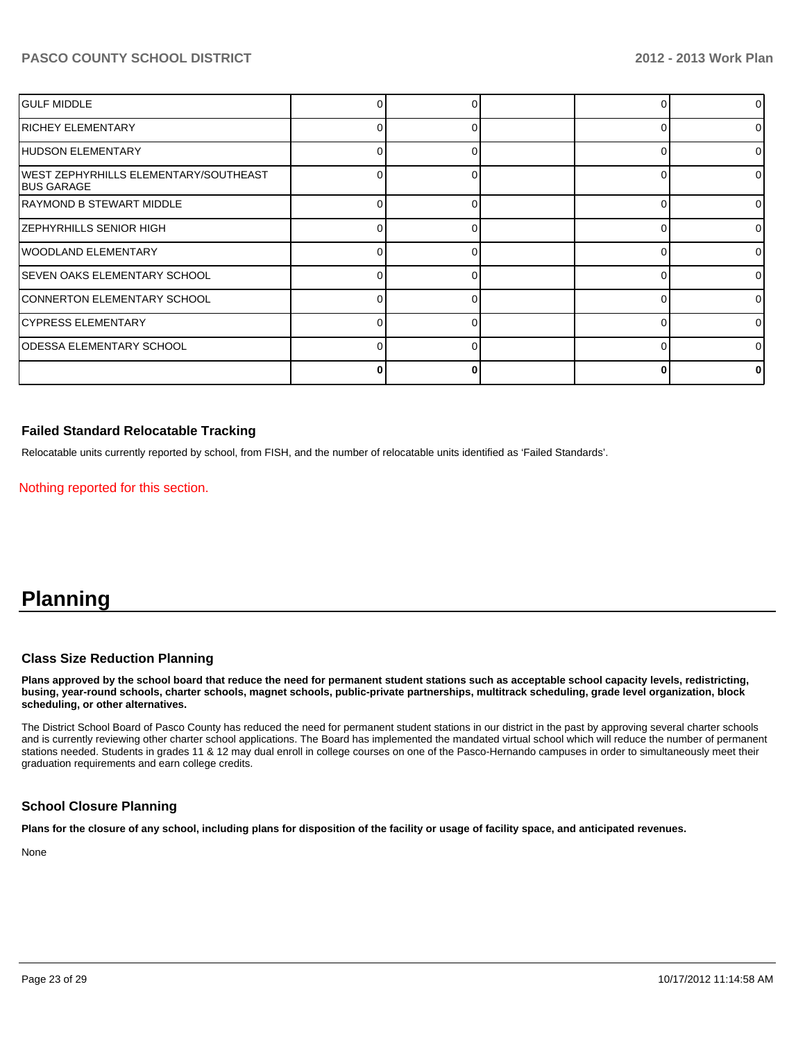| <b>I</b> GULF MIDDLE                                        |              |   |  | ΩI       |
|-------------------------------------------------------------|--------------|---|--|----------|
| RICHEY ELEMENTARY                                           |              |   |  | $\Omega$ |
| HUDSON ELEMENTARY                                           |              |   |  | 01       |
| WEST ZEPHYRHILLS ELEMENTARY/SOUTHEAST<br><b>IBUS GARAGE</b> |              |   |  | $\Omega$ |
| IRAYMOND B STEWART MIDDLE                                   | <sup>n</sup> |   |  | $\Omega$ |
| <b>ZEPHYRHILLS SENIOR HIGH</b>                              | n            | ∩ |  | $\Omega$ |
| WOODLAND ELEMENTARY                                         |              |   |  | ΩI       |
| ISEVEN OAKS ELEMENTARY SCHOOL                               |              |   |  | ΩI       |
| CONNERTON ELEMENTARY SCHOOL                                 |              |   |  | ΩI       |
| CYPRESS ELEMENTARY                                          |              |   |  | ΩI       |
| ODESSA ELEMENTARY SCHOOL                                    |              |   |  | ΩI       |
|                                                             |              |   |  |          |

#### **Failed Standard Relocatable Tracking**

Relocatable units currently reported by school, from FISH, and the number of relocatable units identified as 'Failed Standards'.

Nothing reported for this section.

# **Planning**

#### **Class Size Reduction Planning**

**Plans approved by the school board that reduce the need for permanent student stations such as acceptable school capacity levels, redistricting, busing, year-round schools, charter schools, magnet schools, public-private partnerships, multitrack scheduling, grade level organization, block scheduling, or other alternatives.**

The District School Board of Pasco County has reduced the need for permanent student stations in our district in the past by approving several charter schools and is currently reviewing other charter school applications. The Board has implemented the mandated virtual school which will reduce the number of permanent stations needed. Students in grades 11 & 12 may dual enroll in college courses on one of the Pasco-Hernando campuses in order to simultaneously meet their graduation requirements and earn college credits.

## **School Closure Planning**

**Plans for the closure of any school, including plans for disposition of the facility or usage of facility space, and anticipated revenues.**

None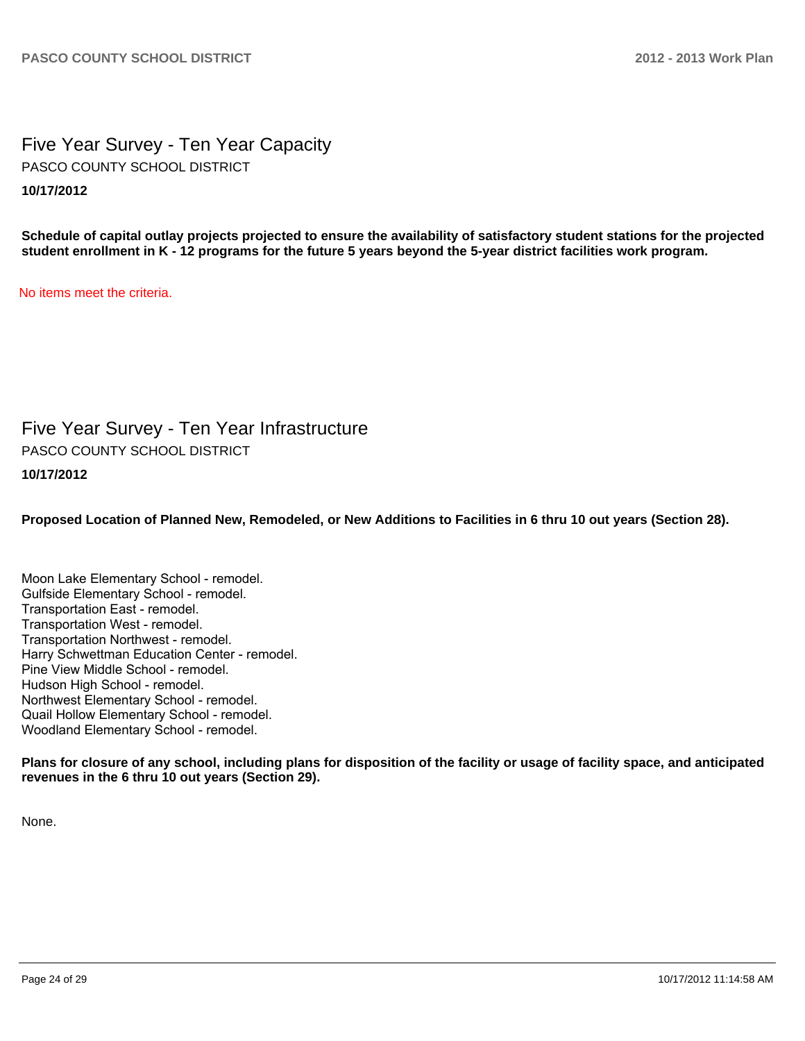Five Year Survey - Ten Year Capacity **10/17/2012** PASCO COUNTY SCHOOL DISTRICT

**Schedule of capital outlay projects projected to ensure the availability of satisfactory student stations for the projected student enrollment in K - 12 programs for the future 5 years beyond the 5-year district facilities work program.**

No items meet the criteria.

Five Year Survey - Ten Year Infrastructure **10/17/2012** PASCO COUNTY SCHOOL DISTRICT

**Proposed Location of Planned New, Remodeled, or New Additions to Facilities in 6 thru 10 out years (Section 28).**

Moon Lake Elementary School - remodel. Gulfside Elementary School - remodel. Transportation East - remodel. Transportation West - remodel. Transportation Northwest - remodel. Harry Schwettman Education Center - remodel. Pine View Middle School - remodel. Hudson High School - remodel. Northwest Elementary School - remodel. Quail Hollow Elementary School - remodel. Woodland Elementary School - remodel.

**Plans for closure of any school, including plans for disposition of the facility or usage of facility space, and anticipated revenues in the 6 thru 10 out years (Section 29).**

None.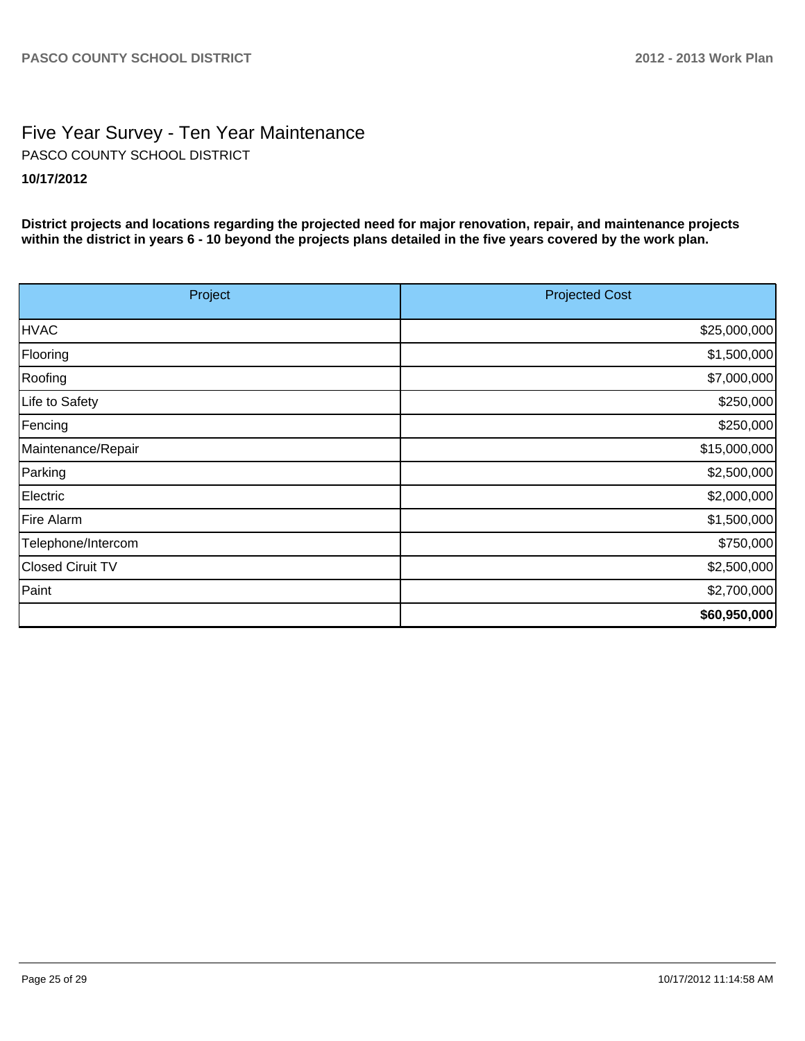# Five Year Survey - Ten Year Maintenance **10/17/2012** PASCO COUNTY SCHOOL DISTRICT

**District projects and locations regarding the projected need for major renovation, repair, and maintenance projects within the district in years 6 - 10 beyond the projects plans detailed in the five years covered by the work plan.**

| Project            | <b>Projected Cost</b> |  |  |
|--------------------|-----------------------|--|--|
| <b>HVAC</b>        | \$25,000,000          |  |  |
| Flooring           | \$1,500,000           |  |  |
| Roofing            | \$7,000,000           |  |  |
| Life to Safety     | \$250,000             |  |  |
| Fencing            | \$250,000             |  |  |
| Maintenance/Repair | \$15,000,000          |  |  |
| Parking            | \$2,500,000           |  |  |
| Electric           | \$2,000,000           |  |  |
| Fire Alarm         | \$1,500,000           |  |  |
| Telephone/Intercom | \$750,000             |  |  |
| Closed Ciruit TV   | \$2,500,000           |  |  |
| Paint              | \$2,700,000           |  |  |
|                    | \$60,950,000          |  |  |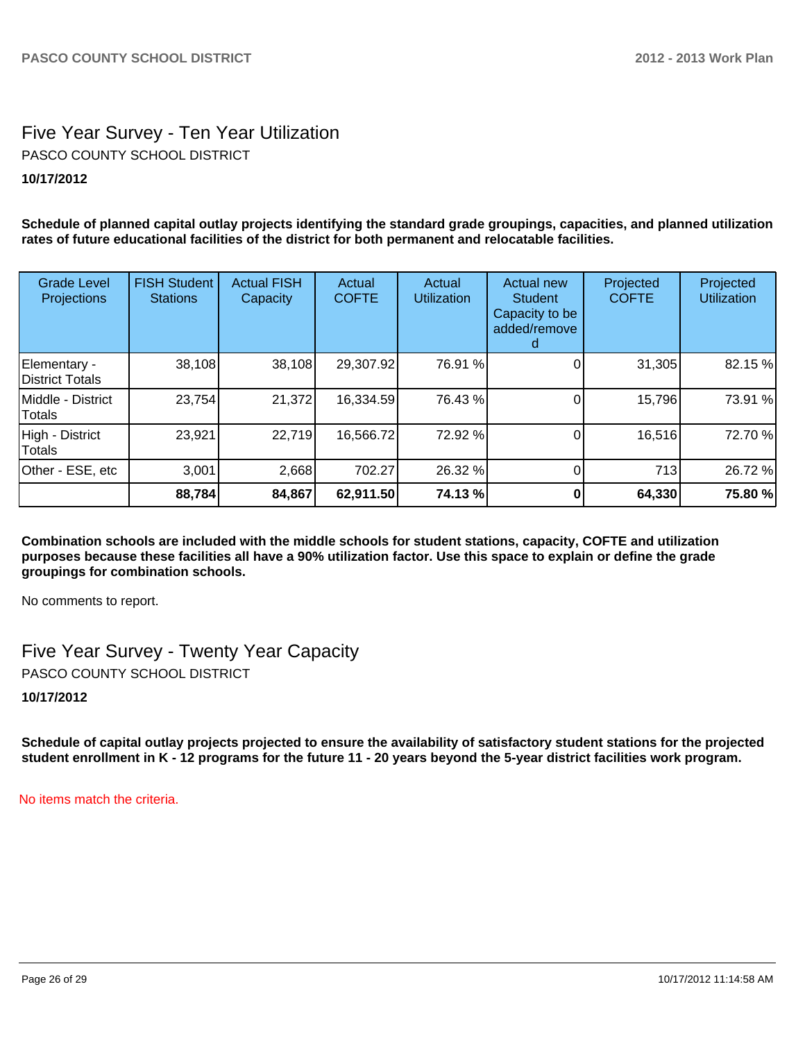# Five Year Survey - Ten Year Utilization **10/17/2012** PASCO COUNTY SCHOOL DISTRICT

**Schedule of planned capital outlay projects identifying the standard grade groupings, capacities, and planned utilization rates of future educational facilities of the district for both permanent and relocatable facilities.**

| <b>Grade Level</b><br>Projections | <b>FISH Student</b><br><b>Stations</b> | <b>Actual FISH</b><br>Capacity | Actual<br><b>COFTE</b> | Actual<br><b>Utilization</b> | Actual new<br><b>Student</b><br>Capacity to be<br>added/remove | Projected<br><b>COFTE</b> | Projected<br><b>Utilization</b> |
|-----------------------------------|----------------------------------------|--------------------------------|------------------------|------------------------------|----------------------------------------------------------------|---------------------------|---------------------------------|
| Elementary -<br>District Totals   | 38,108                                 | 38,108                         | 29,307.92              | 76.91 %                      |                                                                | 31,305                    | 82.15 %                         |
| Middle - District<br>Totals       | 23,754                                 | 21,372                         | 16,334.59              | 76.43 %                      |                                                                | 15,796                    | 73.91 %                         |
| High - District<br>Totals         | 23,921                                 | 22,719                         | 16,566.72              | 72.92 %                      |                                                                | 16,516                    | 72.70 %                         |
| Other - ESE, etc                  | 3,001                                  | 2,668                          | 702.27                 | 26.32 %                      |                                                                | 713                       | 26.72 %                         |
|                                   | 88,784                                 | 84,867                         | 62,911.50              | 74.13 %                      |                                                                | 64,330                    | 75.80 %                         |

**Combination schools are included with the middle schools for student stations, capacity, COFTE and utilization purposes because these facilities all have a 90% utilization factor. Use this space to explain or define the grade groupings for combination schools.**

No comments to report.

Five Year Survey - Twenty Year Capacity PASCO COUNTY SCHOOL DISTRICT

**10/17/2012**

**Schedule of capital outlay projects projected to ensure the availability of satisfactory student stations for the projected student enrollment in K - 12 programs for the future 11 - 20 years beyond the 5-year district facilities work program.**

No items match the criteria.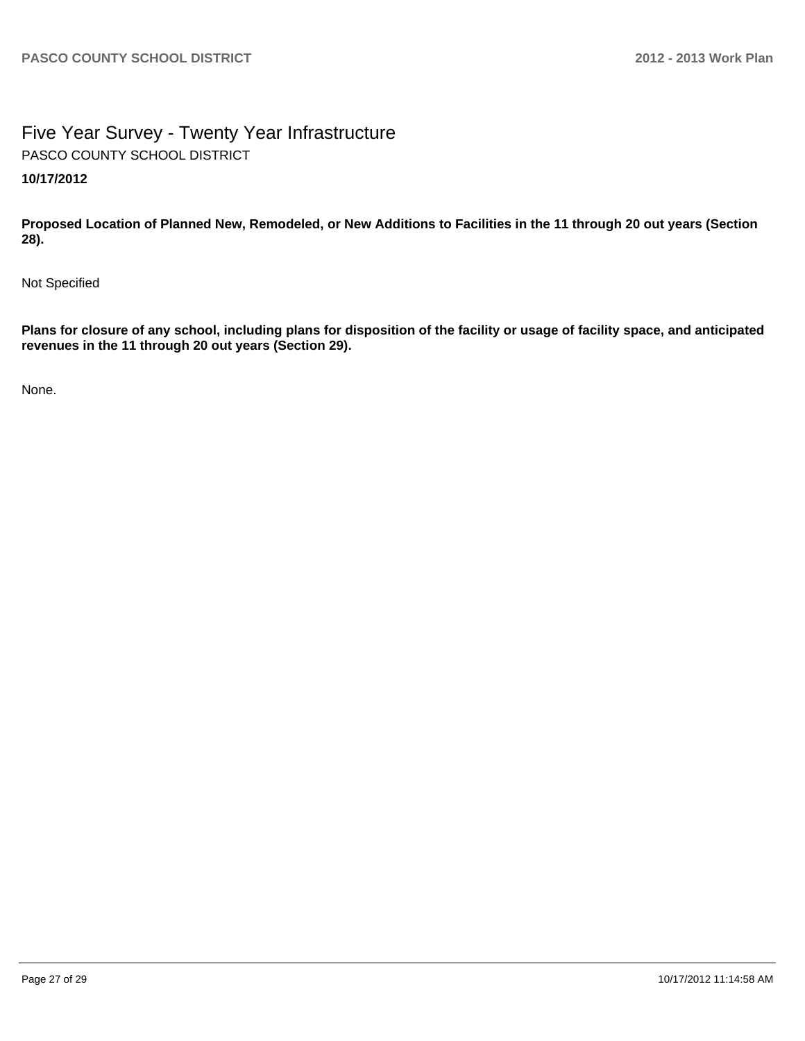# Five Year Survey - Twenty Year Infrastructure **10/17/2012** PASCO COUNTY SCHOOL DISTRICT

**Proposed Location of Planned New, Remodeled, or New Additions to Facilities in the 11 through 20 out years (Section 28).**

Not Specified

**Plans for closure of any school, including plans for disposition of the facility or usage of facility space, and anticipated revenues in the 11 through 20 out years (Section 29).**

None.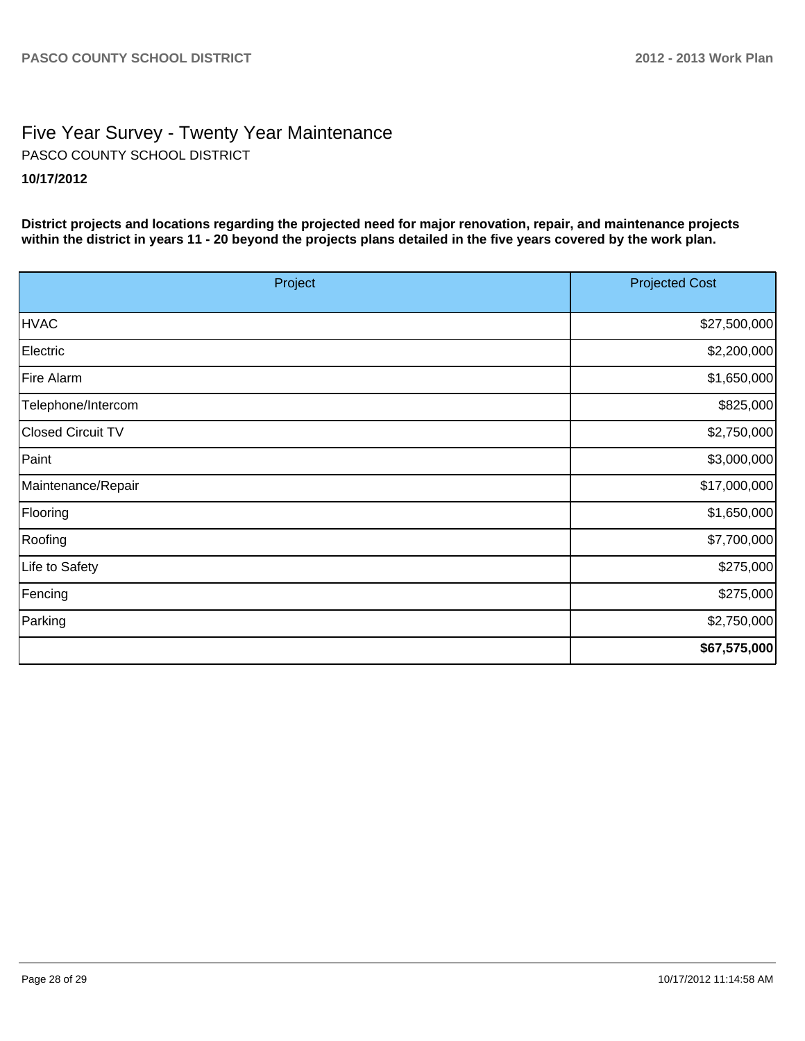# Five Year Survey - Twenty Year Maintenance **10/17/2012** PASCO COUNTY SCHOOL DISTRICT

**District projects and locations regarding the projected need for major renovation, repair, and maintenance projects within the district in years 11 - 20 beyond the projects plans detailed in the five years covered by the work plan.**

| Project                  | <b>Projected Cost</b> |
|--------------------------|-----------------------|
| <b>HVAC</b>              | \$27,500,000          |
| Electric                 | \$2,200,000           |
| Fire Alarm               | \$1,650,000           |
| Telephone/Intercom       | \$825,000             |
| <b>Closed Circuit TV</b> | \$2,750,000           |
| Paint                    | \$3,000,000           |
| Maintenance/Repair       | \$17,000,000          |
| Flooring                 | \$1,650,000           |
| Roofing                  | \$7,700,000           |
| Life to Safety           | \$275,000             |
| Fencing                  | \$275,000             |
| Parking                  | \$2,750,000           |
|                          | \$67,575,000          |